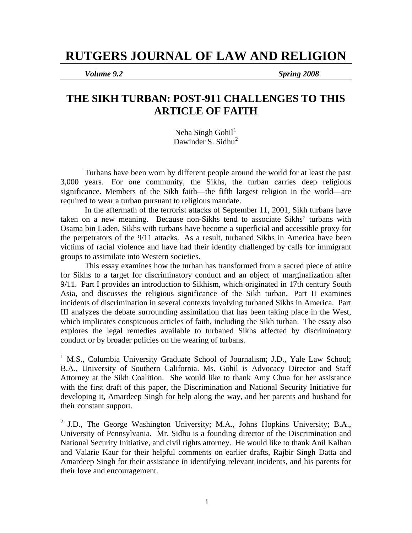# **RUTGERS JOURNAL OF LAW AND RELIGION**

 $\overline{a}$ 

*Volume 9.2 Spring 2008* 

## **THE SIKH TURBAN: POST-911 CHALLENGES TO THIS ARTICLE OF FAITH**

Neha Singh Gohil $<sup>1</sup>$  $<sup>1</sup>$  $<sup>1</sup>$ </sup> Dawinder S. Sidhu<sup>[2](#page-0-1)</sup>

Turbans have been worn by different people around the world for at least the past 3,000 years. For one community, the Sikhs, the turban carries deep religious significance. Members of the Sikh faith—the fifth largest religion in the world—are required to wear a turban pursuant to religious mandate.

 In the aftermath of the terrorist attacks of September 11, 2001, Sikh turbans have taken on a new meaning. Because non-Sikhs tend to associate Sikhs' turbans with Osama bin Laden, Sikhs with turbans have become a superficial and accessible proxy for the perpetrators of the 9/11 attacks. As a result, turbaned Sikhs in America have been victims of racial violence and have had their identity challenged by calls for immigrant groups to assimilate into Western societies.

This essay examines how the turban has transformed from a sacred piece of attire for Sikhs to a target for discriminatory conduct and an object of marginalization after 9/11. Part I provides an introduction to Sikhism, which originated in 17th century South Asia, and discusses the religious significance of the Sikh turban. Part II examines incidents of discrimination in several contexts involving turbaned Sikhs in America. Part III analyzes the debate surrounding assimilation that has been taking place in the West, which implicates conspicuous articles of faith, including the Sikh turban. The essay also explores the legal remedies available to turbaned Sikhs affected by discriminatory conduct or by broader policies on the wearing of turbans.

<span id="page-0-0"></span><sup>&</sup>lt;sup>1</sup> M.S., Columbia University Graduate School of Journalism; J.D., Yale Law School; B.A., University of Southern California. Ms. Gohil is Advocacy Director and Staff Attorney at the Sikh Coalition. She would like to thank Amy Chua for her assistance with the first draft of this paper, the Discrimination and National Security Initiative for developing it, Amardeep Singh for help along the way, and her parents and husband for their constant support.

<span id="page-0-1"></span> $^2$  J.D., The George Washington University; M.A., Johns Hopkins University; B.A., University of Pennsylvania. Mr. Sidhu is a founding director of the Discrimination and National Security Initiative, and civil rights attorney. He would like to thank Anil Kalhan and Valarie Kaur for their helpful comments on earlier drafts, Rajbir Singh Datta and Amardeep Singh for their assistance in identifying relevant incidents, and his parents for their love and encouragement.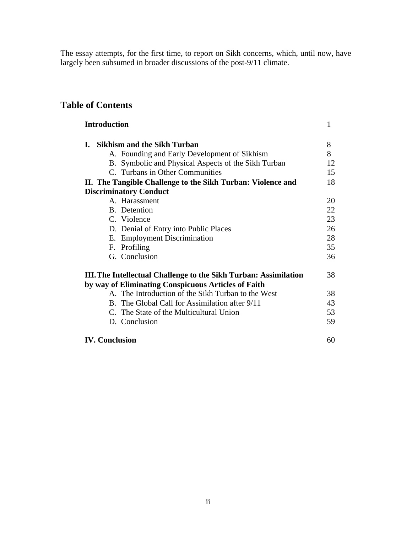The essay attempts, for the first time, to report on Sikh concerns, which, until now, have largely been subsumed in broader discussions of the post-9/11 climate.

## **Table of Contents**

| <b>Introduction</b>                                                     | 1  |
|-------------------------------------------------------------------------|----|
| <b>Sikhism and the Sikh Turban</b><br>L.                                | 8  |
| A. Founding and Early Development of Sikhism                            | 8  |
| B. Symbolic and Physical Aspects of the Sikh Turban                     | 12 |
| C. Turbans in Other Communities                                         | 15 |
| II. The Tangible Challenge to the Sikh Turban: Violence and             | 18 |
| <b>Discriminatory Conduct</b>                                           |    |
| A. Harassment                                                           | 20 |
| B. Detention                                                            | 22 |
| C. Violence                                                             | 23 |
| D. Denial of Entry into Public Places                                   | 26 |
| E. Employment Discrimination                                            | 28 |
| F. Profiling                                                            | 35 |
| G. Conclusion                                                           | 36 |
| <b>III.</b> The Intellectual Challenge to the Sikh Turban: Assimilation | 38 |
| by way of Eliminating Conspicuous Articles of Faith                     |    |
| A. The Introduction of the Sikh Turban to the West                      | 38 |
| B. The Global Call for Assimilation after 9/11                          | 43 |
| C. The State of the Multicultural Union                                 | 53 |
| D. Conclusion                                                           | 59 |
| <b>IV. Conclusion</b>                                                   | 60 |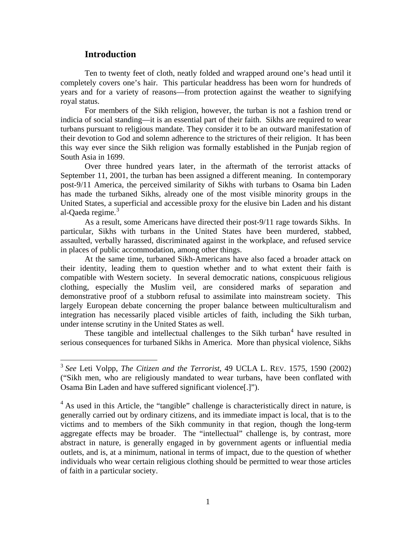#### **Introduction**

 $\overline{a}$ 

 Ten to twenty feet of cloth, neatly folded and wrapped around one's head until it completely covers one's hair. This particular headdress has been worn for hundreds of years and for a variety of reasons—from protection against the weather to signifying royal status.

 For members of the Sikh religion, however, the turban is not a fashion trend or indicia of social standing—it is an essential part of their faith. Sikhs are required to wear turbans pursuant to religious mandate. They consider it to be an outward manifestation of their devotion to God and solemn adherence to the strictures of their religion. It has been this way ever since the Sikh religion was formally established in the Punjab region of South Asia in 1699.

 Over three hundred years later, in the aftermath of the terrorist attacks of September 11, 2001, the turban has been assigned a different meaning. In contemporary post-9/11 America, the perceived similarity of Sikhs with turbans to Osama bin Laden has made the turbaned Sikhs, already one of the most visible minority groups in the United States, a superficial and accessible proxy for the elusive bin Laden and his distant al-Qaeda regime.<sup>[3](#page-2-0)</sup>

 As a result, some Americans have directed their post-9/11 rage towards Sikhs. In particular, Sikhs with turbans in the United States have been murdered, stabbed, assaulted, verbally harassed, discriminated against in the workplace, and refused service in places of public accommodation, among other things.

At the same time, turbaned Sikh-Americans have also faced a broader attack on their identity, leading them to question whether and to what extent their faith is compatible with Western society. In several democratic nations, conspicuous religious clothing, especially the Muslim veil, are considered marks of separation and demonstrative proof of a stubborn refusal to assimilate into mainstream society. This largely European debate concerning the proper balance between multiculturalism and integration has necessarily placed visible articles of faith, including the Sikh turban, under intense scrutiny in the United States as well.

These tangible and intellectual challenges to the Sikh turban $4$  have resulted in serious consequences for turbaned Sikhs in America. More than physical violence, Sikhs

<span id="page-2-0"></span><sup>3</sup> *See* Leti Volpp, *The Citizen and the Terrorist*, 49 UCLA L. REV. 1575, 1590 (2002) ("Sikh men, who are religiously mandated to wear turbans, have been conflated with Osama Bin Laden and have suffered significant violence[.]").

<span id="page-2-1"></span><sup>&</sup>lt;sup>4</sup> As used in this Article, the "tangible" challenge is characteristically direct in nature, is generally carried out by ordinary citizens, and its immediate impact is local, that is to the victims and to members of the Sikh community in that region, though the long-term aggregate effects may be broader. The "intellectual" challenge is, by contrast, more abstract in nature, is generally engaged in by government agents or influential media outlets, and is, at a minimum, national in terms of impact, due to the question of whether individuals who wear certain religious clothing should be permitted to wear those articles of faith in a particular society.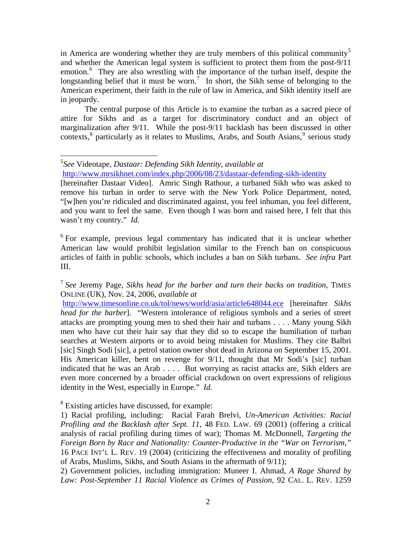in America are wondering whether they are truly members of this political community<sup>[5](#page-3-0)</sup> and whether the American legal system is sufficient to protect them from the post-9/11 emotion.<sup>[6](#page-3-1)</sup> They are also wrestling with the importance of the turban itself, despite the longstanding belief that it must be worn.<sup>[7](#page-3-2)</sup> In short, the Sikh sense of belonging to the American experiment, their faith in the rule of law in America, and Sikh identity itself are in jeopardy.

 The central purpose of this Article is to examine the turban as a sacred piece of attire for Sikhs and as a target for discriminatory conduct and an object of marginalization after 9/11. While the post-9/11 backlash has been discussed in other contexts,  $\delta$  particularly as it relates to Muslims, Arabs, and South Asians,  $\delta$  serious study

<span id="page-3-1"></span><sup>6</sup> For example, previous legal commentary has indicated that it is unclear whether American law would prohibit legislation similar to the French ban on conspicuous articles of faith in public schools, which includes a ban on Sikh turbans. *See infra* Part III.

<span id="page-3-2"></span><sup>7</sup> *See* Jeremy Page, *Sikhs head for the barber and turn their backs on tradition*, TIMES ONLINE (UK), Nov. 24, 2006, *available at* 

<http://www.timesonline.co.uk/tol/news/world/asia/article648044.ece>[hereinafter *Sikhs head for the barber*]. "Western intolerance of religious symbols and a series of street attacks are prompting young men to shed their hair and turbans . . . . Many young Sikh men who have cut their hair say that they did so to escape the humiliation of turban searches at Western airports or to avoid being mistaken for Muslims. They cite Balbri [sic] Singh Sodi [sic], a petrol station owner shot dead in Arizona on September 15, 2001. His American killer, bent on revenge for 9/11, thought that Mr Sodi's [sic] turban indicated that he was an Arab . . . . But worrying as racist attacks are, Sikh elders are even more concerned by a broader official crackdown on overt expressions of religious identity in the West, especially in Europe." *Id*.

<span id="page-3-3"></span><sup>8</sup> Existing articles have discussed, for example:

2) Government policies, including immigration: Muneer I. Ahmad, *A Rage Shared by Law: Post-September 11 Racial Violence as Crimes of Passion*, 92 CAL. L. REV. 1259

<span id="page-3-0"></span> $\overline{a}$ 5 *See* Videotape, *Dastaar: Defending Sikh Identity*, *available at*  <http://www.mrsikhnet.com/index.php/2006/08/23/dastaar-defending-sikh-identity>

<sup>[</sup>hereinafter Dastaar Video]. Amric Singh Rathour, a turbaned Sikh who was asked to remove his turban in order to serve with the New York Police Department, noted, "[w]hen you're ridiculed and discriminated against, you feel inhuman, you feel different, and you want to feel the same. Even though I was born and raised here, I felt that this wasn't my country." *Id.*

<sup>1)</sup> Racial profiling, including: Racial Farah Brelvi, *Un-American Activities: Racial Profiling and the Backlash after Sept. 11*, 48 FED. LAW. 69 (2001) (offering a critical analysis of racial profiling during times of war); Thomas M. McDonnell, *Targeting the Foreign Born by Race and Nationality: Counter-Productive in the "War on Terrorism,"* 16 PACE INT'L L. REV. 19 (2004) (criticizing the effectiveness and morality of profiling of Arabs, Muslims, Sikhs, and South Asians in the aftermath of 9/11);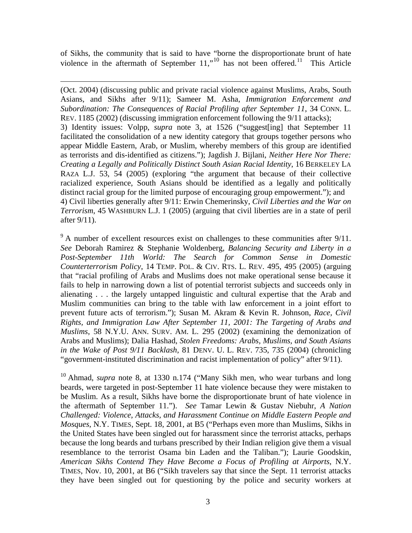of Sikhs, the community that is said to have "borne the disproportionate brunt of hate violence in the aftermath of September  $11$ ,"<sup>[10](#page-4-0)</sup> has not been offered.<sup>11</sup> This Article

 $\overline{a}$ 

(Oct. 2004) (discussing public and private racial violence against Muslims, Arabs, South Asians, and Sikhs after 9/11); Sameer M. Asha, *Immigration Enforcement and Subordination: The Consequences of Racial Profiling after September 11*, 34 CONN. L. REV. 1185 (2002) (discussing immigration enforcement following the 9/11 attacks); 3) Identity issues: Volpp, *supra* note 3, at 1526 ("suggest[ing] that September 11 facilitated the consolidation of a new identity category that groups together persons who appear Middle Eastern, Arab, or Muslim, whereby members of this group are identified as terrorists and dis-identified as citizens."); Jagdish J. Bijlani, *Neither Here Nor There: Creating a Legally and Politically Distinct South Asian Racial Identity*, 16 BERKELEY LA RAZA L.J. 53, 54 (2005) (exploring "the argument that because of their collective racialized experience, South Asians should be identified as a legally and politically distinct racial group for the limited purpose of encouraging group empowerment."); and 4) Civil liberties generally after 9/11: Erwin Chemerinsky, *Civil Liberties and the War on Terrorism*, 45 WASHBURN L.J. 1 (2005) (arguing that civil liberties are in a state of peril after 9/11).

 $9<sup>9</sup>$  A number of excellent resources exist on challenges to these communities after 9/11. *See* Deborah Ramirez & Stephanie Woldenberg, *Balancing Security and Liberty in a Post-September 11th World: The Search for Common Sense in Domestic Counterterrorism Policy*, 14 TEMP. POL. & CIV. RTS. L. REV. 495, 495 (2005) (arguing that "racial profiling of Arabs and Muslims does not make operational sense because it fails to help in narrowing down a list of potential terrorist subjects and succeeds only in alienating . . . the largely untapped linguistic and cultural expertise that the Arab and Muslim communities can bring to the table with law enforcement in a joint effort to prevent future acts of terrorism."); Susan M. Akram & Kevin R. Johnson, *Race, Civil Rights, and Immigration Law After September 11, 2001: The Targeting of Arabs and Muslims*, 58 N.Y.U. ANN. SURV. AM. L. 295 (2002) (examining the demonization of Arabs and Muslims); Dalia Hashad, *Stolen Freedoms: Arabs, Muslims, and South Asians in the Wake of Post 9/11 Backlash*, 81 DENV. U. L. REV. 735, 735 (2004) (chronicling "government-instituted discrimination and racist implementation of policy" after 9/11).

<span id="page-4-1"></span><span id="page-4-0"></span><sup>10</sup> Ahmad, *supra* note 8, at 1330 n.174 ("Many Sikh men, who wear turbans and long beards, were targeted in post-September 11 hate violence because they were mistaken to be Muslim. As a result, Sikhs have borne the disproportionate brunt of hate violence in the aftermath of September 11."). *See* Tamar Lewin & Gustav Niebuhr, *A Nation Challenged: Violence, Attacks, and Harassment Continue on Middle Eastern People and Mosques*, N.Y. TIMES, Sept. 18, 2001, at B5 ("Perhaps even more than Muslims, Sikhs in the United States have been singled out for harassment since the terrorist attacks, perhaps because the long beards and turbans prescribed by their Indian religion give them a visual resemblance to the terrorist Osama bin Laden and the Taliban."); Laurie Goodskin, *American Sikhs Contend They Have Become a Focus of Profiling at Airports*, N.Y. TIMES, Nov. 10, 2001, at B6 ("Sikh travelers say that since the Sept. 11 terrorist attacks they have been singled out for questioning by the police and security workers at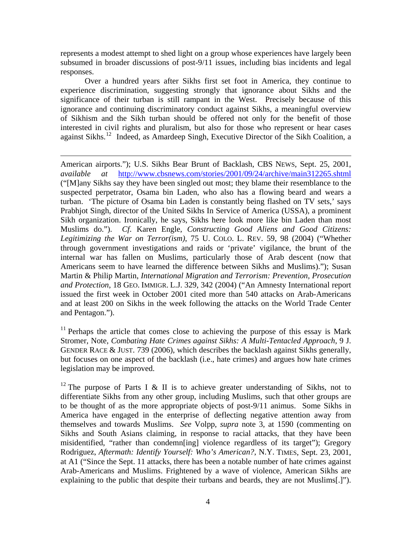represents a modest attempt to shed light on a group whose experiences have largely been subsumed in broader discussions of post-9/11 issues, including bias incidents and legal responses.

 Over a hundred years after Sikhs first set foot in America, they continue to experience discrimination, suggesting strongly that ignorance about Sikhs and the significance of their turban is still rampant in the West. Precisely because of this ignorance and continuing discriminatory conduct against Sikhs, a meaningful overview of Sikhism and the Sikh turban should be offered not only for the benefit of those interested in civil rights and pluralism, but also for those who represent or hear cases against Sikhs.[12](#page-5-0) Indeed, as Amardeep Singh, Executive Director of the Sikh Coalition, a

<u>.</u>

American airports."); U.S. Sikhs Bear Brunt of Backlash, CBS NEWS, Sept. 25, 2001, *available at* <http://www.cbsnews.com/stories/2001/09/24/archive/main312265.shtml> ("[M]any Sikhs say they have been singled out most; they blame their resemblance to the suspected perpetrator, Osama bin Laden, who also has a flowing beard and wears a turban. 'The picture of Osama bin Laden is constantly being flashed on TV sets,' says Prabhjot Singh, director of the United Sikhs In Service of America (USSA), a prominent Sikh organization. Ironically, he says, Sikhs here look more like bin Laden than most Muslims do."). *Cf*. Karen Engle, *Constructing Good Aliens and Good Citizens: Legitimizing the War on Terror(ism)*, 75 U. COLO. L. REV. 59, 98 (2004) ("Whether through government investigations and raids or 'private' vigilance, the brunt of the internal war has fallen on Muslims, particularly those of Arab descent (now that Americans seem to have learned the difference between Sikhs and Muslims)."); Susan Martin & Philip Martin, *International Migration and Terrorism: Prevention, Prosecution and Protection*, 18 GEO. IMMIGR. L.J. 329, 342 (2004) ("An Amnesty International report issued the first week in October 2001 cited more than 540 attacks on Arab-Americans and at least 200 on Sikhs in the week following the attacks on the World Trade Center and Pentagon.").

 $11$  Perhaps the article that comes close to achieving the purpose of this essay is Mark Stromer, Note, *Combating Hate Crimes against Sikhs: A Multi-Tentacled Approach*, 9 J. GENDER RACE & JUST. 739 (2006), which describes the backlash against Sikhs generally, but focuses on one aspect of the backlash (i.e., hate crimes) and argues how hate crimes legislation may be improved.

<span id="page-5-0"></span><sup>12</sup> The purpose of Parts I & II is to achieve greater understanding of Sikhs, not to differentiate Sikhs from any other group, including Muslims, such that other groups are to be thought of as the more appropriate objects of post-9/11 animus. Some Sikhs in America have engaged in the enterprise of deflecting negative attention away from themselves and towards Muslims. *See* Volpp, *supra* note 3, at 1590 (commenting on Sikhs and South Asians claiming, in response to racial attacks, that they have been misidentified, "rather than condemn[ing] violence regardless of its target"); Gregory Rodriguez, *Aftermath: Identify Yourself: Who's American?*, N.Y. TIMES, Sept. 23, 2001, at A1 ("Since the Sept. 11 attacks, there has been a notable number of hate crimes against Arab-Americans and Muslims. Frightened by a wave of violence, American Sikhs are explaining to the public that despite their turbans and beards, they are not Muslims[.]").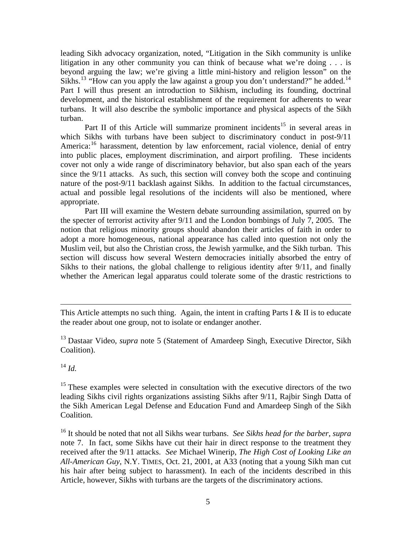leading Sikh advocacy organization, noted, "Litigation in the Sikh community is unlike litigation in any other community you can think of because what we're doing . . . is beyond arguing the law; we're giving a little mini-history and religion lesson" on the Sikhs.<sup>[13](#page-6-0)</sup> "How can you apply the law against a group you don't understand?" he added.<sup>14</sup> Part I will thus present an introduction to Sikhism, including its founding, doctrinal development, and the historical establishment of the requirement for adherents to wear turbans. It will also describe the symbolic importance and physical aspects of the Sikh turban.

Part II of this Article will summarize prominent incidents<sup>[15](#page-6-2)</sup> in several areas in which Sikhs with turbans have been subject to discriminatory conduct in post-9/11 America:<sup>[16](#page-6-3)</sup> harassment, detention by law enforcement, racial violence, denial of entry into public places, employment discrimination, and airport profiling. These incidents cover not only a wide range of discriminatory behavior, but also span each of the years since the 9/11 attacks. As such, this section will convey both the scope and continuing nature of the post-9/11 backlash against Sikhs. In addition to the factual circumstances, actual and possible legal resolutions of the incidents will also be mentioned, where appropriate.

 Part III will examine the Western debate surrounding assimilation, spurred on by the specter of terrorist activity after 9/11 and the London bombings of July 7, 2005. The notion that religious minority groups should abandon their articles of faith in order to adopt a more homogeneous, national appearance has called into question not only the Muslim veil, but also the Christian cross, the Jewish yarmulke, and the Sikh turban. This section will discuss how several Western democracies initially absorbed the entry of Sikhs to their nations, the global challenge to religious identity after 9/11, and finally whether the American legal apparatus could tolerate some of the drastic restrictions to

This Article attempts no such thing. Again, the intent in crafting Parts I  $&$  II is to educate the reader about one group, not to isolate or endanger another.

<span id="page-6-0"></span><sup>13</sup> Dastaar Video, *supra* note 5 (Statement of Amardeep Singh, Executive Director, Sikh Coalition).

<span id="page-6-1"></span> $^{14}$  *Id.* 

 $\overline{a}$ 

<span id="page-6-2"></span><sup>15</sup> These examples were selected in consultation with the executive directors of the two leading Sikhs civil rights organizations assisting Sikhs after 9/11, Rajbir Singh Datta of the Sikh American Legal Defense and Education Fund and Amardeep Singh of the Sikh Coalition.

<span id="page-6-3"></span>16 It should be noted that not all Sikhs wear turbans. *See Sikhs head for the barber*, *supra* note 7. In fact, some Sikhs have cut their hair in direct response to the treatment they received after the 9/11 attacks. *See* Michael Winerip, *The High Cost of Looking Like an All-American Guy*, N.Y. TIMES, Oct. 21, 2001, at A33 (noting that a young Sikh man cut his hair after being subject to harassment). In each of the incidents described in this Article, however, Sikhs with turbans are the targets of the discriminatory actions.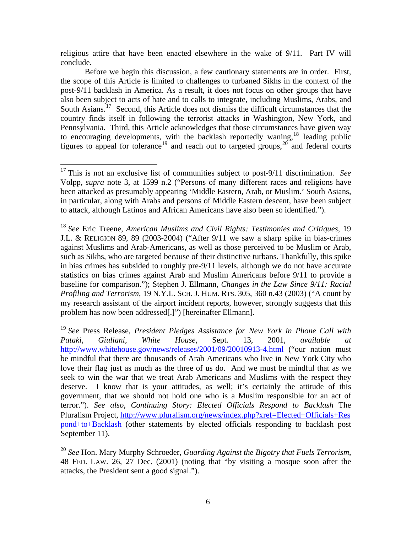religious attire that have been enacted elsewhere in the wake of 9/11. Part IV will conclude.

 Before we begin this discussion, a few cautionary statements are in order. First, the scope of this Article is limited to challenges to turbaned Sikhs in the context of the post-9/11 backlash in America. As a result, it does not focus on other groups that have also been subject to acts of hate and to calls to integrate, including Muslims, Arabs, and South Asians.<sup>[17](#page-7-0)</sup> Second, this Article does not dismiss the difficult circumstances that the country finds itself in following the terrorist attacks in Washington, New York, and Pennsylvania. Third, this Article acknowledges that those circumstances have given way to encouraging developments, with the backlash reportedly waning,<sup>[18](#page-7-1)</sup> leading public figures to appeal for tolerance<sup>[19](#page-7-2)</sup> and reach out to targeted groups,<sup>[20](#page-7-3)</sup> and federal courts

<span id="page-7-1"></span><sup>18</sup> *See* Eric Treene, *American Muslims and Civil Rights: Testimonies and Critiques*, 19 J.L. & RELIGION 89, 89 (2003-2004) ("After 9/11 we saw a sharp spike in bias-crimes against Muslims and Arab-Americans, as well as those perceived to be Muslim or Arab, such as Sikhs, who are targeted because of their distinctive turbans. Thankfully, this spike in bias crimes has subsided to roughly pre-9/11 levels, although we do not have accurate statistics on bias crimes against Arab and Muslim Americans before 9/11 to provide a baseline for comparison."); Stephen J. Ellmann, *Changes in the Law Since 9/11: Racial Profiling and Terrorism*, 19 N.Y.L. SCH. J. HUM. RTS. 305, 360 n.43 (2003) ("A count by my research assistant of the airport incident reports, however, strongly suggests that this problem has now been addressed[.]") [hereinafter Ellmann].

<span id="page-7-2"></span><sup>19</sup> *See* Press Release, *President Pledges Assistance for New York in Phone Call with Pataki, Giuliani, White House*, Sept. 13, 2001, *available at* <http://www.whitehouse.gov/news/releases/2001/09/20010913-4.html>("our nation must be mindful that there are thousands of Arab Americans who live in New York City who love their flag just as much as the three of us do. And we must be mindful that as we seek to win the war that we treat Arab Americans and Muslims with the respect they deserve. I know that is your attitudes, as well; it's certainly the attitude of this government, that we should not hold one who is a Muslim responsible for an act of terror."). *See also*, *Continuing Story: Elected Officials Respond to Backlash* The Pluralism Project, [http://www.pluralism.org/news/index.php?xref=Elected+Officials+Res](http://www.pluralism.org/news/index.php?xref=Elected+Officials+Respond+to+Backlash) [pond+to+Backlash](http://www.pluralism.org/news/index.php?xref=Elected+Officials+Respond+to+Backlash) (other statements by elected officials responding to backlash post September 11).

<span id="page-7-3"></span><sup>20</sup> *See* Hon. Mary Murphy Schroeder, *Guarding Against the Bigotry that Fuels Terrorism*, 48 FED. LAW. 26, 27 Dec. (2001) (noting that "by visiting a mosque soon after the attacks, the President sent a good signal.").

<span id="page-7-0"></span> $\overline{a}$ 17 This is not an exclusive list of communities subject to post-9/11 discrimination. *See*  Volpp, *supra* note 3, at 1599 n.2 ("Persons of many different races and religions have been attacked as presumably appearing 'Middle Eastern, Arab, or Muslim.' South Asians, in particular, along with Arabs and persons of Middle Eastern descent, have been subject to attack, although Latinos and African Americans have also been so identified.").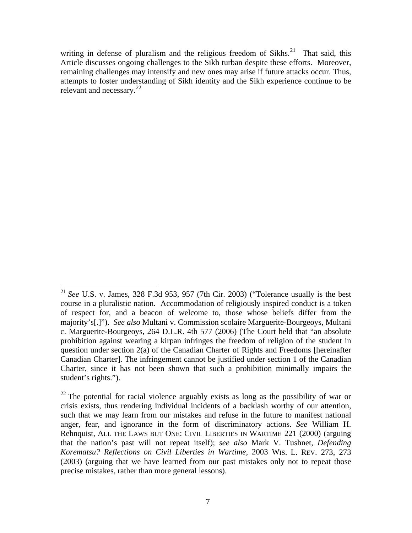writing in defense of pluralism and the religious freedom of Sikhs.<sup>[21](#page-8-0)</sup> That said, this Article discusses ongoing challenges to the Sikh turban despite these efforts. Moreover, remaining challenges may intensify and new ones may arise if future attacks occur. Thus, attempts to foster understanding of Sikh identity and the Sikh experience continue to be relevant and necessary. $^{22}$  $^{22}$  $^{22}$ 

 $\overline{a}$ 

<span id="page-8-0"></span><sup>21</sup> *See* U.S. v. James, 328 F.3d 953, 957 (7th Cir. 2003) ("Tolerance usually is the best course in a pluralistic nation. Accommodation of religiously inspired conduct is a token of respect for, and a beacon of welcome to, those whose beliefs differ from the majority's[.]"). *See also* Multani v. Commission scolaire Marguerite-Bourgeoys, Multani c. Marguerite-Bourgeoys, 264 D.L.R. 4th 577 (2006) (The Court held that "an absolute prohibition against wearing a kirpan infringes the freedom of religion of the student in question under section 2(a) of the Canadian Charter of Rights and Freedoms [hereinafter Canadian Charter]. The infringement cannot be justified under section 1 of the Canadian Charter, since it has not been shown that such a prohibition minimally impairs the student's rights.").

<span id="page-8-1"></span> $22$  The potential for racial violence arguably exists as long as the possibility of war or crisis exists, thus rendering individual incidents of a backlash worthy of our attention, such that we may learn from our mistakes and refuse in the future to manifest national anger, fear, and ignorance in the form of discriminatory actions. *See* William H. Rehnquist, ALL THE LAWS BUT ONE: CIVIL LIBERTIES IN WARTIME 221 (2000) (arguing that the nation's past will not repeat itself); *see also* Mark V. Tushnet, *Defending Korematsu? Reflections on Civil Liberties in Wartime*, 2003 WIS. L. REV. 273, 273 (2003) (arguing that we have learned from our past mistakes only not to repeat those precise mistakes, rather than more general lessons).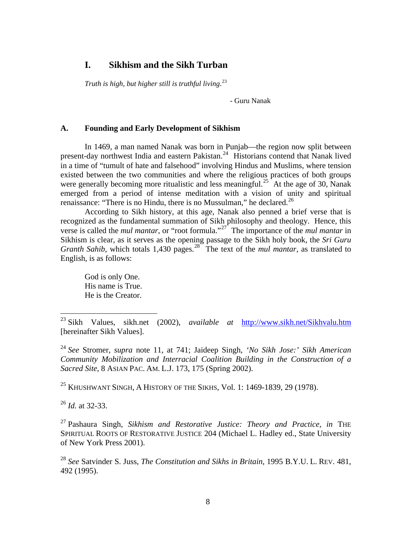#### **I. Sikhism and the Sikh Turban**

*Truth is high, but higher still is truthful living*. [23](#page-9-0)

- Guru Nanak

#### **A. Founding and Early Development of Sikhism**

 In 1469, a man named Nanak was born in Punjab—the region now split between present-day northwest India and eastern Pakistan.<sup>[24](#page-9-1)</sup> Historians contend that Nanak lived in a time of "tumult of hate and falsehood" involving Hindus and Muslims, where tension existed between the two communities and where the religious practices of both groups were generally becoming more ritualistic and less meaningful.<sup>[25](#page-9-2)</sup> At the age of 30, Nanak emerged from a period of intense meditation with a vision of unity and spiritual renaissance: "There is no Hindu, there is no Mussulman," he declared.<sup>[26](#page-9-3)</sup>

 According to Sikh history, at this age, Nanak also penned a brief verse that is recognized as the fundamental summation of Sikh philosophy and theology. Hence, this verse is called the *mul mantar*, or "root formula."[27](#page-9-4) The importance of the *mul mantar* in Sikhism is clear, as it serves as the opening passage to the Sikh holy book, the *Sri Guru Granth Sahib*, which totals 1,430 pages.<sup>[28](#page-9-5)</sup> The text of the *mul mantar*, as translated to English, is as follows:

God is only One. His name is True. He is the Creator.

<span id="page-9-2"></span><sup>25</sup> KHUSHWANT SINGH, A HISTORY OF THE SIKHS, Vol. 1: 1469-1839, 29 (1978).

<span id="page-9-3"></span><sup>26</sup> *Id.* at 32-33.

1

<span id="page-9-4"></span>27 Pashaura Singh, *Sikhism and Restorative Justice: Theory and Practice*, *in* THE SPIRITUAL ROOTS OF RESTORATIVE JUSTICE 204 (Michael L. Hadley ed., State University of New York Press 2001).

<span id="page-9-5"></span><sup>28</sup> *See* Satvinder S. Juss, *The Constitution and Sikhs in Britain*, 1995 B.Y.U. L. REV. 481, 492 (1995).

<span id="page-9-0"></span><sup>23</sup> Sikh Values, sikh.net (2002), *available at* <http://www.sikh.net/Sikhvalu.htm> [hereinafter Sikh Values].

<span id="page-9-1"></span><sup>24</sup> *See* Stromer, *supra* note 11, at 741; Jaideep Singh, *'No Sikh Jose:' Sikh American Community Mobilization and Interracial Coalition Building in the Construction of a Sacred Site*, 8 ASIAN PAC. AM. L.J. 173, 175 (Spring 2002).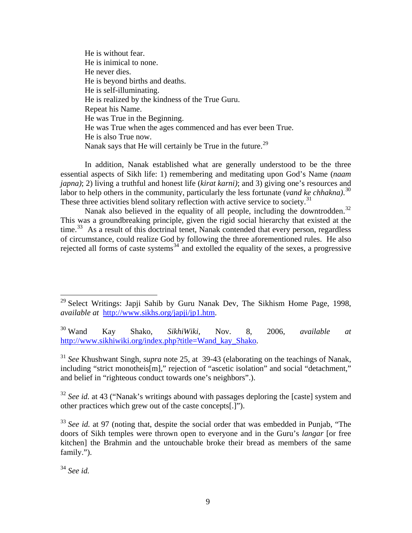He is without fear. He is inimical to none. He never dies. He is beyond births and deaths. He is self-illuminating. He is realized by the kindness of the True Guru. Repeat his Name. He was True in the Beginning. He was True when the ages commenced and has ever been True. He is also True now. Nanak says that He will certainly be True in the future.<sup>[29](#page-10-0)</sup>

 In addition, Nanak established what are generally understood to be the three essential aspects of Sikh life: 1) remembering and meditating upon God's Name (*naam japna)*; 2) living a truthful and honest life (*kirat karni)*; and 3) giving one's resources and labor to help others in the community, particularly the less fortunate (*vand ke chhakna)*. [30](#page-10-1)  These three activities blend solitary reflection with active service to society.<sup>[31](#page-10-2)</sup>

Nanak also believed in the equality of all people, including the downtrodden.<sup>[32](#page-10-3)</sup> This was a groundbreaking principle, given the rigid social hierarchy that existed at the time.<sup>[33](#page-10-4)</sup> As a result of this doctrinal tenet, Nanak contended that every person, regardless of circumstance, could realize God by following the three aforementioned rules. He also rejected all forms of caste systems $34$  and extolled the equality of the sexes, a progressive

<span id="page-10-2"></span><sup>31</sup> *See* Khushwant Singh, *supra* note 25, at 39-43 (elaborating on the teachings of Nanak, including "strict monotheis[m]," rejection of "ascetic isolation" and social "detachment," and belief in "righteous conduct towards one's neighbors".).

<span id="page-10-3"></span><sup>32</sup> See id. at 43 ("Nanak's writings abound with passages deploring the [caste] system and other practices which grew out of the caste concepts[.]").

 $\overline{a}$ 

<span id="page-10-0"></span> $29$  Select Writings: Japji Sahib by Guru Nanak Dev, The Sikhism Home Page, 1998, *available at* <http://www.sikhs.org/japji/jp1.htm>.

<span id="page-10-1"></span><sup>30</sup> Wand Kay Shako, *SikhiWiki*, Nov. 8, 2006, *available at* [http://www.sikhiwiki.org/index.php?title=Wand\\_kay\\_Shako](http://www.sikhiwiki.org/index.php?title=Wand_kay_Shako).

<span id="page-10-4"></span><sup>&</sup>lt;sup>33</sup> See id. at 97 (noting that, despite the social order that was embedded in Punjab, "The doors of Sikh temples were thrown open to everyone and in the Guru's *langar* [or free kitchen] the Brahmin and the untouchable broke their bread as members of the same family.").

<span id="page-10-5"></span><sup>34</sup> *See id.*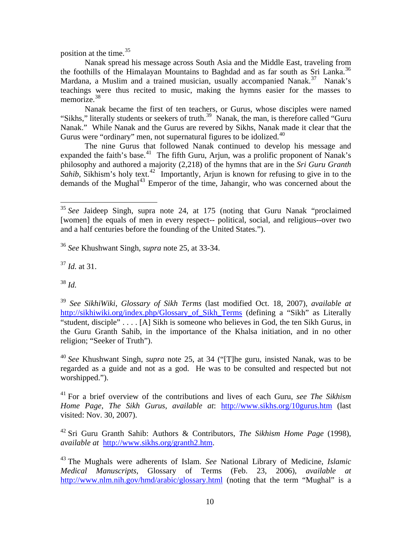position at the time.<sup>[35](#page-11-0)</sup>

 Nanak spread his message across South Asia and the Middle East, traveling from the foothills of the Himalayan Mountains to Baghdad and as far south as Sri Lanka.<sup>[36](#page-11-1)</sup> Mardana, a Muslim and a trained musician, usually accompanied Nanak.<sup>[37](#page-11-2)</sup> Nanak's teachings were thus recited to music, making the hymns easier for the masses to memorize.<sup>[38](#page-11-3)</sup>

 Nanak became the first of ten teachers, or Gurus, whose disciples were named "Sikhs," literally students or seekers of truth.<sup>[39](#page-11-4)</sup> Nanak, the man, is therefore called "Guru" Nanak." While Nanak and the Gurus are revered by Sikhs, Nanak made it clear that the Gurus were "ordinary" men, not supernatural figures to be idolized.<sup>[40](#page-11-5)</sup>

 The nine Gurus that followed Nanak continued to develop his message and expanded the faith's base.<sup>[41](#page-11-6)</sup> The fifth Guru, Arjun, was a prolific proponent of Nanak's philosophy and authored a majority (2,218) of the hymns that are in the *Sri Guru Granth Sahib*, Sikhism's holy text.<sup>[42](#page-11-7)</sup> Importantly, Arjun is known for refusing to give in to the demands of the Mughal $^{43}$  $^{43}$  $^{43}$  Emperor of the time, Jahangir, who was concerned about the

<span id="page-11-1"></span><sup>36</sup> *See* Khushwant Singh, *supra* note 25, at 33-34.

<span id="page-11-2"></span><sup>37</sup> *Id.* at 31.

<span id="page-11-3"></span><sup>38</sup> *Id.* 

 $\overline{a}$ 

<span id="page-11-5"></span><sup>40</sup> *See* Khushwant Singh, *supra* note 25, at 34 ("[T]he guru, insisted Nanak, was to be regarded as a guide and not as a god. He was to be consulted and respected but not worshipped.").

<span id="page-11-6"></span>41 For a brief overview of the contributions and lives of each Guru, *see The Sikhism Home Page*, *The Sikh Gurus*, *available at*: <http://www.sikhs.org/10gurus.htm>(last visited: Nov. 30, 2007).

<span id="page-11-7"></span>42 Sri Guru Granth Sahib: Authors & Contributors, *The Sikhism Home Page* (1998), *available at* [http://www.sikhs.org/granth2.htm.](http://www.sikhs.org/granth2.htm)

<span id="page-11-0"></span><sup>&</sup>lt;sup>35</sup> See Jaideep Singh, supra note 24, at 175 (noting that Guru Nanak "proclaimed [women] the equals of men in every respect-- political, social, and religious--over two and a half centuries before the founding of the United States.").

<span id="page-11-4"></span><sup>39</sup> *See SikhiWiki*, *Glossary of Sikh Terms* (last modified Oct. 18, 2007), *available at* [http://sikhiwiki.org/index.php/Glossary\\_of\\_Sikh\\_Terms](http://sikhiwiki.org/index.php/Glossary_of_Sikh_Terms) (defining a "Sikh" as Literally "student, disciple" . . . . [A] Sikh is someone who believes in God, the ten Sikh Gurus, in the Guru Granth Sahib, in the importance of the Khalsa initiation, and in no other religion; "Seeker of Truth").

<span id="page-11-8"></span><sup>43</sup> The Mughals were adherents of Islam. *See* National Library of Medicine, *Islamic Medical Manuscripts*, Glossary of Terms (Feb. 23, 2006), *available at* <http://www.nlm.nih.gov/hmd/arabic/glossary.html> (noting that the term "Mughal" is a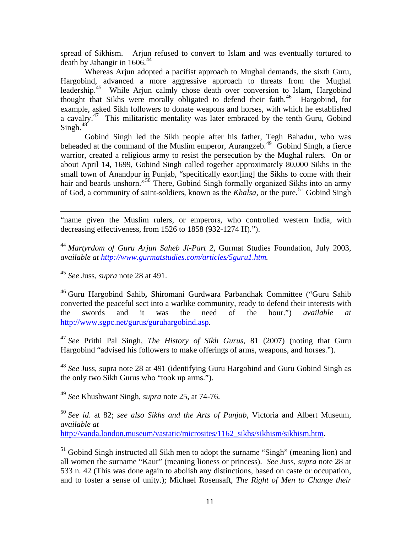spread of Sikhism. Arjun refused to convert to Islam and was eventually tortured to death by Jahangir in 1606.<sup>[44](#page-12-0)</sup>

 Whereas Arjun adopted a pacifist approach to Mughal demands, the sixth Guru, Hargobind, advanced a more aggressive approach to threats from the Mughal leadership.<sup>[45](#page-12-1)</sup> While Arjun calmly chose death over conversion to Islam, Hargobind thought that Sikhs were morally obligated to defend their faith.<sup>[46](#page-12-2)</sup> Hargobind, for example, asked Sikh followers to donate weapons and horses, with which he established a cavalry.[47](#page-12-3) This militaristic mentality was later embraced by the tenth Guru, Gobind  $Sineh.<sup>48</sup>$  $Sineh.<sup>48</sup>$  $Sineh.<sup>48</sup>$ 

 Gobind Singh led the Sikh people after his father, Tegh Bahadur, who was beheaded at the command of the Muslim emperor, Aurangzeb.<sup>[49](#page-12-5)</sup> Gobind Singh, a fierce warrior, created a religious army to resist the persecution by the Mughal rulers. On or about April 14, 1699, Gobind Singh called together approximately 80,000 Sikhs in the small town of Anandpur in Punjab, "specifically exort[ing] the Sikhs to come with their hair and beards unshorn."<sup>[50](#page-12-6)</sup> There, Gobind Singh formally organized Sikhs into an army of God, a community of saint-soldiers, known as the *Khalsa*, or the pure.<sup>[51](#page-12-7)</sup> Gobind Singh

"name given the Muslim rulers, or emperors, who controlled western India, with decreasing effectiveness, from 1526 to 1858 (932-1274 H).").

<span id="page-12-0"></span><sup>44</sup> *Martyrdom of Guru Arjun Saheb Ji-Part 2*, Gurmat Studies Foundation, July 2003, *available at [http://www.gurmatstudies.com/articles/5guru1.htm.](http://www.gurmatstudies.com/articles/5guru1.htm)* 

<span id="page-12-1"></span><sup>45</sup> *See* Juss, *supra* note 28 at 491.

 $\overline{a}$ 

<span id="page-12-2"></span>46 Guru Hargobind Sahib**,** Shiromani Gurdwara Parbandhak Committee ("Guru Sahib converted the peaceful sect into a warlike community, ready to defend their interests with the swords and it was the need of the hour.") *available at* <http://www.sgpc.net/gurus/guruhargobind.asp>.

<span id="page-12-3"></span><sup>47</sup> *See* Prithi Pal Singh, *The History of Sikh Gurus*, 81 (2007) (noting that Guru Hargobind "advised his followers to make offerings of arms, weapons, and horses.").

<span id="page-12-4"></span><sup>48</sup> *See* Juss, supra note 28 at 491 (identifying Guru Hargobind and Guru Gobind Singh as the only two Sikh Gurus who "took up arms.").

<span id="page-12-5"></span><sup>49</sup> *See* Khushwant Singh, *supra* note 25, at 74-76.

<span id="page-12-6"></span><sup>50</sup> *See id*. at 82; *see also Sikhs and the Arts of Punjab*, Victoria and Albert Museum, *available at* [http://vanda.london.museum/vastatic/microsites/1162\\_sikhs/sikhism/sikhism.htm.](http://vanda.london.museum/vastatic/microsites/1162_sikhs/sikhism/sikhism.htm)

<span id="page-12-7"></span><sup>51</sup> Gobind Singh instructed all Sikh men to adopt the surname "Singh" (meaning lion) and all women the surname "Kaur" (meaning lioness or princess). *See* Juss, *supra* note 28 at 533 n. 42 (This was done again to abolish any distinctions, based on caste or occupation, and to foster a sense of unity.); Michael Rosensaft, *The Right of Men to Change their*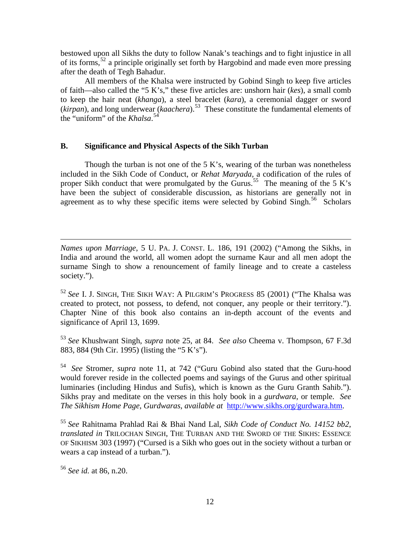bestowed upon all Sikhs the duty to follow Nanak's teachings and to fight injustice in all of its forms,[52](#page-13-0) a principle originally set forth by Hargobind and made even more pressing after the death of Tegh Bahadur.

 All members of the Khalsa were instructed by Gobind Singh to keep five articles of faith—also called the "5 K's," these five articles are: unshorn hair (*kes*), a small comb to keep the hair neat (*khanga*), a steel bracelet (*kara*), a ceremonial dagger or sword (*kirpan*), and long underwear (*kaachera*).[53](#page-13-1) These constitute the fundamental elements of the "uniform" of the *Khalsa*. [54](#page-13-2)

#### **B. Significance and Physical Aspects of the Sikh Turban**

 Though the turban is not one of the 5 K's, wearing of the turban was nonetheless included in the Sikh Code of Conduct, or *Rehat Maryada,* a codification of the rules of proper Sikh conduct that were promulgated by the Gurus.<sup>[55](#page-13-3)</sup> The meaning of the 5 K's have been the subject of considerable discussion, as historians are generally not in agreement as to why these specific items were selected by Gobind Singh.<sup>[56](#page-13-4)</sup> Scholars

 $\overline{a}$ *Names upon Marriage*, 5 U. PA. J. CONST. L. 186, 191 (2002) ("Among the Sikhs, in India and around the world, all women adopt the surname Kaur and all men adopt the surname Singh to show a renouncement of family lineage and to create a casteless society.").

<span id="page-13-0"></span><sup>52</sup> *See* I. J. SINGH, THE SIKH WAY: A PILGRIM'S PROGRESS 85 (2001) ("The Khalsa was created to protect, not possess, to defend, not conquer, any people or their territory."). Chapter Nine of this book also contains an in-depth account of the events and significance of April 13, 1699.

<span id="page-13-1"></span><sup>53</sup> *See* Khushwant Singh, *supra* note 25, at 84. *See also* Cheema v. Thompson, 67 F.3d 883, 884 (9th Cir. 1995) (listing the "5 K's").

<span id="page-13-2"></span><sup>54</sup> *See* Stromer, *supra* note 11, at 742 ("Guru Gobind also stated that the Guru-hood would forever reside in the collected poems and sayings of the Gurus and other spiritual luminaries (including Hindus and Sufis), which is known as the Guru Granth Sahib."). Sikhs pray and meditate on the verses in this holy book in a *gurdwara*, or temple. *See The Sikhism Home Page*, *Gurdwaras*, *available at* [http://www.sikhs.org/gurdwara.htm.](http://www.sikhs.org/gurdwara.htm)

<span id="page-13-3"></span><sup>55</sup> *See* Rahitnama Prahlad Rai & Bhai Nand Lal, *Sikh Code of Conduct No. 14152 bb2*, *translated in* TRILOCHAN SINGH, THE TURBAN AND THE SWORD OF THE SIKHS: ESSENCE OF SIKHISM 303 (1997) ("Cursed is a Sikh who goes out in the society without a turban or wears a cap instead of a turban.").

<span id="page-13-4"></span><sup>56</sup> *See id.* at 86, n.20.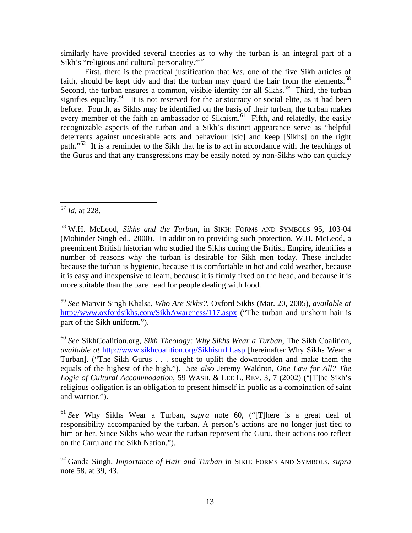similarly have provided several theories as to why the turban is an integral part of a Sikh's "religious and cultural personality."<sup>[57](#page-14-0)</sup>

 First, there is the practical justification that *kes*, one of the five Sikh articles of faith, should be kept tidy and that the turban may guard the hair from the elements.<sup>58</sup> Second, the turban ensures a common, visible identity for all Sikhs.<sup>[59](#page-14-2)</sup> Third, the turban signifies equality.<sup>[60](#page-14-3)</sup> It is not reserved for the aristocracy or social elite, as it had been before. Fourth, as Sikhs may be identified on the basis of their turban, the turban makes every member of the faith an ambassador of Sikhism.<sup>[61](#page-14-4)</sup> Fifth, and relatedly, the easily recognizable aspects of the turban and a Sikh's distinct appearance serve as "helpful deterrents against undesirable acts and behaviour [sic] and keep [Sikhs] on the right path."[62](#page-14-5) It is a reminder to the Sikh that he is to act in accordance with the teachings of the Gurus and that any transgressions may be easily noted by non-Sikhs who can quickly

<span id="page-14-2"></span><sup>59</sup> *See* Manvir Singh Khalsa, *Who Are Sikhs?*, Oxford Sikhs (Mar. 20, 2005), *available at* <http://www.oxfordsikhs.com/SikhAwareness/117.aspx> ("The turban and unshorn hair is part of the Sikh uniform.").

<span id="page-14-3"></span><sup>60</sup> *See* SikhCoalition.org, *Sikh Theology: Why Sikhs Wear a Turban*, The Sikh Coalition, *available at* <http://www.sikhcoalition.org/Sikhism11.asp> [hereinafter Why Sikhs Wear a Turban]. ("The Sikh Gurus . . . sought to uplift the downtrodden and make them the equals of the highest of the high."). *See also* Jeremy Waldron, *One Law for All? The Logic of Cultural Accommodation*, 59 WASH. & LEE L. REV. 3, 7 (2002) ("[T]he Sikh's religious obligation is an obligation to present himself in public as a combination of saint and warrior.").

<span id="page-14-4"></span><sup>61</sup> *See* Why Sikhs Wear a Turban, *supra* note 60, ("[T]here is a great deal of responsibility accompanied by the turban. A person's actions are no longer just tied to him or her. Since Sikhs who wear the turban represent the Guru, their actions too reflect on the Guru and the Sikh Nation.").

<span id="page-14-5"></span>62 Ganda Singh, *Importance of Hair and Turban* in SIKH: FORMS AND SYMBOLS, *supra* note 58, at 39, 43.

<span id="page-14-0"></span> $\overline{a}$ <sup>57</sup> *Id.* at 228.

<span id="page-14-1"></span><sup>58</sup> W.H. McLeod, *Sikhs and the Turban*, in SIKH: FORMS AND SYMBOLS 95, 103-04 (Mohinder Singh ed., 2000). In addition to providing such protection, W.H. McLeod, a preeminent British historian who studied the Sikhs during the British Empire, identifies a number of reasons why the turban is desirable for Sikh men today. These include: because the turban is hygienic, because it is comfortable in hot and cold weather, because it is easy and inexpensive to learn, because it is firmly fixed on the head, and because it is more suitable than the bare head for people dealing with food.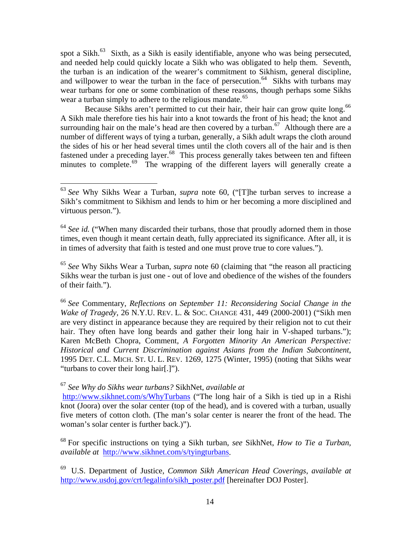spot a Sikh.<sup>[63](#page-15-0)</sup> Sixth, as a Sikh is easily identifiable, anyone who was being persecuted, and needed help could quickly locate a Sikh who was obligated to help them. Seventh, the turban is an indication of the wearer's commitment to Sikhism, general discipline, and willpower to wear the turban in the face of persecution.<sup>[64](#page-15-1)</sup> Sikhs with turbans may wear turbans for one or some combination of these reasons, though perhaps some Sikhs wear a turban simply to adhere to the religious mandate.<sup>[65](#page-15-2)</sup>

Because Sikhs aren't permitted to cut their hair, their hair can grow quite long.<sup>[66](#page-15-3)</sup> A Sikh male therefore ties his hair into a knot towards the front of his head; the knot and surrounding hair on the male's head are then covered by a turban.<sup>[67](#page-15-4)</sup> Although there are a number of different ways of tying a turban, generally, a Sikh adult wraps the cloth around the sides of his or her head several times until the cloth covers all of the hair and is then fastened under a preceding layer.<sup>[68](#page-15-5)</sup> This process generally takes between ten and fifteen minutes to complete.<sup>[69](#page-15-6)</sup> The wrapping of the different layers will generally create a

<span id="page-15-2"></span><sup>65</sup> *See* Why Sikhs Wear a Turban, *supra* note 60 (claiming that "the reason all practicing Sikhs wear the turban is just one - out of love and obedience of the wishes of the founders of their faith.").

<span id="page-15-3"></span><sup>66</sup> *See* Commentary, *Reflections on September 11: Reconsidering Social Change in the Wake of Tragedy*, 26 N.Y.U. REV. L. & SOC. CHANGE 431, 449 (2000-2001) ("Sikh men are very distinct in appearance because they are required by their religion not to cut their hair. They often have long beards and gather their long hair in V-shaped turbans."); Karen McBeth Chopra, Comment, *A Forgotten Minority An American Perspective: Historical and Current Discrimination against Asians from the Indian Subcontinent*, 1995 DET. C.L. MICH. ST. U. L. REV. 1269, 1275 (Winter, 1995) (noting that Sikhs wear "turbans to cover their long hair[.]").

<span id="page-15-4"></span><sup>67</sup> *See Why do Sikhs wear turbans?* SikhNet, *available at* 

1

<http://www.sikhnet.com/s/WhyTurbans>("The long hair of a Sikh is tied up in a Rishi knot (Joora) over the solar center (top of the head), and is covered with a turban, usually five meters of cotton cloth. (The man's solar center is nearer the front of the head. The woman's solar center is further back.)").

<span id="page-15-5"></span>68 For specific instructions on tying a Sikh turban, *see* SikhNet, *How to Tie a Turban, available at* <http://www.sikhnet.com/s/tyingturbans>.

<span id="page-15-6"></span>69 U.S. Department of Justice, *Common Sikh American Head Coverings*, *available at* [http://www.usdoj.gov/crt/legalinfo/sikh\\_poster.pdf](http://www.usdoj.gov/crt/legalinfo/sikh_poster.pdf) [hereinafter DOJ Poster].

<span id="page-15-0"></span><sup>63</sup> *See* Why Sikhs Wear a Turban, *supra* note 60, ("[T]he turban serves to increase a Sikh's commitment to Sikhism and lends to him or her becoming a more disciplined and virtuous person.").

<span id="page-15-1"></span><sup>&</sup>lt;sup>64</sup> See id. ("When many discarded their turbans, those that proudly adorned them in those times, even though it meant certain death, fully appreciated its significance. After all, it is in times of adversity that faith is tested and one must prove true to core values.").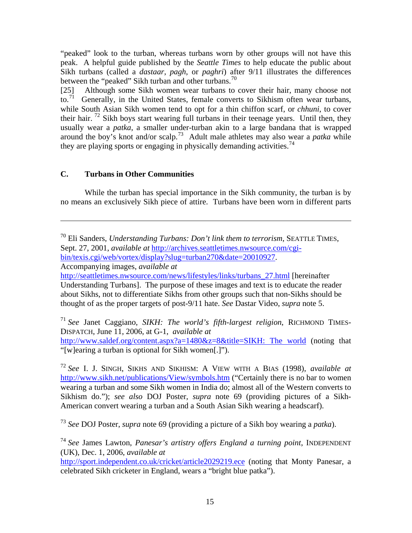"peaked" look to the turban, whereas turbans worn by other groups will not have this peak. A helpful guide published by the *Seattle Times* to help educate the public about Sikh turbans (called a *dastaar*, *pagh*, or *paghri*) after 9/11 illustrates the differences between the "peaked" Sikh turban and other turbans.<sup>[70](#page-16-0)</sup>

[25] Although some Sikh women wear turbans to cover their hair, many choose not to.<sup>[71](#page-16-1)</sup> Generally, in the United States, female converts to Sikhism often wear turbans, while South Asian Sikh women tend to opt for a thin chiffon scarf, or *chhuni*, to cover their hair.  $^{72}$  $^{72}$  $^{72}$  Sikh boys start wearing full turbans in their teenage years. Until then, they usually wear a *patka*, a smaller under-turban akin to a large bandana that is wrapped around the boy's knot and/or scalp.[73](#page-16-3) Adult male athletes may also wear a *patka* while they are playing sports or engaging in physically demanding activities.<sup>[74](#page-16-4)</sup>

#### **C. Turbans in Other Communities**

 $\overline{a}$ 

 While the turban has special importance in the Sikh community, the turban is by no means an exclusively Sikh piece of attire. Turbans have been worn in different parts

<span id="page-16-1"></span><sup>71</sup> *See* Janet Caggiano, *SIKH: The world's fifth-largest religion*, RICHMOND TIMES-DISPATCH, June 11, 2006, at G-1, *available at*

[http://www.saldef.org/content.aspx?a=1480&z=8&title=SIKH: The world](http://www.saldef.org/content.aspx?a=1480&z=8&title=SIKH:%20The%20world) (noting that "[w]earing a turban is optional for Sikh women[.]").

<span id="page-16-2"></span><sup>72</sup> *See* I. J. SINGH, SIKHS AND SIKHISM: A VIEW WITH A BIAS (1998), *available at* <http://www.sikh.net/publications/View/symbols.htm>("Certainly there is no bar to women wearing a turban and some Sikh women in India do; almost all of the Western converts to Sikhism do."); *see also* DOJ Poster, *supra* note 69 (providing pictures of a Sikh-American convert wearing a turban and a South Asian Sikh wearing a headscarf).

<span id="page-16-3"></span><sup>73</sup> *See* DOJ Poster, *supra* note 69 (providing a picture of a Sikh boy wearing a *patka*).

<span id="page-16-4"></span><sup>74</sup> *See* James Lawton, *Panesar's artistry offers England a turning point*, INDEPENDENT (UK), Dec. 1, 2006, *available at*

<http://sport.independent.co.uk/cricket/article2029219.ece>(noting that Monty Panesar, a celebrated Sikh cricketer in England, wears a "bright blue patka").

<span id="page-16-0"></span><sup>70</sup> Eli Sanders, *Understanding Turbans: Don't link them to terrorism*, SEATTLE TIMES, Sept. 27, 2001, *available at* [http://archives.seattletimes.nwsource.com/cgi](http://archives.seattletimes.nwsource.com/cgi-bin/texis.cgi/web/vortex/display?slug=turban270&date=20010927)[bin/texis.cgi/web/vortex/display?slug=turban270&date=20010927](http://archives.seattletimes.nwsource.com/cgi-bin/texis.cgi/web/vortex/display?slug=turban270&date=20010927). Accompanying images, *available at*

[http://seattletimes.nwsource.com/news/lifestyles/links/turbans\\_27.html](http://seattletimes.nwsource.com/news/lifestyles/links/turbans_27.html) [hereinafter Understanding Turbans]. The purpose of these images and text is to educate the reader about Sikhs, not to differentiate Sikhs from other groups such that non-Sikhs should be thought of as the proper targets of post-9/11 hate. *See* Dastar Video, *supra* note 5.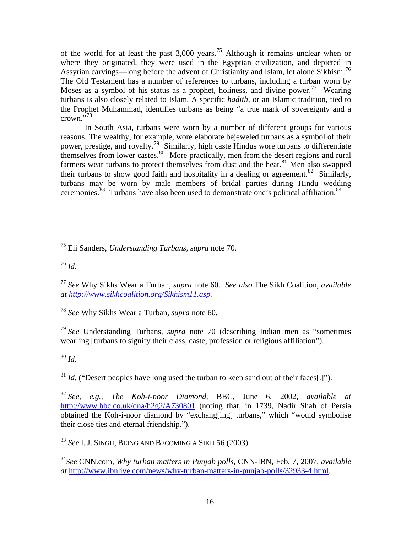of the world for at least the past 3,000 years.[75](#page-17-0) Although it remains unclear when or where they originated, they were used in the Egyptian civilization, and depicted in Assyrian carvings—long before the advent of Christianity and Islam, let alone Sikhism.<sup>[76](#page-17-1)</sup> The Old Testament has a number of references to turbans, including a turban worn by Moses as a symbol of his status as a prophet, holiness, and divine power.<sup>[77](#page-17-2)</sup> Wearing turbans is also closely related to Islam. A specific *hadith*, or an Islamic tradition, tied to the Prophet Muhammad, identifies turbans as being "a true mark of sovereignty and a crown."[78](#page-17-3)

 In South Asia, turbans were worn by a number of different groups for various reasons. The wealthy, for example, wore elaborate bejeweled turbans as a symbol of their power, prestige, and royalty.<sup>[79](#page-17-4)</sup> Similarly, high caste Hindus wore turbans to differentiate themselves from lower castes. $80$  More practically, men from the desert regions and rural farmers wear turbans to protect themselves from dust and the heat.<sup>[81](#page-17-6)</sup> Men also swapped their turbans to show good faith and hospitality in a dealing or agreement.<sup>[82](#page-17-7)</sup> Similarly, turbans may be worn by male members of bridal parties during Hindu wedding ceremonies.<sup>[83](#page-17-8)</sup> Turbans have also been used to demonstrate one's political affiliation.<sup>[84](#page-17-9)</sup>

<span id="page-17-3"></span><sup>78</sup> *See* Why Sikhs Wear a Turban, *supra* note 60*.* 

<span id="page-17-4"></span><sup>79</sup> *See* Understanding Turbans, *supra* note 70 (describing Indian men as "sometimes wear[ing] turbans to signify their class, caste, profession or religious affiliation").

<span id="page-17-5"></span><sup>80</sup> *Id.* 

<span id="page-17-6"></span> $81$  *Id.* ("Desert peoples have long used the turban to keep sand out of their faces[.]").

<span id="page-17-7"></span><sup>82</sup> *See, e.g., The Koh-i-noor Diamond*, BBC, June 6, 2002, *available at* <http://www.bbc.co.uk/dna/h2g2/A730801> (noting that, in 1739, Nadir Shah of Persia obtained the Koh-i-noor diamond by "exchang[ing] turbans," which "would symbolise their close ties and eternal friendship.").

<span id="page-17-8"></span><sup>83</sup> *See* I. J. SINGH, BEING AND BECOMING A SIKH 56 (2003).

<span id="page-17-9"></span><sup>84</sup>*See* CNN.com, *Why turban matters in Punjab polls*, CNN-IBN, Feb. 7, 2007, *available at* [http://www.ibnlive.com/news/why-turban-matters-in-punjab-polls/32933-4.html.](http://www.ibnlive.com/news/why-turban-matters-in-punjab-polls/32933-4.html)

<span id="page-17-0"></span> $\overline{a}$ 75 Eli Sanders, *Understanding Turbans, supra* note 70.

<span id="page-17-1"></span> $^{76}$  *Id.* 

<span id="page-17-2"></span><sup>77</sup> *See* Why Sikhs Wear a Turban, *supra* note 60. *See also* The Sikh Coalition, *available at [http://www.sikhcoalition.org/Sikhism11.asp.](http://www.sikhcoalition.org/Sikhism11.asp)*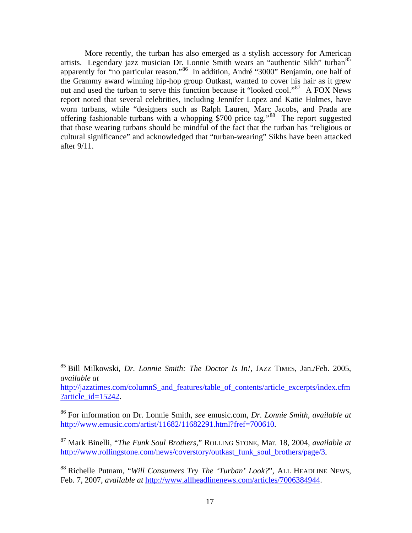More recently, the turban has also emerged as a stylish accessory for American artists. Legendary jazz musician Dr. Lonnie Smith wears an "authentic Sikh" turban<sup>[85](#page-18-0)</sup> apparently for "no particular reason."<sup>[86](#page-18-1)</sup> In addition, André "3000" Benjamin, one half of the Grammy award winning hip-hop group Outkast, wanted to cover his hair as it grew out and used the turban to serve this function because it "looked cool."[87](#page-18-2) A FOX News report noted that several celebrities, including Jennifer Lopez and Katie Holmes, have worn turbans, while "designers such as Ralph Lauren, Marc Jacobs, and Prada are offering fashionable turbans with a whopping \$700 price tag."[88](#page-18-3) The report suggested that those wearing turbans should be mindful of the fact that the turban has "religious or cultural significance" and acknowledged that "turban-wearing" Sikhs have been attacked after 9/11.

 $\overline{a}$ 

[http://jazztimes.com/columnS\\_and\\_features/table\\_of\\_contents/article\\_excerpts/index.cfm](http://jazztimes.com/columnS_and_features/table_of_contents/article_excerpts/index.cfm?article_id=15242) [?article\\_id=15242](http://jazztimes.com/columnS_and_features/table_of_contents/article_excerpts/index.cfm?article_id=15242).

<span id="page-18-0"></span><sup>85</sup> Bill Milkowski, *Dr. Lonnie Smith: The Doctor Is In!,* JAZZ TIMES, Jan./Feb. 2005, *available at* 

<span id="page-18-1"></span><sup>86</sup> For information on Dr. Lonnie Smith, *see* emusic.com, *Dr. Lonnie Smith*, *available at* [http://www.emusic.com/artist/11682/11682291.html?fref=700610.](http://www.emusic.com/artist/11682/11682291.html?fref=700610)

<span id="page-18-2"></span><sup>87</sup> Mark Binelli, "*The Funk Soul Brothers*," ROLLING STONE, Mar. 18, 2004, *available at*  [http://www.rollingstone.com/news/coverstory/outkast\\_funk\\_soul\\_brothers/page/3](http://www.rollingstone.com/news/coverstory/outkast_funk_soul_brothers/page/3).

<span id="page-18-3"></span><sup>88</sup> Richelle Putnam, "*Will Consumers Try The 'Turban' Look?*", ALL HEADLINE NEWS, Feb. 7, 2007, *available at* [http://www.allheadlinenews.com/articles/7006384944.](http://www.allheadlinenews.com/articles/7006384944)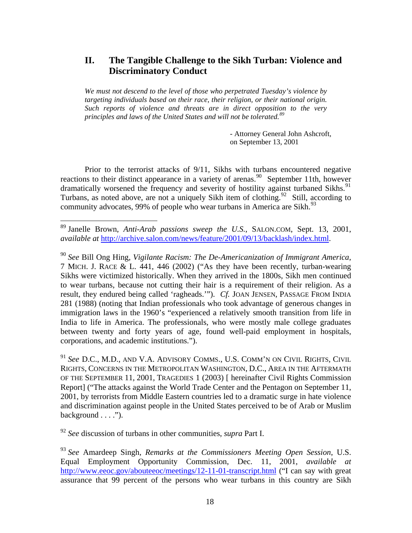## **II. The Tangible Challenge to the Sikh Turban: Violence and Discriminatory Conduct**

*We must not descend to the level of those who perpetrated Tuesday's violence by targeting individuals based on their race, their religion, or their national origin. Such reports of violence and threats are in direct opposition to the very principles and laws of the United States and will not be tolerated.[89](#page-19-0)*

> - Attorney General John Ashcroft, on September 13, 2001

 Prior to the terrorist attacks of 9/11, Sikhs with turbans encountered negative reactions to their distinct appearance in a variety of arenas.<sup>[90](#page-19-1)</sup> September 11th, however dramatically worsened the frequency and severity of hostility against turbaned Sikhs.<sup>[91](#page-19-2)</sup> Turbans, as noted above, are not a uniquely Sikh item of clothing.<sup>[92](#page-19-3)</sup> Still, according to community advocates, 99% of people who wear turbans in America are Sikh.<sup>[93](#page-19-4)</sup>

<span id="page-19-1"></span><sup>90</sup> *See* Bill Ong Hing, *Vigilante Racism: The De-Americanization of Immigrant America*, 7 MICH. J. RACE & L. 441, 446 (2002) ("As they have been recently, turban-wearing Sikhs were victimized historically. When they arrived in the 1800s, Sikh men continued to wear turbans, because not cutting their hair is a requirement of their religion. As a result, they endured being called 'ragheads.'"). *Cf.* JOAN JENSEN, PASSAGE FROM INDIA 281 (1988) (noting that Indian professionals who took advantage of generous changes in immigration laws in the 1960's "experienced a relatively smooth transition from life in India to life in America. The professionals, who were mostly male college graduates between twenty and forty years of age, found well-paid employment in hospitals, corporations, and academic institutions.").

<span id="page-19-2"></span><sup>91</sup> *See* D.C., M.D., AND V.A. ADVISORY COMMS., U.S. COMM'N ON CIVIL RIGHTS, CIVIL RIGHTS, CONCERNS IN THE METROPOLITAN WASHINGTON, D.C., AREA IN THE AFTERMATH OF THE SEPTEMBER 11, 2001, TRAGEDIES 1 (2003) [ hereinafter Civil Rights Commission Report] ("The attacks against the World Trade Center and the Pentagon on September 11, 2001, by terrorists from Middle Eastern countries led to a dramatic surge in hate violence and discrimination against people in the United States perceived to be of Arab or Muslim background . . . .").

<span id="page-19-3"></span><sup>92</sup> *See* discussion of turbans in other communities, *supra* Part I.

 $\overline{a}$ 

<span id="page-19-0"></span><sup>89</sup> Janelle Brown, *Anti-Arab passions sweep the U.S.*, SALON.COM, Sept. 13, 2001, *available at* [http://archive.salon.com/news/feature/2001/09/13/backlash/index.html.](http://archive.salon.com/news/feature/2001/09/13/backlash/index.html)

<span id="page-19-4"></span><sup>93</sup> *See* Amardeep Singh, *Remarks at the Commissioners Meeting Open Session*, U.S. Equal Employment Opportunity Commission, Dec. 11, 2001, *available at* <http://www.eeoc.gov/abouteeoc/meetings/12-11-01-transcript.html>("I can say with great assurance that 99 percent of the persons who wear turbans in this country are Sikh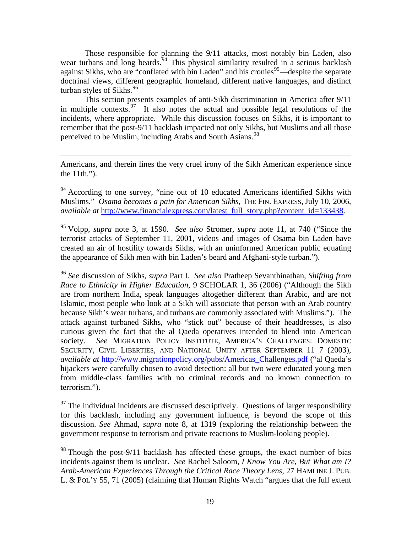Those responsible for planning the 9/11 attacks, most notably bin Laden, also wear turbans and long beards.<sup>[94](#page-20-0)</sup> This physical similarity resulted in a serious backlash against Sikhs, who are "conflated with bin Laden" and his cronies $95$ —despite the separate doctrinal views, different geographic homeland, different native languages, and distinct turban styles of Sikhs. $96$ 

 This section presents examples of anti-Sikh discrimination in America after 9/11 in multiple contexts.<sup>[97](#page-20-3)</sup> It also notes the actual and possible legal resolutions of the incidents, where appropriate. While this discussion focuses on Sikhs, it is important to remember that the post-9/11 backlash impacted not only Sikhs, but Muslims and all those perceived to be Muslim, including Arabs and South Asians.<sup>[98](#page-20-4)</sup>

Americans, and therein lines the very cruel irony of the Sikh American experience since the 11th.").

<u>.</u>

<span id="page-20-0"></span> $94$  According to one survey, "nine out of 10 educated Americans identified Sikhs with Muslims." *Osama becomes a pain for American Sikhs*, THE FIN. EXPRESS, July 10, 2006, *available at [http://www.financialexpress.com/latest\\_full\\_story.php?content\\_id=133438](http://www.financialexpress.com/latest_full_story.php?content_id=133438).* 

<span id="page-20-1"></span>95 Volpp, *supra* note 3, at 1590. *See also* Stromer, *supra* note 11, at 740 ("Since the terrorist attacks of September 11, 2001, videos and images of Osama bin Laden have created an air of hostility towards Sikhs, with an uninformed American public equating the appearance of Sikh men with bin Laden's beard and Afghani-style turban.").

<span id="page-20-2"></span><sup>96</sup> *See* discussion of Sikhs, *supra* Part I. *See also* Pratheep Sevanthinathan, *Shifting from Race to Ethnicity in Higher Education*, 9 SCHOLAR 1, 36 (2006) ("Although the Sikh are from northern India, speak languages altogether different than Arabic, and are not Islamic, most people who look at a Sikh will associate that person with an Arab country because Sikh's wear turbans, and turbans are commonly associated with Muslims."). The attack against turbaned Sikhs, who "stick out" because of their headdresses, is also curious given the fact that the al Qaeda operatives intended to blend into American society. *See* MIGRATION POLICY INSTITUTE, AMERICA'S CHALLENGES: DOMESTIC SECURITY, CIVIL LIBERTIES, AND NATIONAL UNITY AFTER SEPTEMBER 11 7 (2003), *available at* [http://www.migrationpolicy.org/pubs/Americas\\_Challenges.pdf](http://www.migrationpolicy.org/pubs/Americas_Challenges.pdf) ("al Qaeda's hijackers were carefully chosen to avoid detection: all but two were educated young men from middle-class families with no criminal records and no known connection to terrorism.").

<span id="page-20-3"></span> $97$  The individual incidents are discussed descriptively. Questions of larger responsibility for this backlash, including any government influence, is beyond the scope of this discussion. *See* Ahmad, *supra* note 8, at 1319 (exploring the relationship between the government response to terrorism and private reactions to Muslim-looking people).

<span id="page-20-4"></span> $98$  Though the post-9/11 backlash has affected these groups, the exact number of bias incidents against them is unclear. *See* Rachel Saloom, *I Know You Are, But What am I? Arab-American Experiences Through the Critical Race Theory Lens*, 27 HAMLINE J. PUB. L. & POL'Y 55, 71 (2005) (claiming that Human Rights Watch "argues that the full extent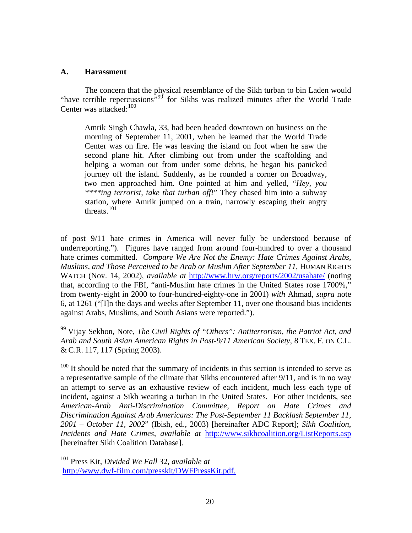#### **A. Harassment**

 $\overline{a}$ 

 The concern that the physical resemblance of the Sikh turban to bin Laden would "have terrible repercussions"<sup>[99](#page-21-0)</sup> for Sikhs was realized minutes after the World Trade Center was attacked:<sup>[100](#page-21-1)</sup>

Amrik Singh Chawla, 33, had been headed downtown on business on the morning of September 11, 2001, when he learned that the World Trade Center was on fire. He was leaving the island on foot when he saw the second plane hit. After climbing out from under the scaffolding and helping a woman out from under some debris, he began his panicked journey off the island. Suddenly, as he rounded a corner on Broadway, two men approached him. One pointed at him and yelled, "*Hey, you \*\*\*\*ing terrorist, take that turban off!*" They chased him into a subway station, where Amrik jumped on a train, narrowly escaping their angry threats.<sup>[101](#page-21-2)</sup>

of post 9/11 hate crimes in America will never fully be understood because of underreporting."). Figures have ranged from around four-hundred to over a thousand hate crimes committed. *Compare We Are Not the Enemy: Hate Crimes Against Arabs, Muslims, and Those Perceived to be Arab or Muslim After September 11*, HUMAN RIGHTS WATCH (Nov. 14, 2002), *available at* <http://www.hrw.org/reports/2002/usahate/>(noting that, according to the FBI, "anti-Muslim hate crimes in the United States rose 1700%," from twenty-eight in 2000 to four-hundred-eighty-one in 2001) *with* Ahmad, *supra* note 6, at 1261 ("[I]n the days and weeks after September 11, over one thousand bias incidents against Arabs, Muslims, and South Asians were reported.").

<span id="page-21-0"></span>99 Vijay Sekhon, Note, *The Civil Rights of "Others": Antiterrorism, the Patriot Act, and Arab and South Asian American Rights in Post-9/11 American Society*, 8 TEX. F. ON C.L. & C.R. 117, 117 (Spring 2003).

<span id="page-21-1"></span> $100$  It should be noted that the summary of incidents in this section is intended to serve as a representative sample of the climate that Sikhs encountered after 9/11, and is in no way an attempt to serve as an exhaustive review of each incident, much less each type of incident, against a Sikh wearing a turban in the United States. For other incidents, *see American-Arab Anti-Discrimination Committee, Report on Hate Crimes and Discrimination Against Arab Americans: The Post-September 11 Backlash September 11, 2001 – October 11, 2002*" (Ibish, ed., 2003) [hereinafter ADC Report]; *Sikh Coalition, Incidents and Hate Crimes*, *available at* <http://www.sikhcoalition.org/ListReports.asp> [hereinafter Sikh Coalition Database].

<span id="page-21-2"></span>101 Press Kit, *Divided We Fall* 32, *available at*  <http://www.dwf-film.com/presskit/DWFPressKit.pdf.>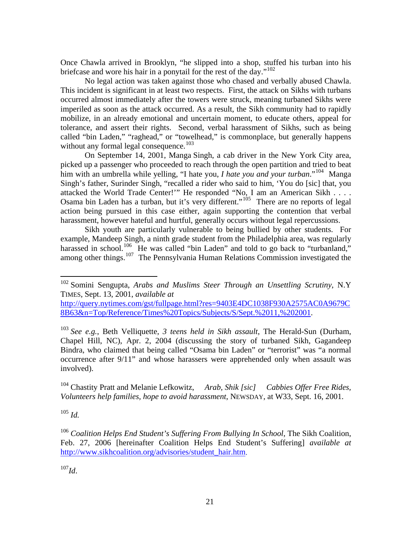Once Chawla arrived in Brooklyn, "he slipped into a shop, stuffed his turban into his briefcase and wore his hair in a ponytail for the rest of the day."<sup>[102](#page-22-0)</sup>

 No legal action was taken against those who chased and verbally abused Chawla. This incident is significant in at least two respects. First, the attack on Sikhs with turbans occurred almost immediately after the towers were struck, meaning turbaned Sikhs were imperiled as soon as the attack occurred. As a result, the Sikh community had to rapidly mobilize, in an already emotional and uncertain moment, to educate others, appeal for tolerance, and assert their rights. Second, verbal harassment of Sikhs, such as being called "bin Laden," "raghead," or "towelhead," is commonplace, but generally happens without any formal legal consequence.<sup>[103](#page-22-1)</sup>

 On September 14, 2001, Manga Singh, a cab driver in the New York City area, picked up a passenger who proceeded to reach through the open partition and tried to beat him with an umbrella while yelling, "I hate you, *I hate you and your turban*."[104](#page-22-2) Manga Singh's father, Surinder Singh, "recalled a rider who said to him, 'You do [sic] that, you attacked the World Trade Center!'" He responded "No, I am an American Sikh . . . . Osama bin Laden has a turban, but it's very different."<sup>[105](#page-22-3)</sup> There are no reports of legal action being pursued in this case either, again supporting the contention that verbal harassment, however hateful and hurtful, generally occurs without legal repercussions.

 Sikh youth are particularly vulnerable to being bullied by other students. For example, Mandeep Singh, a ninth grade student from the Philadelphia area, was regularly harassed in school.<sup>[106](#page-22-4)</sup> He was called "bin Laden" and told to go back to "turbanland," among other things.[107](#page-22-5) The Pennsylvania Human Relations Commission investigated the

[http://query.nytimes.com/gst/fullpage.html?res=9403E4DC1038F930A2575AC0A9679C](http://query.nytimes.com/gst/fullpage.html?res=9403E4DC1038F930A2575AC0A9679C8B63&n=Top/Reference/Times%20Topics/Subjects/S/Sept.%2011,%202001) [8B63&n=Top/Reference/Times%20Topics/Subjects/S/Sept.%2011,%202001](http://query.nytimes.com/gst/fullpage.html?res=9403E4DC1038F930A2575AC0A9679C8B63&n=Top/Reference/Times%20Topics/Subjects/S/Sept.%2011,%202001).

<span id="page-22-1"></span><sup>103</sup> *See e.g.*, Beth Velliquette, *3 teens held in Sikh assault*, The Herald-Sun (Durham, Chapel Hill, NC), Apr. 2, 2004 (discussing the story of turbaned Sikh, Gagandeep Bindra, who claimed that being called "Osama bin Laden" or "terrorist" was "a normal occurrence after 9/11" and whose harassers were apprehended only when assault was involved).

<span id="page-22-2"></span>104 Chastity Pratt and Melanie Lefkowitz, *Arab, Shik [sic] Cabbies Offer Free Rides, Volunteers help families, hope to avoid harassment*, NEWSDAY, at W33, Sept. 16, 2001.

<span id="page-22-3"></span> $105$  *Id.* 

 $\overline{a}$ 

<span id="page-22-5"></span> $^{107}$ *Id.* 

<span id="page-22-0"></span><sup>102</sup> Somini Sengupta, *Arabs and Muslims Steer Through an Unsettling Scrutiny*, N.Y TIMES, Sept. 13, 2001, *available at*

<span id="page-22-4"></span><sup>106</sup> *Coalition Helps End Student's Suffering From Bullying In School*, The Sikh Coalition, Feb. 27, 2006 [hereinafter Coalition Helps End Student's Suffering] *available at* [http://www.sikhcoalition.org/advisories/student\\_hair.htm.](http://www.sikhcoalition.org/advisories/student_hair.htm)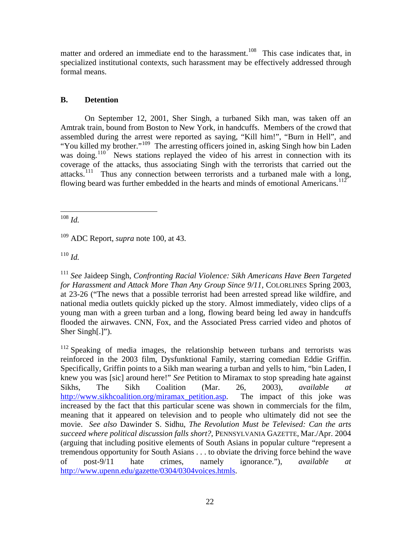matter and ordered an immediate end to the harassment.<sup>[108](#page-23-0)</sup> This case indicates that, in specialized institutional contexts, such harassment may be effectively addressed through formal means.

#### **B. Detention**

 On September 12, 2001, Sher Singh, a turbaned Sikh man, was taken off an Amtrak train, bound from Boston to New York, in handcuffs. Members of the crowd that assembled during the arrest were reported as saying, "Kill him!", "Burn in Hell", and "You killed my brother."<sup>[109](#page-23-1)</sup> The arresting officers joined in, asking Singh how bin Laden was doing.<sup>[110](#page-23-2)</sup> News stations replayed the video of his arrest in connection with its coverage of the attacks, thus associating Singh with the terrorists that carried out the attacks.[111](#page-23-3) Thus any connection between terrorists and a turbaned male with a long, flowing beard was further embedded in the hearts and minds of emotional Americans.<sup>[112](#page-23-4)</sup>

<span id="page-23-0"></span>1 <sup>108</sup> *Id.* 

<span id="page-23-1"></span>109 ADC Report, *supra* note 100, at 43.

<span id="page-23-2"></span><sup>110</sup> *Id.*

<span id="page-23-3"></span><sup>111</sup> *See* Jaideep Singh, *Confronting Racial Violence: Sikh Americans Have Been Targeted for Harassment and Attack More Than Any Group Since 9/11*, COLORLINES Spring 2003, at 23-26 ("The news that a possible terrorist had been arrested spread like wildfire, and national media outlets quickly picked up the story. Almost immediately, video clips of a young man with a green turban and a long, flowing beard being led away in handcuffs flooded the airwaves. CNN, Fox, and the Associated Press carried video and photos of Sher Singh[.]").

<span id="page-23-4"></span><sup>112</sup> Speaking of media images, the relationship between turbans and terrorists was reinforced in the 2003 film, Dysfunktional Family, starring comedian Eddie Griffin. Specifically, Griffin points to a Sikh man wearing a turban and yells to him, "bin Laden, I knew you was [sic] around here!" *See* Petition to Miramax to stop spreading hate against Sikhs, The Sikh Coalition (Mar. 26, 2003), *available at* [http://www.sikhcoalition.org/miramax\\_petition.asp](http://www.sikhcoalition.org/miramax_petition.asp). The impact of this joke was increased by the fact that this particular scene was shown in commercials for the film, meaning that it appeared on television and to people who ultimately did not see the movie. *See also* Dawinder S. Sidhu, *The Revolution Must be Televised: Can the arts succeed where political discussion falls short?*, PENNSYLVANIA GAZETTE, Mar./Apr. 2004 (arguing that including positive elements of South Asians in popular culture "represent a tremendous opportunity for South Asians . . . to obviate the driving force behind the wave of post-9/11 hate crimes, namely ignorance."), *available at* [http://www.upenn.edu/gazette/0304/0304voices.htmls.](http://www.upenn.edu/gazette/0304/0304voices.htmls)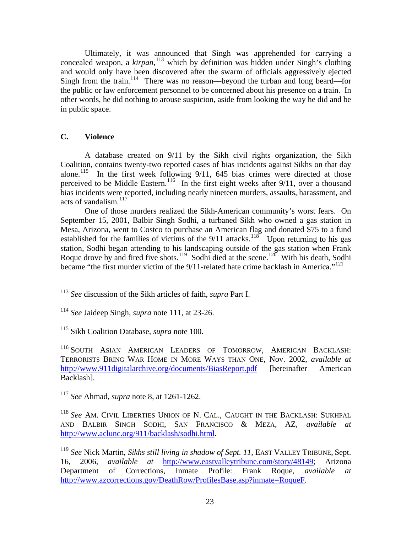Ultimately, it was announced that Singh was apprehended for carrying a concealed weapon, a *kirpan*,<sup>[113](#page-24-0)</sup> which by definition was hidden under Singh's clothing and would only have been discovered after the swarm of officials aggressively ejected Singh from the train.<sup>[114](#page-24-1)</sup> There was no reason—beyond the turban and long beard—for the public or law enforcement personnel to be concerned about his presence on a train. In other words, he did nothing to arouse suspicion, aside from looking the way he did and be in public space.

#### **C. Violence**

<span id="page-24-8"></span><u>.</u>

 A database created on 9/11 by the Sikh civil rights organization, the Sikh Coalition, contains twenty-two reported cases of bias incidents against Sikhs on that day alone.<sup>[115](#page-24-2)</sup> In the first week following  $9/11$ , 645 bias crimes were directed at those perceived to be Middle Eastern.<sup>[116](#page-24-3)</sup> In the first eight weeks after 9/11, over a thousand bias incidents were reported, including nearly nineteen murders, assaults, harassment, and acts of vandalism.<sup>[117](#page-24-4)</sup>

<span id="page-24-7"></span> One of those murders realized the Sikh-American community's worst fears. On September 15, 2001, Balbir Singh Sodhi, a turbaned Sikh who owned a gas station in Mesa, Arizona, went to Costco to purchase an American flag and donated \$75 to a fund established for the families of victims of the  $9/11$  attacks.<sup>[118](#page-24-5)</sup> Upon returning to his gas station, Sodhi began attending to his landscaping outside of the gas station when Frank Roque drove by and fired five shots.<sup>[119](#page-24-6)</sup> Sodhi died at the scene.<sup>[120](#page-24-7)</sup> With his death, Sodhi became "the first murder victim of the  $9/11$ -related hate crime backlash in America."<sup>[121](#page-24-8)</sup>

<span id="page-24-2"></span>115 Sikh Coalition Database, *supra* note 100.

<span id="page-24-3"></span>116 SOUTH ASIAN AMERICAN LEADERS OF TOMORROW, AMERICAN BACKLASH: TERRORISTS BRING WAR HOME IN MORE WAYS THAN ONE, Nov. 2002, *available at* <http://www.911digitalarchive.org/documents/BiasReport.pdf> [hereinafter American] Backlash].

<span id="page-24-4"></span><sup>117</sup> *See* Ahmad, *supra* note 8, at 1261-1262.

<span id="page-24-5"></span><sup>118</sup> *See* AM. CIVIL LIBERTIES UNION OF N. CAL., CAUGHT IN THE BACKLASH: SUKHPAL AND BALBIR SINGH SODHI, SAN FRANCISCO & MEZA, AZ, *available at* [http://www.aclunc.org/911/backlash/sodhi.html.](http://www.aclunc.org/911/backlash/sodhi.html)

<span id="page-24-0"></span><sup>113</sup> *See* discussion of the Sikh articles of faith, *supra* Part I.

<span id="page-24-1"></span><sup>114</sup> *See* Jaideep Singh, *supra* note 111, at 23-26.

<span id="page-24-6"></span><sup>119</sup> *See* Nick Martin, *Sikhs still living in shadow of Sept. 11*, EAST VALLEY TRIBUNE, Sept. 16, 2006, *available at* [http://www.eastvalleytribune.com/story/48149;](http://www.eastvalleytribune.com/story/48149) Arizona Department of Corrections, Inmate Profile: Frank Roque, *available at* <http://www.azcorrections.gov/DeathRow/ProfilesBase.asp?inmate=RoqueF>.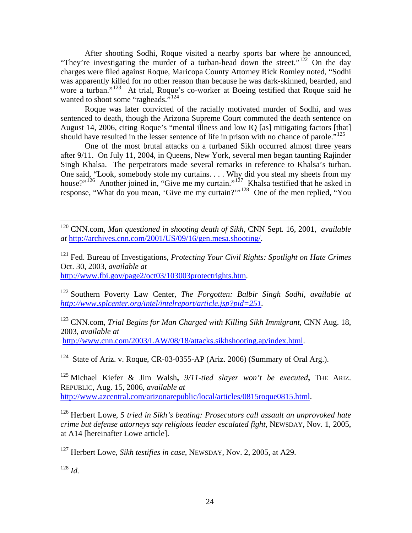After shooting Sodhi, Roque visited a nearby sports bar where he announced, "They're investigating the murder of a turban-head down the street."<sup>[122](#page-25-0)</sup> On the day charges were filed against Roque, Maricopa County Attorney Rick Romley noted, "Sodhi was apparently killed for no other reason than because he was dark-skinned, bearded, and wore a turban."<sup>[123](#page-25-1)</sup> At trial, Roque's co-worker at Boeing testified that Roque said he wanted to shoot some "ragheads."<sup>[124](#page-25-2)</sup>

 Roque was later convicted of the racially motivated murder of Sodhi, and was sentenced to death, though the Arizona Supreme Court commuted the death sentence on August 14, 2006, citing Roque's "mental illness and low IQ [as] mitigating factors [that] should have resulted in the lesser sentence of life in prison with no chance of parole."<sup>[125](#page-25-3)</sup>

 One of the most brutal attacks on a turbaned Sikh occurred almost three years after 9/11. On July 11, 2004, in Queens, New York, several men began taunting Rajinder Singh Khalsa. The perpetrators made several remarks in reference to Khalsa's turban. One said, "Look, somebody stole my curtains. . . . Why did you steal my sheets from my house?"<sup>[126](#page-25-4)</sup> Another joined in, "Give me my curtain."<sup>[127](#page-25-5)</sup> Khalsa testified that he asked in response, "What do you mean, 'Give me my curtain?'"[128](#page-25-6) One of the men replied, "You

 120 CNN.com, *Man questioned in shooting death of Sikh*, CNN Sept. 16, 2001, *available at* [http://archives.cnn.com/2001/US/09/16/gen.mesa.shooting/.](http://archives.cnn.com/2001/US/09/16/gen.mesa.shooting/)

121 Fed. Bureau of Investigations, *Protecting Your Civil Rights: Spotlight on Hate Crimes* Oct. 30, 2003, *available at* [http://www.fbi.gov/page2/oct03/103003protectrights.htm.](http://www.fbi.gov/page2/oct03/103003protectrights.htm)

<span id="page-25-0"></span>122 Southern Poverty Law Center, *The Forgotten: Balbir Singh Sodhi, available at [http://www.splcenter.org/intel/intelreport/article.jsp?pid=251.](http://www.splcenter.org/intel/intelreport/article.jsp?pid=251)* 

<span id="page-25-1"></span>123 CNN.com, *Trial Begins for Man Charged with Killing Sikh Immigrant,* CNN Aug. 18, 2003, *available at*  [http://www.cnn.com/2003/LAW/08/18/attacks.sikhshooting.ap/index.html.](http://www.cnn.com/2003/LAW/08/18/attacks.sikhshooting.ap/index.html)

<span id="page-25-2"></span><sup>124</sup> State of Ariz. v. Roque, CR-03-0355-AP (Ariz. 2006) (Summary of Oral Arg.).

<span id="page-25-3"></span>125 Michael Kiefer & Jim Walsh**,** *9/11-tied slayer won't be executed***,** THE ARIZ. REPUBLIC, Aug. 15, 2006, *available at* [http://www.azcentral.com/arizonarepublic/local/articles/0815roque0815.html.](http://www.azcentral.com/arizonarepublic/local/articles/0815roque0815.html)

<span id="page-25-4"></span>126 Herbert Lowe, *5 tried in Sikh's beating: Prosecutors call assault an unprovoked hate crime but defense attorneys say religious leader escalated fight*, NEWSDAY, Nov. 1, 2005, at A14 [hereinafter Lowe article].

<span id="page-25-5"></span>127 Herbert Lowe, *Sikh testifies in case*, NEWSDAY, Nov. 2, 2005, at A29.

<span id="page-25-6"></span><sup>128</sup> *Id.*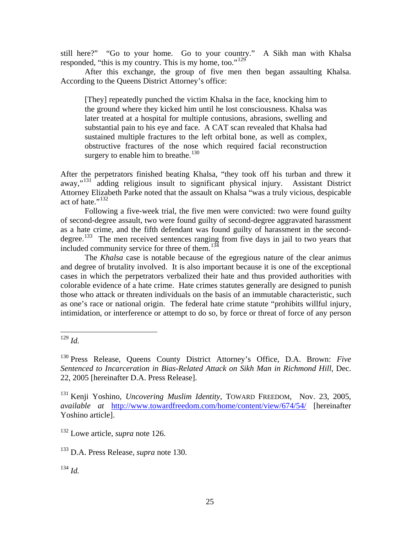still here?" "Go to your home. Go to your country." A Sikh man with Khalsa responded, "this is my country. This is my home, too."<sup>[129](#page-26-0)</sup>

 After this exchange, the group of five men then began assaulting Khalsa. According to the Queens District Attorney's office:

[They] repeatedly punched the victim Khalsa in the face, knocking him to the ground where they kicked him until he lost consciousness. Khalsa was later treated at a hospital for multiple contusions, abrasions, swelling and substantial pain to his eye and face. A CAT scan revealed that Khalsa had sustained multiple fractures to the left orbital bone, as well as complex, obstructive fractures of the nose which required facial reconstruction surgery to enable him to breathe.<sup>[130](#page-26-1)</sup>

After the perpetrators finished beating Khalsa, "they took off his turban and threw it away,"[131](#page-26-2) adding religious insult to significant physical injury. Assistant District Attorney Elizabeth Parke noted that the assault on Khalsa "was a truly vicious, despicable act of hate."<sup>[132](#page-26-3)</sup>

 Following a five-week trial, the five men were convicted: two were found guilty of second-degree assault, two were found guilty of second-degree aggravated harassment as a hate crime, and the fifth defendant was found guilty of harassment in the second-degree.<sup>[133](#page-26-4)</sup> The men received sentences ranging from five days in jail to two years that included community service for three of them.<sup>[134](#page-26-5)</sup>

 The *Khalsa* case is notable because of the egregious nature of the clear animus and degree of brutality involved. It is also important because it is one of the exceptional cases in which the perpetrators verbalized their hate and thus provided authorities with colorable evidence of a hate crime. Hate crimes statutes generally are designed to punish those who attack or threaten individuals on the basis of an immutable characteristic, such as one's race or national origin. The federal hate crime statute "prohibits willful injury, intimidation, or interference or attempt to do so, by force or threat of force of any person

 $\overline{a}$ 

<span id="page-26-3"></span>132 Lowe article, *supra* note 126.

<span id="page-26-4"></span>133 D.A. Press Release, *supra* note 130.

<span id="page-26-5"></span><sup>134</sup> *Id.*

<span id="page-26-0"></span><sup>129</sup> *Id.* 

<span id="page-26-1"></span><sup>130</sup> Press Release, Queens County District Attorney's Office, D.A. Brown: *Five*  Sentenced to Incarceration in Bias-Related Attack on Sikh Man in Richmond Hill, Dec. 22, 2005 [hereinafter D.A. Press Release].

<span id="page-26-2"></span><sup>131</sup> Kenji Yoshino, *Uncovering Muslim Identity,* TOWARD FREEDOM*,* Nov. 23, 2005, *available at* <http://www.towardfreedom.com/home/content/view/674/54/> [hereinafter Yoshino article].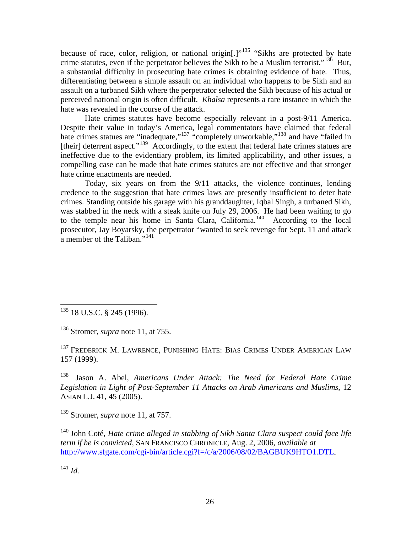because of race, color, religion, or national origin[.]"<sup>[135](#page-27-0)</sup> "Sikhs are protected by hate crime statutes, even if the perpetrator believes the Sikh to be a Muslim terrorist."<sup>[136](#page-27-1)</sup> But, a substantial difficulty in prosecuting hate crimes is obtaining evidence of hate. Thus, differentiating between a simple assault on an individual who happens to be Sikh and an assault on a turbaned Sikh where the perpetrator selected the Sikh because of his actual or perceived national origin is often difficult. *Khalsa* represents a rare instance in which the hate was revealed in the course of the attack.

 Hate crimes statutes have become especially relevant in a post-9/11 America. Despite their value in today's America, legal commentators have claimed that federal hate crimes statues are "inadequate,"<sup>[137](#page-27-2)</sup> "completely unworkable,"<sup>[138](#page-27-3)</sup> and have "failed in [their] deterrent aspect."<sup>[139](#page-27-4)</sup> Accordingly, to the extent that federal hate crimes statues are ineffective due to the evidentiary problem, its limited applicability, and other issues, a compelling case can be made that hate crimes statutes are not effective and that stronger hate crime enactments are needed.

 Today, six years on from the 9/11 attacks, the violence continues, lending credence to the suggestion that hate crimes laws are presently insufficient to deter hate crimes. Standing outside his garage with his granddaughter, Iqbal Singh, a turbaned Sikh, was stabbed in the neck with a steak knife on July 29, 2006. He had been waiting to go to the temple near his home in Santa Clara, California.<sup>[140](#page-27-5)</sup> According to the local prosecutor, Jay Boyarsky, the perpetrator "wanted to seek revenge for Sept. 11 and attack a member of the Taliban."<sup>[141](#page-27-6)</sup>

<span id="page-27-0"></span> $\overline{a}$ <sup>135</sup> 18 U.S.C. § 245 (1996).

<span id="page-27-1"></span>136 Stromer, *supra* note 11, at 755.

<span id="page-27-2"></span><sup>137</sup> FREDERICK M. LAWRENCE, PUNISHING HATE: BIAS CRIMES UNDER AMERICAN LAW 157 (1999).

<span id="page-27-3"></span>138 Jason A. Abel, *Americans Under Attack: The Need for Federal Hate Crime Legislation in Light of Post-September 11 Attacks on Arab Americans and Muslims*, 12 ASIAN L.J. 41, 45 (2005).

<span id="page-27-4"></span>139 Stromer, *supra* note 11, at 757.

<span id="page-27-5"></span>140 John Coté, *Hate crime alleged in stabbing of Sikh Santa Clara suspect could face life term if he is convicted*, SAN FRANCISCO CHRONICLE, Aug. 2, 2006, *available at* [http://www.sfgate.com/cgi-bin/article.cgi?f=/c/a/2006/08/02/BAGBUK9HTO1.DTL.](http://www.sfgate.com/cgi-bin/article.cgi?f=/c/a/2006/08/02/BAGBUK9HTO1.DTL)

<span id="page-27-6"></span> $^{141}$  *Id.*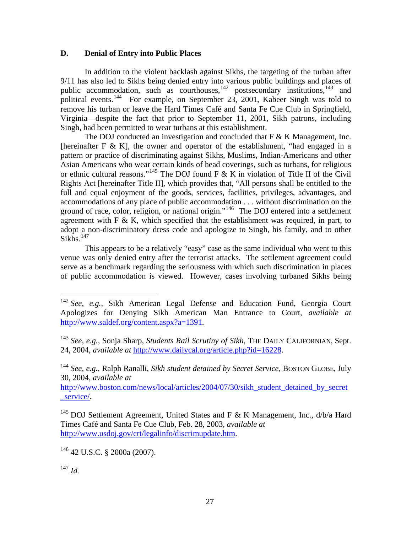#### **D. Denial of Entry into Public Places**

 In addition to the violent backlash against Sikhs, the targeting of the turban after 9/11 has also led to Sikhs being denied entry into various public buildings and places of public accommodation, such as courthouses, $142$  postsecondary institutions,  $143$  and political events.<sup>[144](#page-28-2)</sup> For example, on September 23, 2001, Kabeer Singh was told to remove his turban or leave the Hard Times Café and Santa Fe Cue Club in Springfield, Virginia—despite the fact that prior to September 11, 2001, Sikh patrons, including Singh, had been permitted to wear turbans at this establishment.

The DOJ conducted an investigation and concluded that  $F \& K$  Management, Inc. [hereinafter F & K], the owner and operator of the establishment, "had engaged in a pattern or practice of discriminating against Sikhs, Muslims, Indian-Americans and other Asian Americans who wear certain kinds of head coverings, such as turbans, for religious or ethnic cultural reasons."<sup>[145](#page-28-3)</sup> The DOJ found F & K in violation of Title II of the Civil Rights Act [hereinafter Title II], which provides that, "All persons shall be entitled to the full and equal enjoyment of the goods, services, facilities, privileges, advantages, and accommodations of any place of public accommodation . . . without discrimination on the ground of race, color, religion, or national origin."<sup>[146](#page-28-4)</sup> The DOJ entered into a settlement agreement with  $F \& K$ , which specified that the establishment was required, in part, to adopt a non-discriminatory dress code and apologize to Singh, his family, and to other  $Sikhs.$ <sup>[147](#page-28-5)</sup>

 This appears to be a relatively "easy" case as the same individual who went to this venue was only denied entry after the terrorist attacks. The settlement agreement could serve as a benchmark regarding the seriousness with which such discrimination in places of public accommodation is viewed. However, cases involving turbaned Sikhs being

[http://www.boston.com/news/local/articles/2004/07/30/sikh\\_student\\_detained\\_by\\_secret](http://www.boston.com/news/local/articles/2004/07/30/sikh_student_detained_by_secret_service/) [\\_service/](http://www.boston.com/news/local/articles/2004/07/30/sikh_student_detained_by_secret_service/).

<span id="page-28-4"></span>146 42 U.S.C. § 2000a (2007).

<span id="page-28-5"></span><sup>147</sup> *Id.*

 $\overline{a}$ 

<span id="page-28-0"></span><sup>142</sup> *See, e.g.,* Sikh American Legal Defense and Education Fund, Georgia Court Apologizes for Denying Sikh American Man Entrance to Court, *available at* <http://www.saldef.org/content.aspx?a=1391>.

<span id="page-28-1"></span><sup>143</sup> *See, e.g.,* Sonja Sharp, *Students Rail Scrutiny of Sikh*, THE DAILY CALIFORNIAN, Sept. 24, 2004, *available at* <http://www.dailycal.org/article.php?id=16228>.

<span id="page-28-2"></span><sup>144</sup> *See, e.g.*, Ralph Ranalli, *Sikh student detained by Secret Service*, BOSTON GLOBE, July 30, 2004, *available at*

<span id="page-28-3"></span><sup>&</sup>lt;sup>145</sup> DOJ Settlement Agreement, United States and F & K Management, Inc.,  $d/b/a$  Hard Times Café and Santa Fe Cue Club, Feb. 28, 2003, *available at* [http://www.usdoj.gov/crt/legalinfo/discrimupdate.htm.](http://www.usdoj.gov/crt/legalinfo/discrimupdate.htm)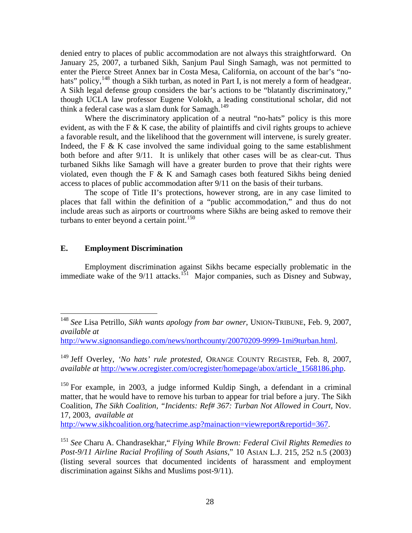denied entry to places of public accommodation are not always this straightforward. On January 25, 2007, a turbaned Sikh, Sanjum Paul Singh Samagh, was not permitted to enter the Pierce Street Annex bar in Costa Mesa, California, on account of the bar's "no-hats" policy, <sup>[148](#page-29-0)</sup> though a Sikh turban, as noted in Part I, is not merely a form of headgear. A Sikh legal defense group considers the bar's actions to be "blatantly discriminatory," though UCLA law professor Eugene Volokh, a leading constitutional scholar, did not think a federal case was a slam dunk for Samagh.<sup>[149](#page-29-1)</sup>

Where the discriminatory application of a neutral "no-hats" policy is this more evident, as with the F  $&$  K case, the ability of plaintiffs and civil rights groups to achieve a favorable result, and the likelihood that the government will intervene, is surely greater. Indeed, the F  $\&$  K case involved the same individual going to the same establishment both before and after 9/11. It is unlikely that other cases will be as clear-cut. Thus turbaned Sikhs like Samagh will have a greater burden to prove that their rights were violated, even though the F & K and Samagh cases both featured Sikhs being denied access to places of public accommodation after 9/11 on the basis of their turbans.

 The scope of Title II's protections, however strong, are in any case limited to places that fall within the definition of a "public accommodation," and thus do not include areas such as airports or courtrooms where Sikhs are being asked to remove their turbans to enter beyond a certain point.<sup>[150](#page-29-2)</sup>

#### **E. Employment Discrimination**

 $\overline{a}$ 

 Employment discrimination against Sikhs became especially problematic in the immediate wake of the  $9/11$  attacks.<sup>[151](#page-29-3)</sup> Major companies, such as Disney and Subway,

[http://www.sikhcoalition.org/hatecrime.asp?mainaction=viewreport&reportid=367.](http://www.sikhcoalition.org/hatecrime.asp?mainaction=viewreport&reportid=367)

<span id="page-29-0"></span><sup>148</sup> *See* Lisa Petrillo, *Sikh wants apology from bar owner*, UNION-TRIBUNE, Feb. 9, 2007, *available at*

[http://www.signonsandiego.com/news/northcounty/20070209-9999-1mi9turban.html.](http://www.signonsandiego.com/news/northcounty/20070209-9999-1mi9turban.html)

<span id="page-29-1"></span><sup>149</sup> Jeff Overley, *'No hats' rule protested*, ORANGE COUNTY REGISTER, Feb. 8, 2007, *available at* [http://www.ocregister.com/ocregister/homepage/abox/article\\_1568186.php.](http://www.ocregister.com/ocregister/homepage/abox/article_1568186.php)

<span id="page-29-2"></span><sup>150</sup> For example, in 2003, a judge informed Kuldip Singh, a defendant in a criminal matter, that he would have to remove his turban to appear for trial before a jury. The Sikh Coalition*, The Sikh Coalition, "Incidents: Ref# 367: Turban Not Allowed in Court,* Nov. 17, 2003, *available at* 

<span id="page-29-3"></span><sup>&</sup>lt;sup>151</sup> See Charu A. Chandrasekhar," *Flying While Brown: Federal Civil Rights Remedies to Post-9/11 Airline Racial Profiling of South Asians*," 10 ASIAN L.J. 215, 252 n.5 (2003) (listing several sources that documented incidents of harassment and employment discrimination against Sikhs and Muslims post-9/11).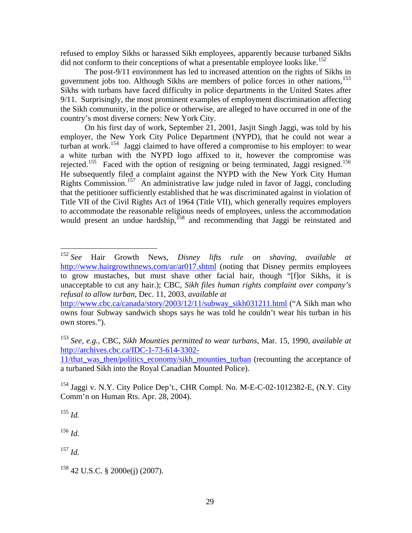refused to employ Sikhs or harassed Sikh employees, apparently because turbaned Sikhs did not conform to their conceptions of what a presentable employee looks like.<sup>[152](#page-30-0)</sup>

 The post-9/11 environment has led to increased attention on the rights of Sikhs in government jobs too. Although Sikhs are members of police forces in other nations,<sup>[153](#page-30-1)</sup> Sikhs with turbans have faced difficulty in police departments in the United States after 9/11. Surprisingly, the most prominent examples of employment discrimination affecting the Sikh community, in the police or otherwise, are alleged to have occurred in one of the country's most diverse corners: New York City.

 On his first day of work, September 21, 2001, Jasjit Singh Jaggi, was told by his employer, the New York City Police Department (NYPD), that he could not wear a turban at work.[154](#page-30-2) Jaggi claimed to have offered a compromise to his employer: to wear a white turban with the NYPD logo affixed to it, however the compromise was rejected.<sup>[155](#page-30-3)</sup> Faced with the option of resigning or being terminated, Jaggi resigned.<sup>156</sup> He subsequently filed a complaint against the NYPD with the New York City Human Rights Commission.[157](#page-30-5) An administrative law judge ruled in favor of Jaggi, concluding that the petitioner sufficiently established that he was discriminated against in violation of Title VII of the Civil Rights Act of 1964 (Title VII), which generally requires employers to accommodate the reasonable religious needs of employees, unless the accommodation would present an undue hardship, $158$  and recommending that Jaggi be reinstated and

<span id="page-30-2"></span>154 Jaggi v. N.Y. City Police Dep't., CHR Compl. No. M-E-C-02-1012382-E, (N.Y. City Comm'n on Human Rts. Apr. 28, 2004).

<span id="page-30-3"></span> $155$  *Id.* 

 $\overline{a}$ 

<span id="page-30-4"></span><sup>156</sup> *Id.*

<span id="page-30-5"></span><sup>157</sup> *Id.*

<span id="page-30-0"></span><sup>152</sup> *See* Hair Growth News, *Disney lifts rule on shaving*, *available at*  <http://www.hairgrowthnews.com/ar/ar017.shtml>(noting that Disney permits employees to grow mustaches, but must shave other facial hair, though "[f]or Sikhs, it is unacceptable to cut any hair.); CBC, *Sikh files human rights complaint over company's refusal to allow turban*, Dec. 11, 2003, *available at* 

[http://www.cbc.ca/canada/story/2003/12/11/subway\\_sikh031211.html](http://www.cbc.ca/canada/story/2003/12/11/subway_sikh031211.html) ("A Sikh man who owns four Subway sandwich shops says he was told he couldn't wear his turban in his own stores.").

<span id="page-30-1"></span><sup>153</sup> *See, e.g.,* CBC, *Sikh Mounties permitted to wear turbans*, Mar. 15, 1990, *available at*  [http://archives.cbc.ca/IDC-1-73-614-3302-](http://archives.cbc.ca/IDC-1-73-614-3302-11/that_was_then/politics_economy/sikh_mounties_turban)

<sup>11/</sup>that was then/politics economy/sikh\_mounties\_turban (recounting the acceptance of a turbaned Sikh into the Royal Canadian Mounted Police).

<span id="page-30-6"></span> $158$  42 U.S.C. § 2000e(j) (2007).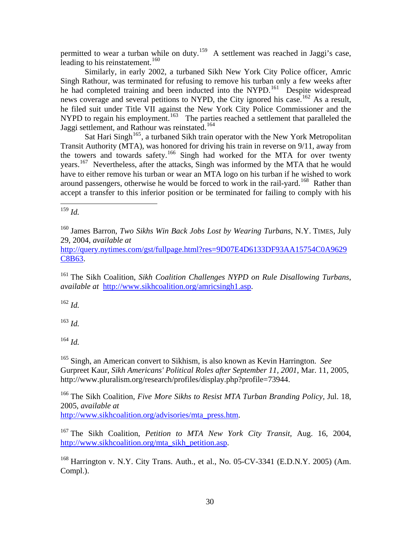permitted to wear a turban while on duty.<sup>[159](#page-31-0)</sup> A settlement was reached in Jaggi's case, leading to his reinstatement.<sup>[160](#page-31-1)</sup>

 Similarly, in early 2002, a turbaned Sikh New York City Police officer, Amric Singh Rathour, was terminated for refusing to remove his turban only a few weeks after he had completed training and been inducted into the NYPD.<sup>[161](#page-31-2)</sup> Despite widespread news coverage and several petitions to NYPD, the City ignored his case.<sup>[162](#page-31-3)</sup> As a result, he filed suit under Title VII against the New York City Police Commissioner and the NYPD to regain his employment.<sup>[163](#page-31-4)</sup> The parties reached a settlement that paralleled the Jaggi settlement, and Rathour was reinstated.<sup>164</sup>

Sat Hari Singh<sup>[165](#page-31-5)</sup>, a turbaned Sikh train operator with the New York Metropolitan Transit Authority (MTA), was honored for driving his train in reverse on 9/11, away from the towers and towards safety.<sup>[166](#page-31-6)</sup> Singh had worked for the MTA for over twenty years.[167](#page-31-7) Nevertheless, after the attacks, Singh was informed by the MTA that he would have to either remove his turban or wear an MTA logo on his turban if he wished to work around passengers, otherwise he would be forced to work in the rail-yard.<sup>[168](#page-31-8)</sup> Rather than accept a transfer to this inferior position or be terminated for failing to comply with his

<span id="page-31-0"></span><u>.</u> <sup>159</sup> *Id.*

<span id="page-31-1"></span>160 James Barron, *Two Sikhs Win Back Jobs Lost by Wearing Turbans*, N.Y. TIMES, July 29, 2004, *available at*

[http://query.nytimes.com/gst/fullpage.html?res=9D07E4D6133DF93AA15754C0A9629](http://query.nytimes.com/gst/fullpage.html?res=9D07E4D6133DF93AA15754C0A9629C8B63) [C8B63.](http://query.nytimes.com/gst/fullpage.html?res=9D07E4D6133DF93AA15754C0A9629C8B63)

<span id="page-31-2"></span>161 The Sikh Coalition, *Sikh Coalition Challenges NYPD on Rule Disallowing Turbans*, *available at* <http://www.sikhcoalition.org/amricsingh1.asp>.

<span id="page-31-3"></span><sup>162</sup> *Id.*

<span id="page-31-4"></span><sup>163</sup> *Id.*

 $^{164}$  *Id.* 

<span id="page-31-5"></span>165 Singh, an American convert to Sikhism, is also known as Kevin Harrington. *See* Gurpreet Kaur, *Sikh Americans' Political Roles after September 11, 2001*, Mar. 11, 2005, http://www.pluralism.org/research/profiles/display.php?profile=73944.

<span id="page-31-6"></span><sup>166</sup> The Sikh Coalition, *Five More Sikhs to Resist MTA Turban Branding Policy*, Jul. 18, 2005, *available at*

[http://www.sikhcoalition.org/advisories/mta\\_press.htm](http://www.sikhcoalition.org/advisories/mta_press.htm).

<span id="page-31-7"></span>167 The Sikh Coalition, *Petition to MTA New York City Transit,* Aug. 16, 2004, [http://www.sikhcoalition.org/mta\\_sikh\\_petition.asp.](http://www.sikhcoalition.org/mta_sikh_petition.asp)

<span id="page-31-8"></span>168 Harrington v. N.Y. City Trans. Auth., et al., No. 05-CV-3341 (E.D.N.Y. 2005) (Am. Compl.).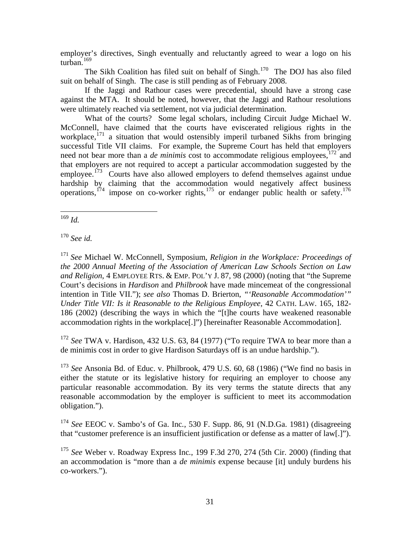employer's directives, Singh eventually and reluctantly agreed to wear a logo on his turban.<sup>[169](#page-32-0)</sup>

The Sikh Coalition has filed suit on behalf of Singh.<sup>[170](#page-32-1)</sup> The DOJ has also filed suit on behalf of Singh. The case is still pending as of February 2008.

 If the Jaggi and Rathour cases were precedential, should have a strong case against the MTA. It should be noted, however, that the Jaggi and Rathour resolutions were ultimately reached via settlement, not via judicial determination.

 What of the courts? Some legal scholars, including Circuit Judge Michael W. McConnell, have claimed that the courts have eviscerated religious rights in the workplace,<sup>[171](#page-32-2)</sup> a situation that would ostensibly imperil turbaned Sikhs from bringing successful Title VII claims. For example, the Supreme Court has held that employers need not bear more than a *de minimis* cost to accommodate religious employees, <sup>[172](#page-32-3)</sup> and that employers are not required to accept a particular accommodation suggested by the employee.<sup>[173](#page-32-4)</sup> Courts have also allowed employers to defend themselves against undue hardship by claiming that the accommodation would negatively affect business operations,<sup>[174](#page-32-5)</sup> impose on co-worker rights,<sup>[175](#page-32-6)</sup> or endanger public health or safety.<sup>176</sup>

<span id="page-32-0"></span>1 <sup>169</sup> *Id.* 

<span id="page-32-1"></span><sup>170</sup> *See id.*

<span id="page-32-2"></span><sup>171</sup> *See* Michael W. McConnell, Symposium, *Religion in the Workplace: Proceedings of the 2000 Annual Meeting of the Association of American Law Schools Section on Law and Religion*, 4 EMPLOYEE RTS. & EMP. POL'Y J. 87, 98 (2000) (noting that "the Supreme Court's decisions in *Hardison* and *Philbrook* have made mincemeat of the congressional intention in Title VII."); *see also* Thomas D. Brierton, *"'Reasonable Accommodation'" Under Title VII: Is it Reasonable to the Religious Employee*, 42 CATH. LAW. 165, 182- 186 (2002) (describing the ways in which the "[t]he courts have weakened reasonable accommodation rights in the workplace[.]") [hereinafter Reasonable Accommodation].

<span id="page-32-3"></span><sup>172</sup> *See* TWA v. Hardison, 432 U.S. 63, 84 (1977) ("To require TWA to bear more than a de minimis cost in order to give Hardison Saturdays off is an undue hardship.").

<span id="page-32-7"></span><span id="page-32-4"></span><sup>173</sup> *See* Ansonia Bd. of Educ. v. Philbrook, 479 U.S. 60, 68 (1986) ("We find no basis in either the statute or its legislative history for requiring an employer to choose any particular reasonable accommodation. By its very terms the statute directs that any reasonable accommodation by the employer is sufficient to meet its accommodation obligation.").

<span id="page-32-5"></span><sup>174</sup> *See* EEOC v. Sambo's of Ga. Inc*.*, 530 F. Supp. 86, 91 (N.D.Ga. 1981) (disagreeing that "customer preference is an insufficient justification or defense as a matter of law[.]").

<span id="page-32-6"></span><sup>175</sup> *See* Weber v. Roadway Express Inc*.*, 199 F.3d 270, 274 (5th Cir. 2000) (finding that an accommodation is "more than a *de minimis* expense because [it] unduly burdens his co-workers.").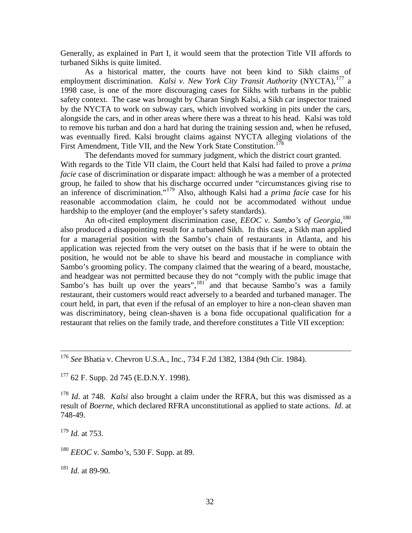Generally, as explained in Part I, it would seem that the protection Title VII affords to turbaned Sikhs is quite limited.

 As a historical matter, the courts have not been kind to Sikh claims of employment discrimination. *Kalsi v. New York City Transit Authority* (NYCTA),<sup>[177](#page-33-0)</sup> a 1998 case, is one of the more discouraging cases for Sikhs with turbans in the public safety context. The case was brought by Charan Singh Kalsi, a Sikh car inspector trained by the NYCTA to work on subway cars, which involved working in pits under the cars, alongside the cars, and in other areas where there was a threat to his head. Kalsi was told to remove his turban and don a hard hat during the training session and, when he refused, was eventually fired. Kalsi brought claims against NYCTA alleging violations of the First Amendment, Title VII, and the New York State Constitution.<sup>[178](#page-33-1)</sup>

 The defendants moved for summary judgment, which the district court granted. With regards to the Title VII claim, the Court held that Kalsi had failed to prove a *prima facie* case of discrimination or disparate impact: although he was a member of a protected group, he failed to show that his discharge occurred under "circumstances giving rise to an inference of discrimination."[179](#page-33-2) Also, although Kalsi had a *prima facie* case for his reasonable accommodation claim, he could not be accommodated without undue hardship to the employer (and the employer's safety standards).

An oft-cited employment discrimination case, *EEOC v. Sambo's of Georgia*,<sup>[180](#page-33-3)</sup> also produced a disappointing result for a turbaned Sikh. In this case, a Sikh man applied for a managerial position with the Sambo's chain of restaurants in Atlanta, and his application was rejected from the very outset on the basis that if he were to obtain the position, he would not be able to shave his beard and moustache in compliance with Sambo's grooming policy. The company claimed that the wearing of a beard, moustache, and headgear was not permitted because they do not "comply with the public image that Sambo's has built up over the years", $181'$  $181'$  and that because Sambo's was a family restaurant, their customers would react adversely to a bearded and turbaned manager. The court held, in part, that even if the refusal of an employer to hire a non-clean shaven man was discriminatory, being clean-shaven is a bona fide occupational qualification for a restaurant that relies on the family trade, and therefore constitutes a Title VII exception:

<span id="page-33-0"></span> $177$  62 F. Supp. 2d 745 (E.D.N.Y. 1998).

<span id="page-33-2"></span><sup>179</sup> *Id.* at 753.

<span id="page-33-3"></span><sup>180</sup> *EEOC v. Sambo's*, 530 F. Supp. at 89.

<span id="page-33-4"></span><sup>181</sup> *Id*. at 89-90.

 <sup>176</sup> *See* Bhatia v. Chevron U.S.A., Inc., 734 F.2d 1382, 1384 (9th Cir. 1984).

<span id="page-33-1"></span><sup>178</sup> *Id*. at 748. *Kalsi* also brought a claim under the RFRA, but this was dismissed as a result of *Boerne*, which declared RFRA unconstitutional as applied to state actions. *Id*. at 748-49.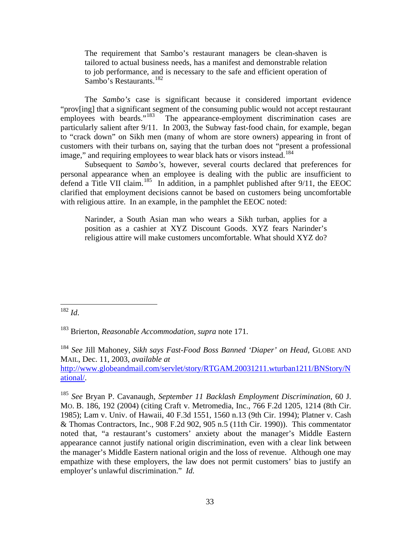The requirement that Sambo's restaurant managers be clean-shaven is tailored to actual business needs, has a manifest and demonstrable relation to job performance, and is necessary to the safe and efficient operation of Sambo's Restaurants.<sup>[182](#page-34-0)</sup>

 The *Sambo's* case is significant because it considered important evidence "prov[ing] that a significant segment of the consuming public would not accept restaurant employees with beards."<sup>183</sup> The appearance-employment discrimination cases are The appearance-employment discrimination cases are particularly salient after 9/11. In 2003, the Subway fast-food chain, for example, began to "crack down" on Sikh men (many of whom are store owners) appearing in front of customers with their turbans on, saying that the turban does not "present a professional image," and requiring employees to wear black hats or visors instead.<sup>[184](#page-34-2)</sup>

 Subsequent to *Sambo's*, however, several courts declared that preferences for personal appearance when an employee is dealing with the public are insufficient to defend a Title VII claim.<sup>[185](#page-34-3)</sup> In addition, in a pamphlet published after 9/11, the EEOC clarified that employment decisions cannot be based on customers being uncomfortable with religious attire. In an example, in the pamphlet the EEOC noted:

Narinder, a South Asian man who wears a Sikh turban, applies for a position as a cashier at XYZ Discount Goods. XYZ fears Narinder's religious attire will make customers uncomfortable. What should XYZ do?

<span id="page-34-2"></span><sup>184</sup> *See* Jill Mahoney, *Sikh says Fast-Food Boss Banned 'Diaper' on Head,* GLOBE AND MAIL, Dec. 11, 2003, *available at* [http://www.globeandmail.com/servlet/story/RTGAM.20031211.wturban1211/BNStory/N](http://www.globeandmail.com/servlet/story/RTGAM.20031211.wturban1211/BNStory/National/) [ational/](http://www.globeandmail.com/servlet/story/RTGAM.20031211.wturban1211/BNStory/National/).

<span id="page-34-3"></span><sup>185</sup> *See* Bryan P. Cavanaugh, *September 11 Backlash Employment Discrimination*, 60 J. MO. B. 186, 192 (2004) (citing Craft v. Metromedia, Inc., 766 F.2d 1205, 1214 (8th Cir. 1985); Lam v. Univ. of Hawaii, 40 F.3d 1551, 1560 n.13 (9th Cir. 1994); Platner v. Cash & Thomas Contractors, Inc., 908 F.2d 902, 905 n.5 (11th Cir. 1990)). This commentator noted that, "a restaurant's customers' anxiety about the manager's Middle Eastern appearance cannot justify national origin discrimination, even with a clear link between the manager's Middle Eastern national origin and the loss of revenue. Although one may empathize with these employers, the law does not permit customers' bias to justify an employer's unlawful discrimination." *Id.*

<span id="page-34-0"></span><sup>1</sup> <sup>182</sup> *Id*.

<span id="page-34-1"></span><sup>183</sup> Brierton, *Reasonable Accommodation*, *supra* note 171.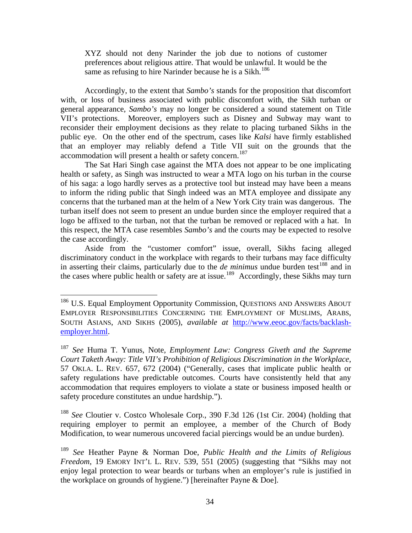XYZ should not deny Narinder the job due to notions of customer preferences about religious attire. That would be unlawful. It would be the same as refusing to hire Narinder because he is a Sikh.<sup>[186](#page-35-0)</sup>

 Accordingly, to the extent that *Sambo's* stands for the proposition that discomfort with, or loss of business associated with public discomfort with, the Sikh turban or general appearance, *Sambo's* may no longer be considered a sound statement on Title VII's protections. Moreover, employers such as Disney and Subway may want to reconsider their employment decisions as they relate to placing turbaned Sikhs in the public eye. On the other end of the spectrum, cases like *Kalsi* have firmly established that an employer may reliably defend a Title VII suit on the grounds that the accommodation will present a health or safety concern.<sup>[187](#page-35-1)</sup>

 The Sat Hari Singh case against the MTA does not appear to be one implicating health or safety, as Singh was instructed to wear a MTA logo on his turban in the course of his saga: a logo hardly serves as a protective tool but instead may have been a means to inform the riding public that Singh indeed was an MTA employee and dissipate any concerns that the turbaned man at the helm of a New York City train was dangerous. The turban itself does not seem to present an undue burden since the employer required that a logo be affixed to the turban, not that the turban be removed or replaced with a hat. In this respect, the MTA case resembles *Sambo's* and the courts may be expected to resolve the case accordingly.

 Aside from the "customer comfort" issue, overall, Sikhs facing alleged discriminatory conduct in the workplace with regards to their turbans may face difficulty in asserting their claims, particularly due to the  $de$  minimus undue burden test<sup>[188](#page-35-2)</sup> and in the cases where public health or safety are at issue.<sup>[189](#page-35-3)</sup> Accordingly, these Sikhs may turn

 $\overline{a}$ 

<span id="page-35-2"></span><sup>188</sup> *See* Cloutier v. Costco Wholesale Corp., 390 F.3d 126 (1st Cir. 2004) (holding that requiring employer to permit an employee, a member of the Church of Body Modification, to wear numerous uncovered facial piercings would be an undue burden).

<span id="page-35-0"></span><sup>&</sup>lt;sup>186</sup> U.S. Equal Employment Opportunity Commission, QUESTIONS AND ANSWERS ABOUT EMPLOYER RESPONSIBILITIES CONCERNING THE EMPLOYMENT OF MUSLIMS, ARABS, SOUTH ASIANS, AND SIKHS (2005), *available at* [http://www.eeoc.gov/facts/backlash](http://www.eeoc.gov/facts/backlash-employer.html)[employer.html](http://www.eeoc.gov/facts/backlash-employer.html).

<span id="page-35-1"></span><sup>187</sup> *See* Huma T. Yunus, Note*, Employment Law: Congress Giveth and the Supreme Court Taketh Away: Title VII's Prohibition of Religious Discrimination in the Workplace*, 57 OKLA. L. REV. 657, 672 (2004) ("Generally, cases that implicate public health or safety regulations have predictable outcomes. Courts have consistently held that any accommodation that requires employers to violate a state or business imposed health or safety procedure constitutes an undue hardship.").

<span id="page-35-3"></span><sup>189</sup> *See* Heather Payne & Norman Doe, *Public Health and the Limits of Religious Freedom*, 19 EMORY INT'L L. REV. 539, 551 (2005) (suggesting that "Sikhs may not enjoy legal protection to wear beards or turbans when an employer's rule is justified in the workplace on grounds of hygiene.") [hereinafter Payne & Doe].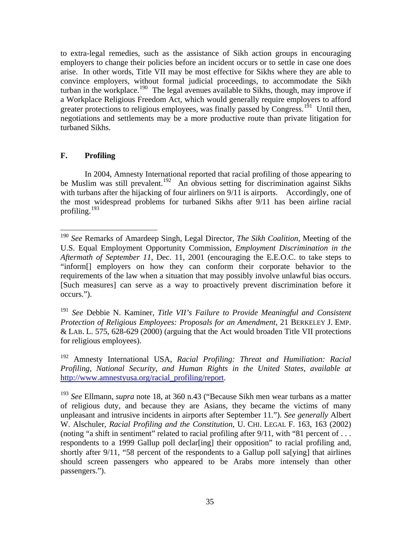to extra-legal remedies, such as the assistance of Sikh action groups in encouraging employers to change their policies before an incident occurs or to settle in case one does arise. In other words, Title VII may be most effective for Sikhs where they are able to convince employers, without formal judicial proceedings, to accommodate the Sikh turban in the workplace.<sup>[190](#page-36-0)</sup> The legal avenues available to Sikhs, though, may improve if a Workplace Religious Freedom Act, which would generally require employers to afford greater protections to religious employees, was finally passed by Congress.<sup>[191](#page-36-1)</sup> Until then, negotiations and settlements may be a more productive route than private litigation for turbaned Sikhs.

### **F. Profiling**

 $\overline{a}$ 

 In 2004, Amnesty International reported that racial profiling of those appearing to be Muslim was still prevalent.<sup>[192](#page-36-2)</sup> An obvious setting for discrimination against Sikhs with turbans after the hijacking of four airliners on 9/11 is airports. Accordingly, one of the most widespread problems for turbaned Sikhs after 9/11 has been airline racial profiling.[193](#page-36-3)

<span id="page-36-1"></span><sup>191</sup> *See* Debbie N. Kaminer, *Title VII's Failure to Provide Meaningful and Consistent Protection of Religious Employees: Proposals for an Amendment*, 21 BERKELEY J. EMP. & LAB. L. 575, 628-629 (2000) (arguing that the Act would broaden Title VII protections for religious employees).

<span id="page-36-2"></span>192 Amnesty International USA, *Racial Profiling: Threat and Humiliation: Racial Profiling, National Security, and Human Rights in the United States*, *available at* [http://www.amnestyusa.org/racial\\_profiling/report.](http://www.amnestyusa.org/racial_profiling/report)

<span id="page-36-0"></span><sup>190</sup> *See* Remarks of Amardeep Singh, Legal Director, *The Sikh Coalition*, Meeting of the U.S. Equal Employment Opportunity Commission, *Employment Discrimination in the Aftermath of September 11*, Dec. 11, 2001 (encouraging the E.E.O.C. to take steps to "inform[] employers on how they can conform their corporate behavior to the requirements of the law when a situation that may possibly involve unlawful bias occurs. [Such measures] can serve as a way to proactively prevent discrimination before it occurs.").

<span id="page-36-3"></span><sup>193</sup> *See* Ellmann, *supra* note 18, at 360 n.43 ("Because Sikh men wear turbans as a matter of religious duty, and because they are Asians, they became the victims of many unpleasant and intrusive incidents in airports after September 11."). *See generally* Albert W. Alschuler, *Racial Profiling and the Constitution*, U. CHI. LEGAL F. 163, 163 (2002) (noting "a shift in sentiment" related to racial profiling after 9/11, with "81 percent of . . . respondents to a 1999 Gallup poll declar[ing] their opposition" to racial profiling and, shortly after 9/11, "58 percent of the respondents to a Gallup poll salving that airlines should screen passengers who appeared to be Arabs more intensely than other passengers.").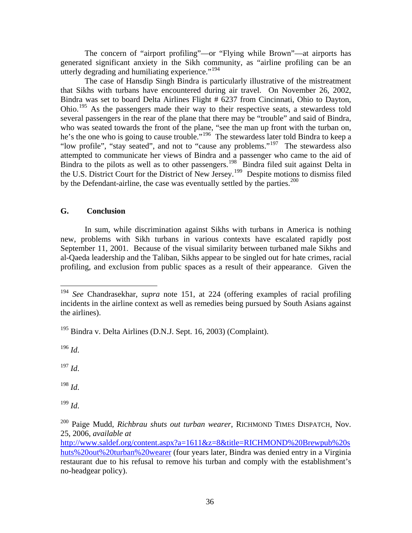The concern of "airport profiling"—or "Flying while Brown"—at airports has generated significant anxiety in the Sikh community, as "airline profiling can be an utterly degrading and humiliating experience."<sup>[194](#page-37-0)</sup>

The case of Hansdip Singh Bindra is particularly illustrative of the mistreatment that Sikhs with turbans have encountered during air travel. On November 26, 2002, Bindra was set to board Delta Airlines Flight # 6237 from Cincinnati, Ohio to Dayton, Ohio.<sup>[195](#page-37-1)</sup> As the passengers made their way to their respective seats, a stewardess told several passengers in the rear of the plane that there may be "trouble" and said of Bindra, who was seated towards the front of the plane, "see the man up front with the turban on, he's the one who is going to cause trouble."<sup>[196](#page-37-2)</sup> The stewardess later told Bindra to keep a "low profile", "stay seated", and not to "cause any problems."[197](#page-37-3) The stewardess also attempted to communicate her views of Bindra and a passenger who came to the aid of Bindra to the pilots as well as to other passengers.<sup>[198](#page-37-4)</sup> Bindra filed suit against Delta in the U.S. District Court for the District of New Jersey.[199](#page-37-5) Despite motions to dismiss filed by the Defendant-airline, the case was eventually settled by the parties. $200$ 

#### **G. Conclusion**

 In sum, while discrimination against Sikhs with turbans in America is nothing new, problems with Sikh turbans in various contexts have escalated rapidly post September 11, 2001. Because of the visual similarity between turbaned male Sikhs and al-Qaeda leadership and the Taliban, Sikhs appear to be singled out for hate crimes, racial profiling, and exclusion from public spaces as a result of their appearance. Given the

<span id="page-37-1"></span>195 Bindra v. Delta Airlines (D.N.J. Sept. 16, 2003) (Complaint).

<span id="page-37-2"></span><sup>196</sup> *Id*.

 $\overline{a}$ 

<span id="page-37-3"></span> $^{197}$  *Id.* 

<span id="page-37-4"></span><sup>198</sup> *Id*.

<span id="page-37-5"></span><sup>199</sup> *Id*.

<span id="page-37-0"></span><sup>194</sup> *See* Chandrasekhar, *supra* note 151, at 224 (offering examples of racial profiling incidents in the airline context as well as remedies being pursued by South Asians against the airlines).

<span id="page-37-6"></span><sup>200</sup> Paige Mudd, *Richbrau shuts out turban wearer*, RICHMOND TIMES DISPATCH, Nov. 25, 2006, *available at*

[http://www.saldef.org/content.aspx?a=1611&z=8&title=RICHMOND%20Brewpub%20s](http://www.saldef.org/content.aspx?a=1611&z=8&title=RICHMOND%20Brewpub%20shuts%20out%20turban%20wearer) [huts%20out%20turban%20wearer](http://www.saldef.org/content.aspx?a=1611&z=8&title=RICHMOND%20Brewpub%20shuts%20out%20turban%20wearer) (four years later, Bindra was denied entry in a Virginia restaurant due to his refusal to remove his turban and comply with the establishment's no-headgear policy).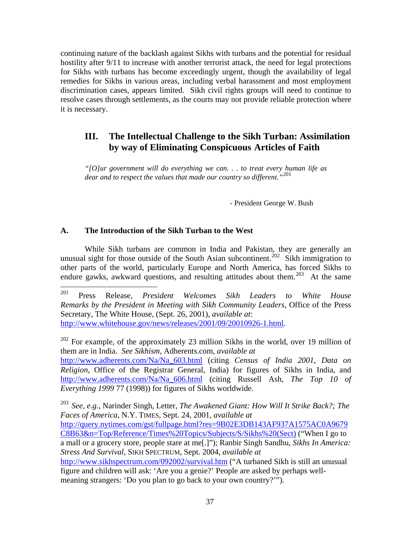continuing nature of the backlash against Sikhs with turbans and the potential for residual hostility after 9/11 to increase with another terrorist attack, the need for legal protections for Sikhs with turbans has become exceedingly urgent, though the availability of legal remedies for Sikhs in various areas, including verbal harassment and most employment discrimination cases, appears limited. Sikh civil rights groups will need to continue to resolve cases through settlements, as the courts may not provide reliable protection where it is necessary.

## **III. The Intellectual Challenge to the Sikh Turban: Assimilation by way of Eliminating Conspicuous Articles of Faith**

*"[O]ur government will do everything we can. . . to treat every human life as dear and to respect the values that made our country so different."*[201](#page-38-0)

- President George W. Bush

#### **A. The Introduction of the Sikh Turban to the West**

 While Sikh turbans are common in India and Pakistan, they are generally an unusual sight for those outside of the South Asian subcontinent.<sup>[202](#page-38-1)</sup> Sikh immigration to other parts of the world, particularly Europe and North America, has forced Sikhs to endure gawks, awkward questions, and resulting attitudes about them.<sup>[203](#page-38-2)</sup> At the same

<span id="page-38-1"></span><sup>202</sup> For example, of the approximately 23 million Sikhs in the world, over 19 million of them are in India. *See Sikhism*, Adherents.com, *available at* [http://www.adherents.com/Na/Na\\_603.html](http://www.adherents.com/Na/Na_603.html) (citing *Census of India 2001*, *Data on Religion*, Office of the Registrar General, India) for figures of Sikhs in India, and [http://www.adherents.com/Na/Na\\_606.html](http://www.adherents.com/Na/Na_606.html) (citing Russell Ash, *The Top 10 of Everything 1999* 77 (1998)) for figures of Sikhs worldwide.

<span id="page-38-2"></span><sup>203</sup> *See, e.g.*, Narinder Singh, Letter, *The Awakened Giant: How Will It Strike Back?; The Faces of America*, N.Y. TIMES, Sept. 24, 2001, *available at* [http://query.nytimes.com/gst/fullpage.html?res=9B02E3DB143AF937A1575AC0A9679](http://query.nytimes.com/gst/fullpage.html?res=9B02E3DB143AF937A1575AC0A9679C8B63&n=Top/Reference/Times%20Topics/Subjects/S/Sikhs%20(Sect)) [C8B63&n=Top/Reference/Times%20Topics/Subjects/S/Sikhs%20\(Sect\)](http://query.nytimes.com/gst/fullpage.html?res=9B02E3DB143AF937A1575AC0A9679C8B63&n=Top/Reference/Times%20Topics/Subjects/S/Sikhs%20(Sect)) ("When I go to a mall or a grocery store, people stare at me[.]"); Ranbir Singh Sandhu, *Sikhs In America: Stress And Survival*, SIKH SPECTRUM, Sept. 2004, *available at* <http://www.sikhspectrum.com/092002/survival.htm> ("A turbaned Sikh is still an unusual figure and children will ask: 'Are you a genie?' People are asked by perhaps wellmeaning strangers: 'Do you plan to go back to your own country?'").

<span id="page-38-0"></span><sup>201</sup> 201 Press Release, *President Welcomes Sikh Leaders to White House Remarks by the President in Meeting with Sikh Community Leaders*, Office of the Press Secretary, The White House, (Sept. 26, 2001), *available at*: [http://www.whitehouse.gov/news/releases/2001/09/20010926-1.html.](http://www.whitehouse.gov/news/releases/2001/09/20010926-1.html)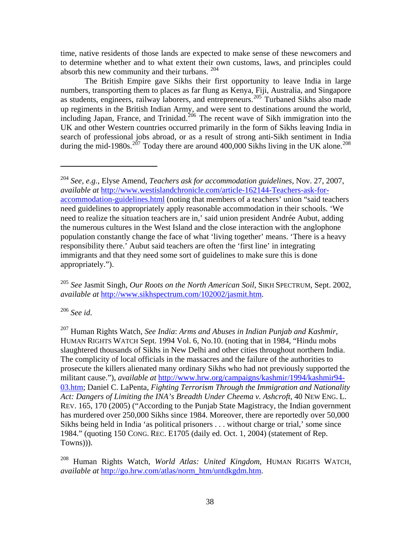time, native residents of those lands are expected to make sense of these newcomers and to determine whether and to what extent their own customs, laws, and principles could absorb this new community and their turbans. [204](#page-39-0)

 The British Empire gave Sikhs their first opportunity to leave India in large numbers, transporting them to places as far flung as Kenya, Fiji, Australia, and Singapore as students, engineers, railway laborers, and entrepreneurs.<sup>[205](#page-39-1)</sup> Turbaned Sikhs also made up regiments in the British Indian Army, and were sent to destinations around the world, including Japan, France, and Trinidad.<sup>[206](#page-39-2)</sup> The recent wave of Sikh immigration into the UK and other Western countries occurred primarily in the form of Sikhs leaving India in search of professional jobs abroad, or as a result of strong anti-Sikh sentiment in India during the mid-1980s.<sup>[207](#page-39-3)</sup> Today there are around 400,000 Sikhs living in the UK alone.<sup>208</sup>

<span id="page-39-1"></span><sup>205</sup> *See* Jasmit Singh, *Our Roots on the North American Soil*, SIKH SPECTRUM, Sept. 2002, *available at* [http://www.sikhspectrum.com/102002/jasmit.htm.](http://www.sikhspectrum.com/102002/jasmit.htm)

<span id="page-39-2"></span><sup>206</sup> *See id*.

1

<span id="page-39-3"></span>207 Human Rights Watch, *See India*: *Arms and Abuses in Indian Punjab and Kashmir*, HUMAN RIGHTS WATCH Sept. 1994 Vol. 6, No.10. (noting that in 1984, "Hindu mobs slaughtered thousands of Sikhs in New Delhi and other cities throughout northern India. The complicity of local officials in the massacres and the failure of the authorities to prosecute the killers alienated many ordinary Sikhs who had not previously supported the militant cause."), *available at* [http://www.hrw.org/campaigns/kashmir/1994/kashmir94-](http://www.hrw.org/campaigns/kashmir/1994/kashmir94-03.htm) [03.htm;](http://www.hrw.org/campaigns/kashmir/1994/kashmir94-03.htm) Daniel C. LaPenta, *Fighting Terrorism Through the Immigration and Nationality Act: Dangers of Limiting the INA's Breadth Under Cheema v. Ashcroft*, 40 NEW ENG. L. REV. 165, 170 (2005) ("According to the Punjab State Magistracy, the Indian government has murdered over 250,000 Sikhs since 1984. Moreover, there are reportedly over 50,000 Sikhs being held in India 'as political prisoners . . . without charge or trial,' some since 1984." (quoting 150 CONG. REC. E1705 (daily ed. Oct. 1, 2004) (statement of Rep. Towns))).

<span id="page-39-4"></span>208 Human Rights Watch, *World Atlas: United Kingdom*, HUMAN RIGHTS WATCH, *available at* [http://go.hrw.com/atlas/norm\\_htm/untdkgdm.htm](http://go.hrw.com/atlas/norm_htm/untdkgdm.htm).

<span id="page-39-0"></span><sup>204</sup> *See, e.g.*, Elyse Amend, *Teachers ask for accommodation guidelines*, Nov. 27, 2007, *available at* [http://www.westislandchronicle.com/article-162144-Teachers-ask-for](http://www.westislandchronicle.com/article-162144-Teachers-ask-for-accommodation-guidelines.html)[accommodation-guidelines.html](http://www.westislandchronicle.com/article-162144-Teachers-ask-for-accommodation-guidelines.html) (noting that members of a teachers' union "said teachers need guidelines to appropriately apply reasonable accommodation in their schools. 'We need to realize the situation teachers are in,' said union president Andrée Aubut, adding the numerous cultures in the West Island and the close interaction with the anglophone population constantly change the face of what 'living together' means. 'There is a heavy responsibility there.' Aubut said teachers are often the 'first line' in integrating immigrants and that they need some sort of guidelines to make sure this is done appropriately.").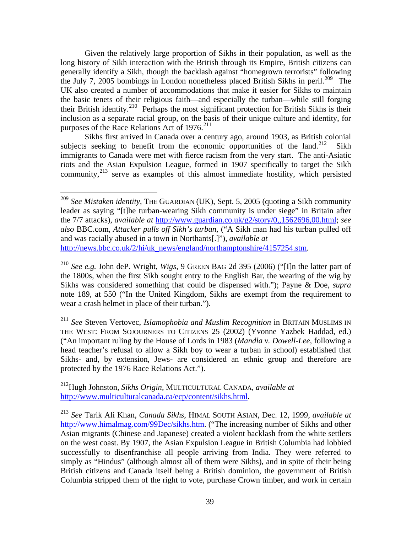Given the relatively large proportion of Sikhs in their population, as well as the long history of Sikh interaction with the British through its Empire, British citizens can generally identify a Sikh, though the backlash against "homegrown terrorists" following the July 7, 2005 bombings in London nonetheless placed British Sikhs in peril.<sup>[209](#page-40-0)</sup> The UK also created a number of accommodations that make it easier for Sikhs to maintain the basic tenets of their religious faith—and especially the turban—while still forging their British identity.[210](#page-40-1) Perhaps the most significant protection for British Sikhs is their inclusion as a separate racial group, on the basis of their unique culture and identity, for purposes of the Race Relations Act of 1976.<sup>[211](#page-40-2)</sup>

 Sikhs first arrived in Canada over a century ago, around 1903, as British colonial subjects seeking to benefit from the economic opportunities of the land.<sup>[212](#page-40-3)</sup> Sikh immigrants to Canada were met with fierce racism from the very start. The anti-Asiatic riots and the Asian Expulsion League, formed in 1907 specifically to target the Sikh community, $^{213}$  $^{213}$  $^{213}$  serve as examples of this almost immediate hostility, which persisted

 $\overline{a}$ 

<span id="page-40-0"></span><sup>209</sup> *See Mistaken identity*, THE GUARDIAN (UK), Sept. 5, 2005 (quoting a Sikh community leader as saying "[t]he turban-wearing Sikh community is under siege" in Britain after the 7/7 attacks), *available at* <http://www.guardian.co.uk/g2/story/0,,1562696,00.html>; *see also* BBC.com, *Attacker pulls off Sikh's turban*, ("A Sikh man had his turban pulled off and was racially abused in a town in Northants[.]"), *available at* [http://news.bbc.co.uk/2/hi/uk\\_news/england/northamptonshire/4157254.stm.](http://news.bbc.co.uk/2/hi/uk_news/england/northamptonshire/4157254.stm)

<span id="page-40-1"></span><sup>210</sup> *See e.g.* John deP. Wright, *Wigs,* 9 GREEN BAG 2d 395 (2006) ("[I]n the latter part of the 1800s, when the first Sikh sought entry to the English Bar, the wearing of the wig by Sikhs was considered something that could be dispensed with."); Payne & Doe, *supra* note 189, at 550 ("In the United Kingdom, Sikhs are exempt from the requirement to wear a crash helmet in place of their turban.").

<span id="page-40-2"></span><sup>211</sup> *See* Steven Vertovec, *Islamophobia and Muslim Recognition* in BRITAIN MUSLIMS IN THE WEST: FROM SOJOURNERS TO CITIZENS 25 (2002) (Yvonne Yazbek Haddad, ed.) ("An important ruling by the House of Lords in 1983 (*Mandla v. Dowell-Lee*, following a head teacher's refusal to allow a Sikh boy to wear a turban in school) established that Sikhs- and, by extension, Jews- are considered an ethnic group and therefore are protected by the 1976 Race Relations Act.").

<span id="page-40-3"></span><sup>212</sup>Hugh Johnston, *Sikhs Origin*, MULTICULTURAL CANADA, *available at* <http://www.multiculturalcanada.ca/ecp/content/sikhs.html>.

<span id="page-40-4"></span><sup>213</sup> *See* Tarik Ali Khan, *Canada Sikhs*, HIMAL SOUTH ASIAN, Dec. 12, 1999, *available at* [http://www.himalmag.com/99Dec/sikhs.htm.](http://www.himalmag.com/99Dec/sikhs.htm) ("The increasing number of Sikhs and other Asian migrants (Chinese and Japanese) created a violent backlash from the white settlers on the west coast. By 1907, the Asian Expulsion League in British Columbia had lobbied successfully to disenfranchise all people arriving from India. They were referred to simply as "Hindus" (although almost all of them were Sikhs), and in spite of their being British citizens and Canada itself being a British dominion, the government of British Columbia stripped them of the right to vote, purchase Crown timber, and work in certain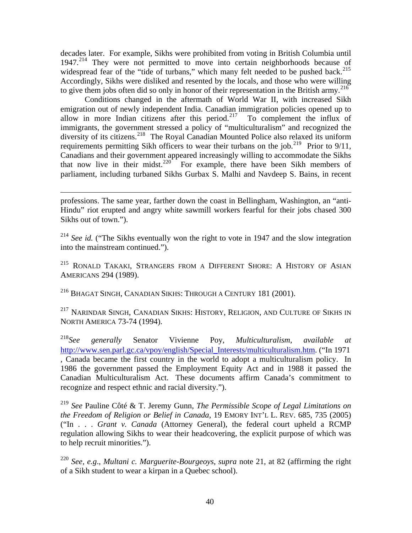decades later. For example, Sikhs were prohibited from voting in British Columbia until 1947.<sup>[214](#page-41-0)</sup> They were not permitted to move into certain neighborhoods because of widespread fear of the "tide of turbans," which many felt needed to be pushed back.<sup>[215](#page-41-1)</sup> Accordingly, Sikhs were disliked and resented by the locals, and those who were willing to give them jobs often did so only in honor of their representation in the British army.<sup>[216](#page-41-2)</sup>

 Conditions changed in the aftermath of World War II, with increased Sikh emigration out of newly independent India. Canadian immigration policies opened up to allow in more Indian citizens after this period.<sup>[217](#page-41-3)</sup> To complement the influx of immigrants, the government stressed a policy of "multiculturalism" and recognized the diversity of its citizens.<sup>[218](#page-41-4)</sup> The Royal Canadian Mounted Police also relaxed its uniform requirements permitting Sikh officers to wear their turbans on the job.<sup>[219](#page-41-5)</sup> Prior to  $9/11$ , Canadians and their government appeared increasingly willing to accommodate the Sikhs that now live in their midst.<sup>[220](#page-41-6)</sup> For example, there have been Sikh members of parliament, including turbaned Sikhs Gurbax S. Malhi and Navdeep S. Bains, in recent

<span id="page-41-0"></span><sup>214</sup> See id. ("The Sikhs eventually won the right to vote in 1947 and the slow integration into the mainstream continued.").

<span id="page-41-1"></span><sup>215</sup> RONALD TAKAKI, STRANGERS FROM A DIFFERENT SHORE: A HISTORY OF ASIAN AMERICANS 294 (1989).

<span id="page-41-2"></span>216 BHAGAT SINGH, CANADIAN SIKHS: THROUGH A CENTURY 181 (2001).

1

<span id="page-41-3"></span><sup>217</sup> NARINDAR SINGH, CANADIAN SIKHS: HISTORY, RELIGION, AND CULTURE OF SIKHS IN NORTH AMERICA 73-74 (1994).

<span id="page-41-4"></span><sup>218</sup>*See generally* Senator Vivienne Poy, *Multiculturalism*, *available at* [http://www.sen.parl.gc.ca/vpoy/english/Special\\_Interests/multiculturalism.htm](http://www.sen.parl.gc.ca/vpoy/english/Special_Interests/multiculturalism.htm). ("In 1971 , Canada became the first country in the world to adopt a multiculturalism policy. In 1986 the government passed the Employment Equity Act and in 1988 it passed the Canadian Multiculturalism Act. These documents affirm Canada's commitment to recognize and respect ethnic and racial diversity.").

<span id="page-41-5"></span><sup>219</sup> *See* Pauline Côté & T. Jeremy Gunn, *The Permissible Scope of Legal Limitations on the Freedom of Religion or Belief in Canada*, 19 EMORY INT'L L. REV. 685, 735 (2005) ("In . . . *Grant v. Canada* (Attorney General), the federal court upheld a RCMP regulation allowing Sikhs to wear their headcovering, the explicit purpose of which was to help recruit minorities.").

<span id="page-41-6"></span><sup>220</sup> *See, e.g*., *Multani c. Marguerite-Bourgeoys*, *supra* note 21, at 82 (affirming the right of a Sikh student to wear a kirpan in a Quebec school).

professions. The same year, farther down the coast in Bellingham, Washington, an "anti-Hindu" riot erupted and angry white sawmill workers fearful for their jobs chased 300 Sikhs out of town.").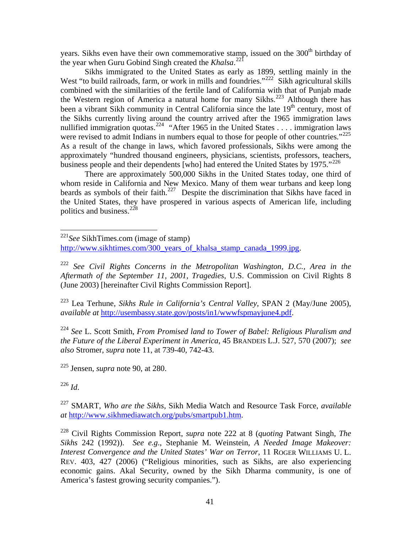years. Sikhs even have their own commemorative stamp, issued on the 300<sup>th</sup> birthday of the year when Guru Gobind Singh created the *Khalsa*.<sup>[221](#page-42-0)</sup>

 Sikhs immigrated to the United States as early as 1899, settling mainly in the West "to build railroads, farm, or work in mills and foundries."<sup>[222](#page-42-1)</sup> Sikh agricultural skills combined with the similarities of the fertile land of California with that of Punjab made the Western region of America a natural home for many Sikhs.<sup>[223](#page-42-2)</sup> Although there has been a vibrant Sikh community in Central California since the late  $19<sup>th</sup>$  century, most of the Sikhs currently living around the country arrived after the 1965 immigration laws nullified immigration quotas.<sup>[224](#page-42-3)</sup> "After 1965 in the United States . . . . immigration laws were revised to admit Indians in numbers equal to those for people of other countries."<sup>[225](#page-42-4)</sup> As a result of the change in laws, which favored professionals, Sikhs were among the approximately "hundred thousand engineers, physicians, scientists, professors, teachers, business people and their dependents [who] had entered the United States by 1975. $12^{226}$  $12^{226}$  $12^{226}$ 

 There are approximately 500,000 Sikhs in the United States today, one third of whom reside in California and New Mexico. Many of them wear turbans and keep long beards as symbols of their faith.<sup>[227](#page-42-6)</sup> Despite the discrimination that Sikhs have faced in the United States, they have prospered in various aspects of American life, including politics and business.<sup>[228](#page-42-7)</sup>

<span id="page-42-2"></span>223 Lea Terhune, *Sikhs Rule in California's Central Valley*, SPAN 2 (May/June 2005), *available at* [http://usembassy.state.gov/posts/in1/wwwfspmayjune4.pdf.](http://usembassy.state.gov/posts/in1/wwwfspmayjune4.pdf)

<span id="page-42-3"></span><sup>224</sup> *See* L. Scott Smith, *From Promised land to Tower of Babel: Religious Pluralism and the Future of the Liberal Experiment in America*, 45 BRANDEIS L.J. 527, 570 (2007); *see also* Stromer, *supra* note 11, at 739-40, 742-43.

<span id="page-42-4"></span>225 Jensen, *supra* note 90, at 280.

<span id="page-42-5"></span><sup>226</sup> *Id*.

 $\overline{a}$ 

<span id="page-42-6"></span>227 SMART, *Who are the Sikhs*, Sikh Media Watch and Resource Task Force, *available at* [http://www.sikhmediawatch.org/pubs/smartpub1.htm.](http://www.sikhmediawatch.org/pubs/smartpub1.htm)

<span id="page-42-0"></span><sup>221</sup>*See* SikhTimes.com (image of stamp) [http://www.sikhtimes.com/300\\_years\\_of\\_khalsa\\_stamp\\_canada\\_1999.jpg.](http://www.sikhtimes.com/300_years_of_khalsa_stamp_canada_1999.jpg)

<span id="page-42-1"></span><sup>222</sup> *See Civil Rights Concerns in the Metropolitan Washington, D.C., Area in the Aftermath of the September 11, 2001, Tragedies*, U.S. Commission on Civil Rights 8 (June 2003) [hereinafter Civil Rights Commission Report].

<span id="page-42-7"></span><sup>228</sup> Civil Rights Commission Report, *supra* note 222 at 8 (*quoting* Patwant Singh, *The Sikhs* 242 (1992)). *See e.g*., Stephanie M. Weinstein, *A Needed Image Makeover: Interest Convergence and the United States' War on Terror*, 11 ROGER WILLIAMS U. L. REV. 403, 427 (2006) ("Religious minorities, such as Sikhs, are also experiencing economic gains. Akal Security, owned by the Sikh Dharma community, is one of America's fastest growing security companies.").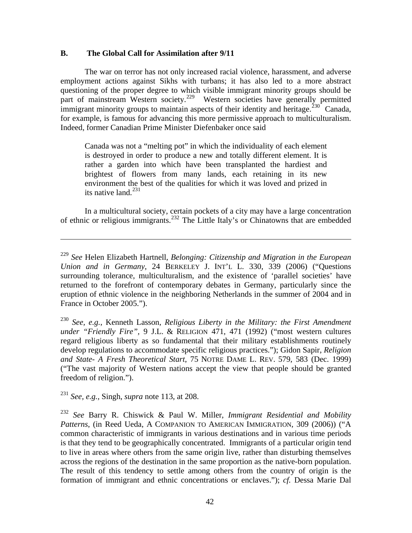#### **B. The Global Call for Assimilation after 9/11**

 The war on terror has not only increased racial violence, harassment, and adverse employment actions against Sikhs with turbans; it has also led to a more abstract questioning of the proper degree to which visible immigrant minority groups should be part of mainstream Western society.<sup>[229](#page-43-0)</sup> Western societies have generally permitted immigrant minority groups to maintain aspects of their identity and heritage.<sup>[230](#page-43-1)</sup> Canada, for example, is famous for advancing this more permissive approach to multiculturalism. Indeed, former Canadian Prime Minister Diefenbaker once said

Canada was not a "melting pot" in which the individuality of each element is destroyed in order to produce a new and totally different element. It is rather a garden into which have been transplanted the hardiest and brightest of flowers from many lands, each retaining in its new environment the best of the qualities for which it was loved and prized in its native land. $^{231}$  $^{231}$  $^{231}$ 

 In a multicultural society, certain pockets of a city may have a large concentration of ethnic or religious immigrants.[232](#page-43-3) The Little Italy's or Chinatowns that are embedded

<span id="page-43-2"></span><sup>231</sup> *See, e.g.,* Singh, *supra* note 113, at 208.

<u>.</u>

<span id="page-43-0"></span><sup>229</sup> *See* Helen Elizabeth Hartnell, *Belonging: Citizenship and Migration in the European Union and in Germany*, 24 BERKELEY J. INT'L L. 330, 339 (2006) ("Questions surrounding tolerance, multiculturalism, and the existence of 'parallel societies' have returned to the forefront of contemporary debates in Germany, particularly since the eruption of ethnic violence in the neighboring Netherlands in the summer of 2004 and in France in October 2005.").

<span id="page-43-1"></span><sup>230</sup> *See, e.g.*, Kenneth Lasson, *Religious Liberty in the Military: the First Amendment under "Friendly Fire",* 9 J.L. & RELIGION 471, 471 (1992) ("most western cultures regard religious liberty as so fundamental that their military establishments routinely develop regulations to accommodate specific religious practices."); Gidon Sapir, *Religion and State- A Fresh Theoretical Start*, 75 NOTRE DAME L. REV. 579, 583 (Dec. 1999) ("The vast majority of Western nations accept the view that people should be granted freedom of religion.").

<span id="page-43-3"></span><sup>232</sup> *See* Barry R. Chiswick & Paul W. Miller, *Immigrant Residential and Mobility Patterns*, (in Reed Ueda, A COMPANION TO AMERICAN IMMIGRATION, 309 (2006)) ("A common characteristic of immigrants in various destinations and in various time periods is that they tend to be geographically concentrated. Immigrants of a particular origin tend to live in areas where others from the same origin live, rather than disturbing themselves across the regions of the destination in the same proportion as the native-born population. The result of this tendency to settle among others from the country of origin is the formation of immigrant and ethnic concentrations or enclaves."); *cf.* Dessa Marie Dal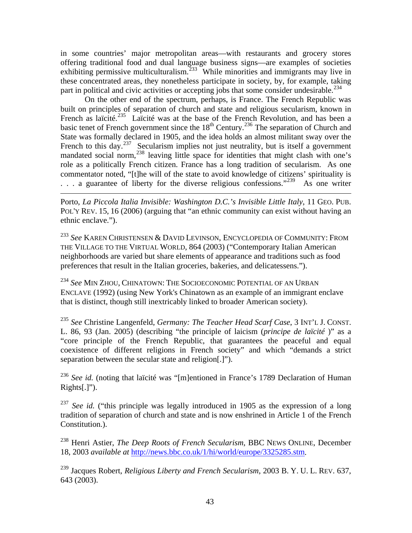in some countries' major metropolitan areas—with restaurants and grocery stores offering traditional food and dual language business signs—are examples of societies exhibiting permissive multiculturalism.<sup>[233](#page-44-0)</sup> While minorities and immigrants may live in these concentrated areas, they nonetheless participate in society, by, for example, taking part in political and civic activities or accepting jobs that some consider undesirable.<sup>[234](#page-44-1)</sup>

 On the other end of the spectrum, perhaps, is France. The French Republic was built on principles of separation of church and state and religious secularism, known in French as laïcité.<sup>[235](#page-44-2)</sup> Laïcité was at the base of the French Revolution, and has been a basic tenet of French government since the  $18<sup>th</sup>$  Century.<sup>[236](#page-44-3)</sup> The separation of Church and State was formally declared in 1905, and the idea holds an almost militant sway over the French to this day.<sup>[237](#page-44-4)</sup> Secularism implies not just neutrality, but is itself a government mandated social norm,<sup>[238](#page-44-5)</sup> leaving little space for identities that might clash with one's role as a politically French citizen. France has a long tradition of secularism. As one commentator noted, "[t]he will of the state to avoid knowledge of citizens' spirituality is  $\ldots$  a guarantee of liberty for the diverse religious confessions."<sup>[239](#page-44-6)</sup> As one writer

Porto, *La Piccola Italia Invisible: Washington D.C.'s Invisible Little Italy*, 11 GEO. PUB. POL'Y REV. 15, 16 (2006) (arguing that "an ethnic community can exist without having an ethnic enclave.").

1

<span id="page-44-0"></span><sup>233</sup> *See* KAREN CHRISTENSEN & DAVID LEVINSON, ENCYCLOPEDIA OF COMMUNITY: FROM THE VILLAGE TO THE VIRTUAL WORLD, 864 (2003) ("Contemporary Italian American neighborhoods are varied but share elements of appearance and traditions such as food preferences that result in the Italian groceries, bakeries, and delicatessens.").

<span id="page-44-1"></span><sup>234</sup> *See* MIN ZHOU, CHINATOWN: THE SOCIOECONOMIC POTENTIAL OF AN URBAN ENCLAVE (1992) (using New York's Chinatown as an example of an immigrant enclave that is distinct, though still inextricably linked to broader American society).

<span id="page-44-2"></span><sup>235</sup> *See* Christine Langenfeld, *Germany: The Teacher Head Scarf Case*, 3 INT'L J. CONST. L. 86, 93 (Jan. 2005) (describing "the principle of laicism (*principe de laïcité* )" as a "core principle of the French Republic, that guarantees the peaceful and equal coexistence of different religions in French society" and which "demands a strict separation between the secular state and religion[.]").

<span id="page-44-3"></span><sup>236</sup> See id. (noting that laïcité was "[m]entioned in France's 1789 Declaration of Human Rights[.]").

<span id="page-44-4"></span><sup>237</sup> *See id.* ("this principle was legally introduced in 1905 as the expression of a long tradition of separation of church and state and is now enshrined in Article 1 of the French Constitution.).

<span id="page-44-5"></span>238 Henri Astier, *The Deep Roots of French Secularism*, BBC NEWS ONLINE, December 18, 2003 *available at* [http://news.bbc.co.uk/1/hi/world/europe/3325285.stm.](http://news.bbc.co.uk/1/hi/world/europe/3325285.stm)

<span id="page-44-6"></span>239 Jacques Robert, *Religious Liberty and French Secularism*, 2003 B. Y. U. L. REV. 637, 643 (2003).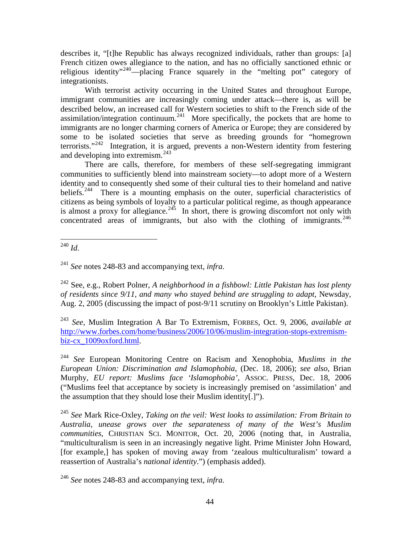describes it, "[t]he Republic has always recognized individuals, rather than groups: [a] French citizen owes allegiance to the nation, and has no officially sanctioned ethnic or religious identity"[240](#page-45-0)—placing France squarely in the "melting pot" category of integrationists.

 With terrorist activity occurring in the United States and throughout Europe, immigrant communities are increasingly coming under attack—there is, as will be described below, an increased call for Western societies to shift to the French side of the assimilation/integration continuum.<sup>[241](#page-45-1)</sup> More specifically, the pockets that are home to immigrants are no longer charming corners of America or Europe; they are considered by some to be isolated societies that serve as breeding grounds for "homegrown terrorists."[242](#page-45-2) Integration, it is argued, prevents a non-Western identity from festering and developing into extremism.<sup>[243](#page-45-3)</sup>

 There are calls, therefore, for members of these self-segregating immigrant communities to sufficiently blend into mainstream society—to adopt more of a Western identity and to consequently shed some of their cultural ties to their homeland and native beliefs.<sup>[244](#page-45-4)</sup> There is a mounting emphasis on the outer, superficial characteristics of citizens as being symbols of loyalty to a particular political regime, as though appearance is almost a proxy for allegiance.<sup>[245](#page-45-5)</sup> In short, there is growing discomfort not only with concentrated areas of immigrants, but also with the clothing of immigrants.  $246$ 

<span id="page-45-0"></span><u>.</u> <sup>240</sup> *Id*.

<span id="page-45-1"></span><sup>241</sup> *See* notes 248-83 and accompanying text, *infra*.

<span id="page-45-2"></span>242 See, e.g., Robert Polner, *A neighborhood in a fishbowl: Little Pakistan has lost plenty of residents since 9/11, and many who stayed behind are struggling to adapt*, Newsday, Aug. 2, 2005 (discussing the impact of post-9/11 scrutiny on Brooklyn's Little Pakistan).

<span id="page-45-3"></span><sup>243</sup> *See,* Muslim Integration A Bar To Extremism, FORBES, Oct. 9, 2006, *available at* [http://www.forbes.com/home/business/2006/10/06/muslim-integration-stops-extremism](http://www.forbes.com/home/business/2006/10/06/muslim-integration-stops-extremism-biz-cx_1009oxford.html)[biz-cx\\_1009oxford.html.](http://www.forbes.com/home/business/2006/10/06/muslim-integration-stops-extremism-biz-cx_1009oxford.html)

<span id="page-45-4"></span><sup>244</sup> *See* European Monitoring Centre on Racism and Xenophobia, *Muslims in the European Union: Discrimination and Islamophobia*, (Dec. 18, 2006); *see also*, Brian Murphy, *EU report: Muslims face 'Islamophobia'*, ASSOC. PRESS, Dec. 18, 2006 ("Muslims feel that acceptance by society is increasingly premised on 'assimilation' and the assumption that they should lose their Muslim identity[.]").

<span id="page-45-5"></span><sup>245</sup> *See* Mark Rice-Oxley, *Taking on the veil: West looks to assimilation: From Britain to Australia, unease grows over the separateness of many of the West's Muslim communities*, CHRISTIAN SCI. MONITOR, Oct. 20, 2006 (noting that, in Australia, "multiculturalism is seen in an increasingly negative light. Prime Minister John Howard, [for example,] has spoken of moving away from 'zealous multiculturalism' toward a reassertion of Australia's *national identity*.") (emphasis added).

<span id="page-45-6"></span><sup>246</sup> *See* notes 248-83 and accompanying text, *infra*.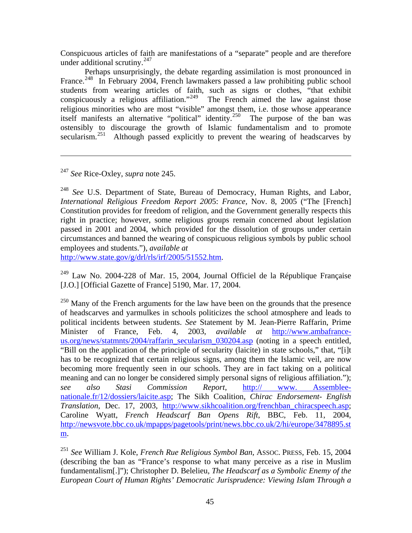Conspicuous articles of faith are manifestations of a "separate" people and are therefore under additional scrutiny. $247$ 

 Perhaps unsurprisingly, the debate regarding assimilation is most pronounced in France.<sup>[248](#page-46-1)</sup> In February 2004, French lawmakers passed a law prohibiting public school students from wearing articles of faith, such as signs or clothes, "that exhibit conspicuously a religious affiliation."<sup>[249](#page-46-2)</sup> The French aimed the law against those religious minorities who are most "visible" amongst them, i.e. those whose appearance itself manifests an alternative "political" identity.[250](#page-46-3) The purpose of the ban was ostensibly to discourage the growth of Islamic fundamentalism and to promote secularism.<sup>[251](#page-46-4)</sup> Although passed explicitly to prevent the wearing of headscarves by

<span id="page-46-0"></span><sup>247</sup> *See* Rice-Oxley, *supra* note 245.

 $\overline{a}$ 

<span id="page-46-1"></span><sup>248</sup> *See* U.S. Department of State, Bureau of Democracy, Human Rights, and Labor, *International Religious Freedom Report 200*5: *France,* Nov. 8, 2005 ("The [French] Constitution provides for freedom of religion, and the Government generally respects this right in practice; however, some religious groups remain concerned about legislation passed in 2001 and 2004, which provided for the dissolution of groups under certain circumstances and banned the wearing of conspicuous religious symbols by public school employees and students."), *available at*

[http://www.state.gov/g/drl/rls/irf/2005/51552.htm.](http://www.state.gov/g/drl/rls/irf/2005/51552.htm)

<span id="page-46-2"></span>249 Law No. 2004-228 of Mar. 15, 2004, Journal Officiel de la République Française [J.O.] [Official Gazette of France] 5190, Mar. 17, 2004.

<span id="page-46-3"></span> $250$  Many of the French arguments for the law have been on the grounds that the presence of headscarves and yarmulkes in schools politicizes the school atmosphere and leads to political incidents between students. *See* Statement by M. Jean-Pierre Raffarin, Prime Minister of France, Feb. 4, 2003, *available at* [http://www.ambafrance](http://www.ambafrance-us.org/news/statmnts/2004/raffarin_secularism_030204.asp)[us.org/news/statmnts/2004/raffarin\\_secularism\\_030204.asp](http://www.ambafrance-us.org/news/statmnts/2004/raffarin_secularism_030204.asp) (noting in a speech entitled, "Bill on the application of the principle of secularity (laicite) in state schools," that, "[i]t has to be recognized that certain religious signs, among them the Islamic veil, are now becoming more frequently seen in our schools. They are in fact taking on a political meaning and can no longer be considered simply personal signs of religious affiliation."); *see also Stasi Commission Report*, [http:// www. Assemblee](http://%20www.%20assemblee-nationale.fr/12/dossiers/laicite.asp)[nationale.fr/12/dossiers/laicite.asp;](http://%20www.%20assemblee-nationale.fr/12/dossiers/laicite.asp) The Sikh Coalition, *Chirac Endorsement- English Translation*, Dec. 17, 2003, [http://www.sikhcoalition.org/frenchban\\_chiracspeech.asp;](http://www.sikhcoalition.org/frenchban_chiracspeech.asp) Caroline Wyatt, *French Headscarf Ban Opens Rift*, BBC, Feb. 11, 2004, [http://newsvote.bbc.co.uk/mpapps/pagetools/print/news.bbc.co.uk/2/hi/europe/3478895.st](http://newsvote.bbc.co.uk/mpapps/pagetools/print/news.bbc.co.uk/2/hi/europe/3478895.stm) [m](http://newsvote.bbc.co.uk/mpapps/pagetools/print/news.bbc.co.uk/2/hi/europe/3478895.stm).

<span id="page-46-4"></span><sup>251</sup> *See* William J. Kole, *French Rue Religious Symbol Ban*, ASSOC. PRESS, Feb. 15, 2004 (describing the ban as "France's response to what many perceive as a rise in Muslim fundamentalism[.]"); Christopher D. Belelieu, *The Headscarf as a Symbolic Enemy of the European Court of Human Rights' Democratic Jurisprudence: Viewing Islam Through a*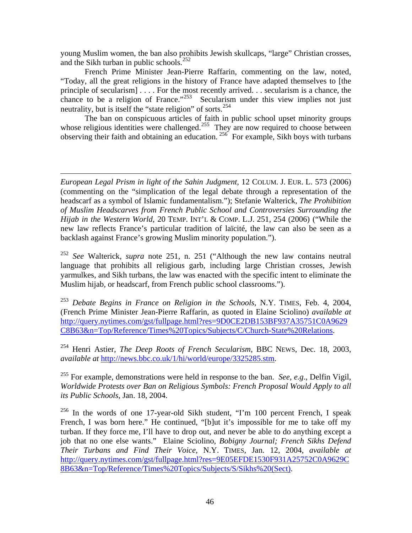young Muslim women, the ban also prohibits Jewish skullcaps, "large" Christian crosses, and the Sikh turban in public schools.<sup>[252](#page-47-0)</sup>

 French Prime Minister Jean-Pierre Raffarin, commenting on the law, noted, "Today, all the great religions in the history of France have adapted themselves to [the principle of secularism] . . . . For the most recently arrived. . . secularism is a chance, the chance to be a religion of France."<sup>[253](#page-47-1)</sup> Secularism under this view implies not just neutrality, but is itself the "state religion" of sorts.<sup>[254](#page-47-2)</sup>

 The ban on conspicuous articles of faith in public school upset minority groups whose religious identities were challenged.<sup>[255](#page-47-3)</sup> They are now required to choose between observing their faith and obtaining an education.  $256$  For example, Sikh boys with turbans

*European Legal Prism in light of the Sahin Judgment*, 12 COLUM. J. EUR. L. 573 (2006) (commenting on the "simplication of the legal debate through a representation of the headscarf as a symbol of Islamic fundamentalism."); Stefanie Walterick, *The Prohibition of Muslim Headscarves from French Public School and Controversies Surrounding the Hijab in the Western World*, 20 TEMP. INT'L & COMP. L.J. 251, 254 (2006) ("While the new law reflects France's particular tradition of laïcité, the law can also be seen as a backlash against France's growing Muslim minority population.").

 $\overline{a}$ 

<span id="page-47-0"></span><sup>252</sup> *See* Walterick, *supra* note 251, n. 251 ("Although the new law contains neutral language that prohibits all religious garb, including large Christian crosses, Jewish yarmulkes, and Sikh turbans, the law was enacted with the specific intent to eliminate the Muslim hijab, or headscarf, from French public school classrooms.").

<span id="page-47-1"></span><sup>253</sup> *Debate Begins in France on Religion in the Schools*, N.Y. TIMES, Feb. 4, 2004, (French Prime Minister Jean-Pierre Raffarin, as quoted in Elaine Sciolino) *available at* [http://query.nytimes.com/gst/fullpage.html?res=9D0CE2DB153BF937A35751C0A9629](http://query.nytimes.com/gst/fullpage.html?res=9D0CE2DB153BF937A35751C0A9629C8B63&n=Top/Reference/Times%20Topics/Subjects/C/Church-State%20Relations) [C8B63&n=Top/Reference/Times%20Topics/Subjects/C/Church-State%20Relations.](http://query.nytimes.com/gst/fullpage.html?res=9D0CE2DB153BF937A35751C0A9629C8B63&n=Top/Reference/Times%20Topics/Subjects/C/Church-State%20Relations)

<span id="page-47-2"></span>254 Henri Astier, *The Deep Roots of French Secularism*, BBC NEWS, Dec. 18, 2003, *available at* [http://news.bbc.co.uk/1/hi/world/europe/3325285.stm.](http://news.bbc.co.uk/1/hi/world/europe/3325285.stm)

<span id="page-47-3"></span>255 For example, demonstrations were held in response to the ban. *See, e.g*., Delfin Vigil, *Worldwide Protests over Ban on Religious Symbols: French Proposal Would Apply to all its Public Schools*, Jan. 18, 2004.

<span id="page-47-4"></span> $256$  In the words of one 17-year-old Sikh student, "I'm 100 percent French, I speak French, I was born here." He continued, "[b]ut it's impossible for me to take off my turban. If they force me, I'll have to drop out, and never be able to do anything except a job that no one else wants." Elaine Sciolino, *Bobigny Journal; French Sikhs Defend Their Turbans and Find Their Voice*, N.Y. TIMES, Jan. 12, 2004, *available at* [http://query.nytimes.com/gst/fullpage.html?res=9E05EFDE1530F931A25752C0A9629C](http://query.nytimes.com/gst/fullpage.html?res=9E05EFDE1530F931A25752C0A9629C8B63&n=Top/Reference/Times%20Topics/Subjects/S/Sikhs%20(Sect)) [8B63&n=Top/Reference/Times%20Topics/Subjects/S/Sikhs%20\(Sect\)](http://query.nytimes.com/gst/fullpage.html?res=9E05EFDE1530F931A25752C0A9629C8B63&n=Top/Reference/Times%20Topics/Subjects/S/Sikhs%20(Sect)).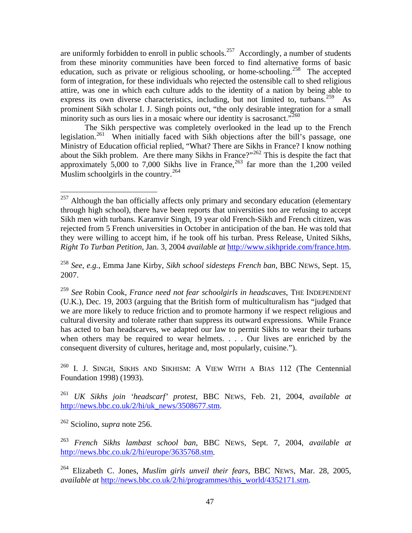are uniformly forbidden to enroll in public schools.<sup>[257](#page-48-0)</sup> Accordingly, a number of students from these minority communities have been forced to find alternative forms of basic education, such as private or religious schooling, or home-schooling.<sup>[258](#page-48-1)</sup> The accepted form of integration, for these individuals who rejected the ostensible call to shed religious attire, was one in which each culture adds to the identity of a nation by being able to express its own diverse characteristics, including, but not limited to, turbans.<sup>[259](#page-48-2)</sup> As prominent Sikh scholar I. J. Singh points out, "the only desirable integration for a small minority such as ours lies in a mosaic where our identity is sacrosanct."<sup>[260](#page-48-3)</sup>

 The Sikh perspective was completely overlooked in the lead up to the French legislation.<sup>[261](#page-48-4)</sup> When initially faced with Sikh objections after the bill's passage, one Ministry of Education official replied, "What? There are Sikhs in France? I know nothing about the Sikh problem. Are there many Sikhs in France?"<sup>[262](#page-48-5)</sup> This is despite the fact that approximately  $\overline{5,000}$  to 7,000 Sikhs live in France,<sup>[263](#page-48-6)</sup> far more than the 1,200 veiled Muslim schoolgirls in the country.<sup>[264](#page-48-7)</sup>

<span id="page-48-3"></span><sup>260</sup> I. J. SINGH, SIKHS AND SIKHISM: A VIEW WITH A BIAS 112 (The Centennial Foundation 1998) (1993).

<span id="page-48-4"></span><sup>261</sup> *UK Sikhs join 'headscarf' protest*, BBC NEWS, Feb. 21, 2004, *available at* [http://news.bbc.co.uk/2/hi/uk\\_news/3508677.stm.](http://news.bbc.co.uk/2/hi/uk_news/3508677.stm)

<span id="page-48-5"></span>262 Sciolino, *supra* note 256.

<span id="page-48-6"></span><sup>263</sup> *French Sikhs lambast school ban*, BBC NEWS, Sept. 7, 2004, *available at* [http://news.bbc.co.uk/2/hi/europe/3635768.stm.](http://news.bbc.co.uk/2/hi/europe/3635768.stm)

<span id="page-48-7"></span>264 Elizabeth C. Jones, *Muslim girls unveil their fears*, BBC NEWS, Mar. 28, 2005, *available at* [http://news.bbc.co.uk/2/hi/programmes/this\\_world/4352171.stm.](http://news.bbc.co.uk/2/hi/programmes/this_world/4352171.stm)

<span id="page-48-0"></span> $\overline{a}$  $^{257}$  Although the ban officially affects only primary and secondary education (elementary through high school), there have been reports that universities too are refusing to accept Sikh men with turbans. Karamvir Singh, 19 year old French-Sikh and French citizen, was rejected from 5 French universities in October in anticipation of the ban. He was told that they were willing to accept him, if he took off his turban. Press Release, United Sikhs, *Right To Turban Petition*, Jan. 3, 2004 *available at* [http://www.sikhpride.com/france.htm.](http://www.sikhpride.com/france.htm)

<span id="page-48-1"></span><sup>258</sup> *See, e.g.*, Emma Jane Kirby, *Sikh school sidesteps French ban*, BBC NEWS, Sept. 15, 2007.

<span id="page-48-2"></span><sup>259</sup> *See* Robin Cook, *France need not fear schoolgirls in headscaves*, THE INDEPENDENT (U.K.), Dec. 19, 2003 (arguing that the British form of multiculturalism has "judged that we are more likely to reduce friction and to promote harmony if we respect religious and cultural diversity and tolerate rather than suppress its outward expressions. While France has acted to ban headscarves, we adapted our law to permit Sikhs to wear their turbans when others may be required to wear helmets. . . . Our lives are enriched by the consequent diversity of cultures, heritage and, most popularly, cuisine.").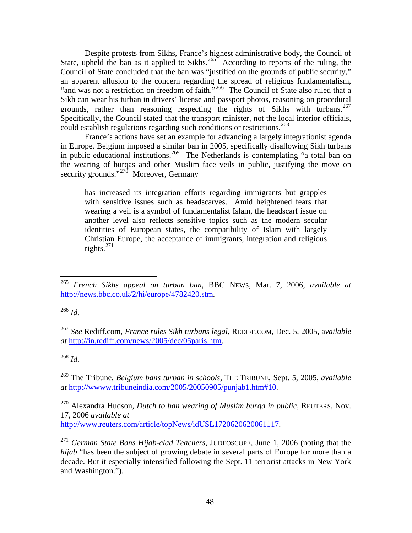Despite protests from Sikhs, France's highest administrative body, the Council of State, upheld the ban as it applied to Sikhs.<sup>[265](#page-49-0)</sup> According to reports of the ruling, the Council of State concluded that the ban was "justified on the grounds of public security," an apparent allusion to the concern regarding the spread of religious fundamentalism, "and was not a restriction on freedom of faith."[266](#page-49-1) The Council of State also ruled that a Sikh can wear his turban in drivers' license and passport photos, reasoning on procedural grounds, rather than reasoning respecting the rights of Sikhs with turbans.<sup>267</sup> Specifically, the Council stated that the transport minister, not the local interior officials, could establish regulations regarding such conditions or restrictions.<sup>[268](#page-49-3)</sup>

 France's actions have set an example for advancing a largely integrationist agenda in Europe. Belgium imposed a similar ban in 2005, specifically disallowing Sikh turbans in public educational institutions.<sup>[269](#page-49-4)</sup> The Netherlands is contemplating "a total ban on the wearing of burqas and other Muslim face veils in public, justifying the move on security grounds."<sup>[270](#page-49-5)</sup> Moreover, Germany

has increased its integration efforts regarding immigrants but grapples with sensitive issues such as headscarves. Amid heightened fears that wearing a veil is a symbol of fundamentalist Islam, the headscarf issue on another level also reflects sensitive topics such as the modern secular identities of European states, the compatibility of Islam with largely Christian Europe, the acceptance of immigrants, integration and religious rights. $^{271}$  $^{271}$  $^{271}$ 

<span id="page-49-1"></span><sup>266</sup> *Id*.

 $\overline{a}$ 

<span id="page-49-2"></span><sup>267</sup> *See* Rediff.com, *France rules Sikh turbans legal*, REDIFF.COM, Dec. 5, 2005, a*vailable at* <http://in.rediff.com/news/2005/dec/05paris.htm>.

<span id="page-49-3"></span><sup>268</sup> *Id*.

<span id="page-49-4"></span>269 The Tribune, *Belgium bans turban in schools*, THE TRIBUNE, Sept. 5, 2005, *available at* [http://wwww.tribuneindia.com/2005/20050905/punjab1.htm#10.](http://wwww.tribuneindia.com/2005/20050905/punjab1.htm#10)

<span id="page-49-5"></span>270 Alexandra Hudson, *Dutch to ban wearing of Muslim burqa in public*, REUTERS, Nov. 17, 2006 *available at* [http://www.reuters.com/article/topNews/idUSL1720620620061117.](http://www.reuters.com/article/topNews/idUSL1720620620061117)

<span id="page-49-6"></span><sup>271</sup> *German State Bans Hijab-clad Teachers*, JUDEOSCOPE, June 1, 2006 (noting that the *hijab* "has been the subject of growing debate in several parts of Europe for more than a decade. But it especially intensified following the Sept. 11 terrorist attacks in New York and Washington.").

<span id="page-49-0"></span><sup>265</sup> *French Sikhs appeal on turban ban*, BBC NEWS, Mar. 7, 2006, *available at* [http://news.bbc.co.uk/2/hi/europe/4782420.stm.](http://news.bbc.co.uk/2/hi/europe/4782420.stm)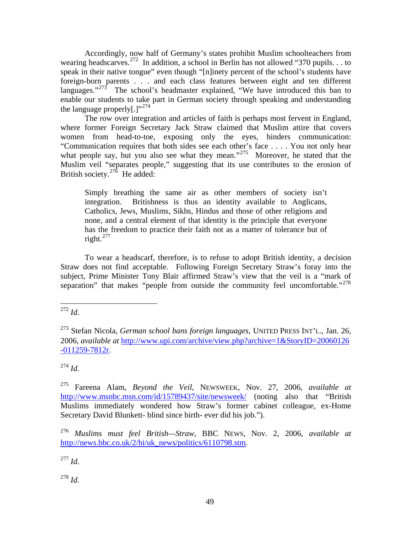Accordingly, now half of Germany's states prohibit Muslim schoolteachers from wearing headscarves.<sup>[272](#page-50-0)</sup> In addition, a school in Berlin has not allowed "370 pupils... to speak in their native tongue" even though "[n]inety percent of the school's students have foreign-born parents . . . and each class features between eight and ten different languages." $273$  The school's headmaster explained, "We have introduced this ban to enable our students to take part in German society through speaking and understanding the language properly[.]"<sup>[274](#page-50-2)</sup>

 The row over integration and articles of faith is perhaps most fervent in England, where former Foreign Secretary Jack Straw claimed that Muslim attire that covers women from head-to-toe, exposing only the eyes, hinders communication: "Communication requires that both sides see each other's face . . . . You not only hear what people say, but you also see what they mean."<sup>[275](#page-50-3)</sup> Moreover, he stated that the Muslim veil "separates people," suggesting that its use contributes to the erosion of British society.<sup>27 $\delta$ </sup> He added:

Simply breathing the same air as other members of society isn't integration. Britishness is thus an identity available to Anglicans, Catholics, Jews, Muslims, Sikhs, Hindus and those of other religions and none, and a central element of that identity is the principle that everyone has the freedom to practice their faith not as a matter of tolerance but of right. $^{277}$  $^{277}$  $^{277}$ 

 To wear a headscarf, therefore, is to refuse to adopt British identity, a decision Straw does not find acceptable. Following Foreign Secretary Straw's foray into the subject, Prime Minister Tony Blair affirmed Straw's view that the veil is a "mark of separation" that makes "people from outside the community feel uncomfortable."<sup>278</sup>

<span id="page-50-0"></span>1 <sup>272</sup> *Id*.

<span id="page-50-2"></span><sup>274</sup> *Id*.

<span id="page-50-5"></span><sup>277</sup> *Id*.

<span id="page-50-6"></span><sup>278</sup> *Id*.

<span id="page-50-1"></span><sup>273</sup> Stefan Nicola, *German school bans foreign languages*, UNITED PRESS INT'L., Jan. 26, 2006, *available at* [http://www.upi.com/archive/view.php?archive=1&StoryID=20060126](http://www.upi.com/archive/view.php?archive=1&StoryID=20060126-011259-7812r) [-011259-7812r](http://www.upi.com/archive/view.php?archive=1&StoryID=20060126-011259-7812r).

<span id="page-50-3"></span><sup>275</sup> Fareena Alam, *Beyond the Veil*, NEWSWEEK, Nov. 27, 2006, *available at* <http://www.msnbc.msn.com/id/15789437/site/newsweek/> (noting also that "British Muslims immediately wondered how Straw's former cabinet colleague, ex-Home Secretary David Blunkett- blind since birth- ever did his job.").

<span id="page-50-4"></span><sup>276</sup> *Muslims must feel British—Straw*, BBC NEWS, Nov. 2, 2006, *available at* [http://news.bbc.co.uk/2/hi/uk\\_news/politics/6110798.stm](http://news.bbc.co.uk/2/hi/uk_news/politics/6110798.stm).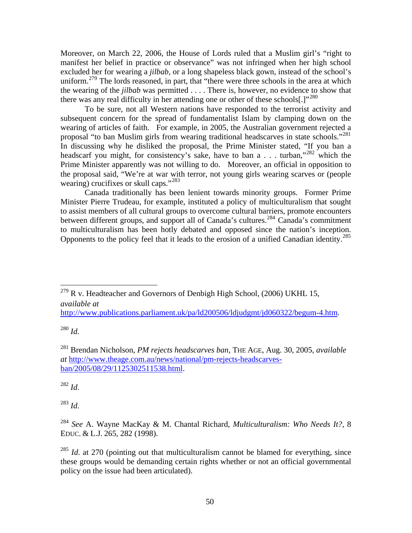Moreover, on March 22, 2006, the House of Lords ruled that a Muslim girl's "right to manifest her belief in practice or observance" was not infringed when her high school excluded her for wearing a *jilbab*, or a long shapeless black gown, instead of the school's uniform.<sup>[279](#page-51-0)</sup> The lords reasoned, in part, that "there were three schools in the area at which the wearing of the *jilbab* was permitted . . . . There is, however, no evidence to show that there was any real difficulty in her attending one or other of these schools[.]"<sup>[280](#page-51-1)</sup>

 To be sure, not all Western nations have responded to the terrorist activity and subsequent concern for the spread of fundamentalist Islam by clamping down on the wearing of articles of faith. For example, in 2005, the Australian government rejected a proposal "to ban Muslim girls from wearing traditional headscarves in state schools."<sup>281</sup> In discussing why he disliked the proposal, the Prime Minister stated, "If you ban a headscarf you might, for consistency's sake, have to ban a . . . turban,"<sup>[282](#page-51-3)</sup> which the Prime Minister apparently was not willing to do. Moreover, an official in opposition to the proposal said, "We're at war with terror, not young girls wearing scarves or (people wearing) crucifixes or skull caps."<sup>[283](#page-51-4)</sup>

 Canada traditionally has been lenient towards minority groups. Former Prime Minister Pierre Trudeau, for example, instituted a policy of multiculturalism that sought to assist members of all cultural groups to overcome cultural barriers, promote encounters between different groups, and support all of Canada's cultures.<sup>[284](#page-51-5)</sup> Canada's commitment to multiculturalism has been hotly debated and opposed since the nation's inception. Opponents to the policy feel that it leads to the erosion of a unified Canadian identity.[285](#page-51-6)

[http://www.publications.parliament.uk/pa/ld200506/ldjudgmt/jd060322/begum-4.htm.](http://www.publications.parliament.uk/pa/ld200506/ldjudgmt/jd060322/begum-4.htm)

<span id="page-51-1"></span><sup>280</sup> *Id*.

1

<span id="page-51-2"></span>281 Brendan Nicholson, *PM rejects headscarves ban*, THE AGE, Aug. 30, 2005, *available at* [http://www.theage.com.au/news/national/pm-rejects-headscarves](http://www.theage.com.au/news/national/pm-rejects-headscarves-ban/2005/08/29/1125302511538.html)[ban/2005/08/29/1125302511538.html.](http://www.theage.com.au/news/national/pm-rejects-headscarves-ban/2005/08/29/1125302511538.html)

<span id="page-51-3"></span><sup>282</sup> *Id*.

<span id="page-51-4"></span><sup>283</sup> *Id*.

<span id="page-51-5"></span><sup>284</sup> *See* A. Wayne MacKay & M. Chantal Richard, *Multiculturalism: Who Needs It?*, 8 EDUC. & L.J. 265, 282 (1998).

<span id="page-51-6"></span><sup>285</sup> *Id.* at 270 (pointing out that multiculturalism cannot be blamed for everything, since these groups would be demanding certain rights whether or not an official governmental policy on the issue had been articulated).

<span id="page-51-0"></span> $^{279}$  R v. Headteacher and Governors of Denbigh High School, (2006) UKHL 15, *available at*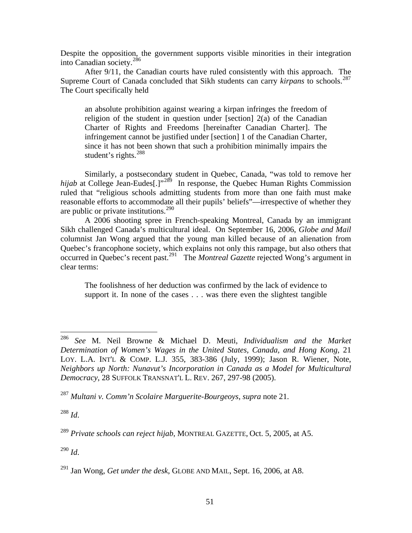Despite the opposition, the government supports visible minorities in their integration into Canadian society.[286](#page-52-0)

 After 9/11, the Canadian courts have ruled consistently with this approach. The Supreme Court of Canada concluded that Sikh students can carry *kirpans* to schools.<sup>287</sup> The Court specifically held

an absolute prohibition against wearing a kirpan infringes the freedom of religion of the student in question under [section] 2(a) of the Canadian Charter of Rights and Freedoms [hereinafter Canadian Charter]. The infringement cannot be justified under [section] 1 of the Canadian Charter, since it has not been shown that such a prohibition minimally impairs the student's rights.<sup>[288](#page-52-2)</sup>

 Similarly, a postsecondary student in Quebec, Canada, "was told to remove her *hijab* at College Jean-Eudes[.]"<sup>[289](#page-52-3)</sup> In response, the Quebec Human Rights Commission ruled that "religious schools admitting students from more than one faith must make reasonable efforts to accommodate all their pupils' beliefs"—irrespective of whether they are public or private institutions.<sup>[290](#page-52-4)</sup>

 A 2006 shooting spree in French-speaking Montreal, Canada by an immigrant Sikh challenged Canada's multicultural ideal. On September 16, 2006, *Globe and Mail* columnist Jan Wong argued that the young man killed because of an alienation from Quebec's francophone society, which explains not only this rampage, but also others that occurred in Quebec's recent past.[291](#page-52-5) The *Montreal Gazette* rejected Wong's argument in clear terms:

The foolishness of her deduction was confirmed by the lack of evidence to support it. In none of the cases . . . was there even the slightest tangible

<span id="page-52-2"></span><sup>288</sup> *Id*.

<span id="page-52-4"></span><sup>290</sup> *Id*.

<span id="page-52-0"></span><sup>286</sup> <sup>286</sup> *See* M. Neil Browne & Michael D. Meuti, *Individualism and the Market Determination of Women's Wages in the United States, Canada, and Hong Kong*, 21 LOY. L.A. INT'L & COMP. L.J. 355, 383-386 (July, 1999); Jason R. Wiener, Note, *Neighbors up North: Nunavut's Incorporation in Canada as a Model for Multicultural Democracy*, 28 SUFFOLK TRANSNAT'L L. REV. 267, 297-98 (2005).

<span id="page-52-1"></span><sup>287</sup> *Multani v. Comm'n Scolaire Marguerite-Bourgeoys*, *supra* note 21.

<span id="page-52-3"></span><sup>289</sup> *Private schools can reject hijab*, MONTREAL GAZETTE, Oct. 5, 2005, at A5.

<span id="page-52-5"></span><sup>291</sup> Jan Wong, *Get under the desk*, GLOBE AND MAIL, Sept. 16, 2006, at A8.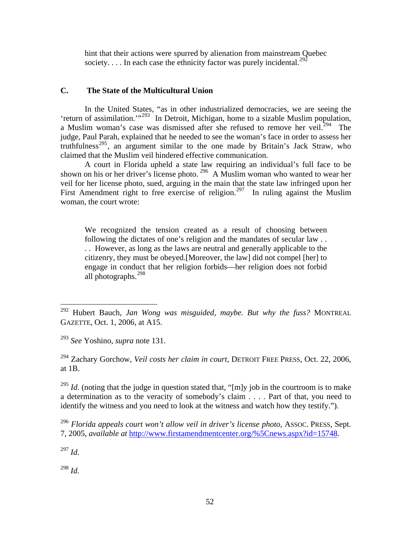hint that their actions were spurred by alienation from mainstream Quebec society.  $\ldots$  In each case the ethnicity factor was purely incidental.<sup>[292](#page-53-0)</sup>

#### **C. The State of the Multicultural Union**

 In the United States, "as in other industrialized democracies, we are seeing the 'return of assimilation.'"<sup>[293](#page-53-1)</sup> In Detroit, Michigan, home to a sizable Muslim population, a Muslim woman's case was dismissed after she refused to remove her veil.<sup>[294](#page-53-2)</sup> The judge, Paul Parah, explained that he needed to see the woman's face in order to assess her truthfulness<sup>[295](#page-53-3)</sup>, an argument similar to the one made by Britain's Jack Straw, who claimed that the Muslim veil hindered effective communication.

 A court in Florida upheld a state law requiring an individual's full face to be shown on his or her driver's license photo. [296](#page-53-4) A Muslim woman who wanted to wear her veil for her license photo, sued, arguing in the main that the state law infringed upon her First Amendment right to free exercise of religion.<sup>[297](#page-53-5)</sup> In ruling against the Muslim woman, the court wrote:

We recognized the tension created as a result of choosing between following the dictates of one's religion and the mandates of secular law . . . . However, as long as the laws are neutral and generally applicable to the citizenry, they must be obeyed.[Moreover, the law] did not compel [her] to engage in conduct that her religion forbids—her religion does not forbid all photographs.[298](#page-53-6)

<span id="page-53-2"></span>294 Zachary Gorchow, *Veil costs her claim in court*, DETROIT FREE PRESS, Oct. 22, 2006, at 1B.

<span id="page-53-3"></span><sup>295</sup> *Id.* (noting that the judge in question stated that, "[m]y job in the courtroom is to make a determination as to the veracity of somebody's claim . . . . Part of that, you need to identify the witness and you need to look at the witness and watch how they testify.").

<span id="page-53-5"></span><sup>297</sup> *Id*.

 $\overline{a}$ 

<span id="page-53-6"></span><sup>298</sup> *Id*.

<span id="page-53-0"></span><sup>292</sup> Hubert Bauch, *Jan Wong was misguided, maybe. But why the fuss?* MONTREAL GAZETTE, Oct. 1, 2006, at A15.

<span id="page-53-1"></span><sup>293</sup> *See* Yoshino, *supra* note 131.

<span id="page-53-4"></span><sup>296</sup> *Florida appeals court won't allow veil in driver's license photo*, ASSOC. PRESS, Sept. 7, 2005, *available at* [http://www.firstamendmentcenter.org/%5Cnews.aspx?id=15748.](http://www.firstamendmentcenter.org/%5Cnews.aspx?id=15748)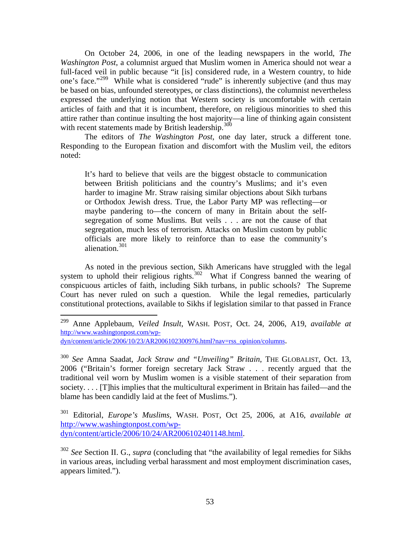On October 24, 2006, in one of the leading newspapers in the world, *The Washington Post*, a columnist argued that Muslim women in America should not wear a full-faced veil in public because "it [is] considered rude, in a Western country, to hide one's face."<sup>[299](#page-54-0)</sup> While what is considered "rude" is inherently subjective (and thus may be based on bias, unfounded stereotypes, or class distinctions), the columnist nevertheless expressed the underlying notion that Western society is uncomfortable with certain articles of faith and that it is incumbent, therefore, on religious minorities to shed this attire rather than continue insulting the host majority—a line of thinking again consistent with recent statements made by British leadership.  $300$ 

 The editors of *The Washington Post*, one day later, struck a different tone. Responding to the European fixation and discomfort with the Muslim veil, the editors noted:

It's hard to believe that veils are the biggest obstacle to communication between British politicians and the country's Muslims; and it's even harder to imagine Mr. Straw raising similar objections about Sikh turbans or Orthodox Jewish dress. True, the Labor Party MP was reflecting—or maybe pandering to—the concern of many in Britain about the selfsegregation of some Muslims. But veils . . . are not the cause of that segregation, much less of terrorism. Attacks on Muslim custom by public officials are more likely to reinforce than to ease the community's alienation.<sup>[301](#page-54-2)</sup>

 As noted in the previous section, Sikh Americans have struggled with the legal system to uphold their religious rights.<sup>[302](#page-54-3)</sup> What if Congress banned the wearing of conspicuous articles of faith, including Sikh turbans, in public schools? The Supreme Court has never ruled on such a question. While the legal remedies, particularly constitutional protections, available to Sikhs if legislation similar to that passed in France

1

<span id="page-54-2"></span>301 Editorial, *Europe's Muslims*, WASH. POST, Oct 25, 2006, at A16, *available at* [http://www.washingtonpost.com/wp](http://www.washingtonpost.com/wp-dyn/content/article/2006/10/24/AR2006102401148.html)[dyn/content/article/2006/10/24/AR2006102401148.html.](http://www.washingtonpost.com/wp-dyn/content/article/2006/10/24/AR2006102401148.html)

<span id="page-54-0"></span><sup>299</sup> Anne Applebaum, *Veiled Insult*, WASH. POST, Oct. 24, 2006, A19, *available at* [http://www.washingtonpost.com/wp](http://www.washingtonpost.com/wp-dyn/content/article/2006/10/23/AR2006102300976.html?nav=rss_opinion/columns)[dyn/content/article/2006/10/23/AR2006102300976.html?nav=rss\\_opinion/columns.](http://www.washingtonpost.com/wp-dyn/content/article/2006/10/23/AR2006102300976.html?nav=rss_opinion/columns)

<span id="page-54-1"></span><sup>300</sup> *See* Amna Saadat, *Jack Straw and "Unveiling" Britain*, THE GLOBALIST, Oct. 13, 2006 ("Britain's former foreign secretary Jack Straw . . . recently argued that the traditional veil worn by Muslim women is a visible statement of their separation from society. . . . [T]his implies that the multicultural experiment in Britain has failed—and the blame has been candidly laid at the feet of Muslims.").

<span id="page-54-3"></span><sup>302</sup> *See* Section II. G., *supra* (concluding that "the availability of legal remedies for Sikhs in various areas, including verbal harassment and most employment discrimination cases, appears limited.").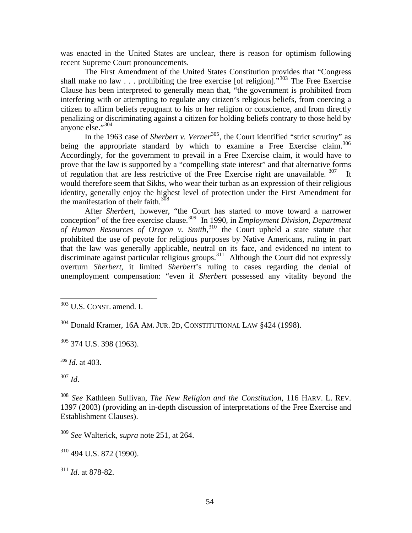was enacted in the United States are unclear, there is reason for optimism following recent Supreme Court pronouncements.

 The First Amendment of the United States Constitution provides that "Congress shall make no law  $\ldots$  prohibiting the free exercise [of religion]."<sup>[303](#page-55-0)</sup> The Free Exercise Clause has been interpreted to generally mean that, "the government is prohibited from interfering with or attempting to regulate any citizen's religious beliefs, from coercing a citizen to affirm beliefs repugnant to his or her religion or conscience, and from directly penalizing or discriminating against a citizen for holding beliefs contrary to those held by anyone else." $304$ 

In the 1963 case of *Sherbert v. Verner*<sup>[305](#page-55-2)</sup>, the Court identified "strict scrutiny" as being the appropriate standard by which to examine a Free Exercise claim.<sup>306</sup> Accordingly, for the government to prevail in a Free Exercise claim, it would have to prove that the law is supported by a "compelling state interest" and that alternative forms of regulation that are less restrictive of the Free Exercise right are unavailable.  $307$  It would therefore seem that Sikhs, who wear their turban as an expression of their religious identity, generally enjoy the highest level of protection under the First Amendment for the manifestation of their faith.<sup>[308](#page-55-5)</sup>

 After *Sherbert*, however, "the Court has started to move toward a narrower conception" of the free exercise clause.<sup>[309](#page-55-6)</sup> In 1990, in *Employment Division, Department of Human Resources of Oregon v. Smith*, [310](#page-55-7) the Court upheld a state statute that prohibited the use of peyote for religious purposes by Native Americans, ruling in part that the law was generally applicable, neutral on its face, and evidenced no intent to discriminate against particular religious groups.<sup>[311](#page-55-8)</sup> Although the Court did not expressly overturn *Sherbert*, it limited *Sherbert*'s ruling to cases regarding the denial of unemployment compensation: "even if *Sherbert* possessed any vitality beyond the

<span id="page-55-2"></span> $305$  374 U.S. 398 (1963).

<span id="page-55-3"></span><sup>306</sup> *Id*. at 403.

<span id="page-55-4"></span><sup>307</sup> *Id*.

 $\overline{a}$ 

<span id="page-55-7"></span> $310$  494 U.S. 872 (1990).

<span id="page-55-8"></span><sup>311</sup> *Id*. at 878-82.

<span id="page-55-0"></span> $303$  U.S. CONST. amend. I.

<span id="page-55-1"></span><sup>304</sup> Donald Kramer, 16A AM. JUR. 2D, CONSTITUTIONAL LAW §424 (1998).

<span id="page-55-5"></span><sup>308</sup> *See* Kathleen Sullivan, *The New Religion and the Constitution*, 116 HARV. L. REV. 1397 (2003) (providing an in-depth discussion of interpretations of the Free Exercise and Establishment Clauses).

<span id="page-55-6"></span><sup>309</sup> *See* Walterick, *supra* note 251, at 264.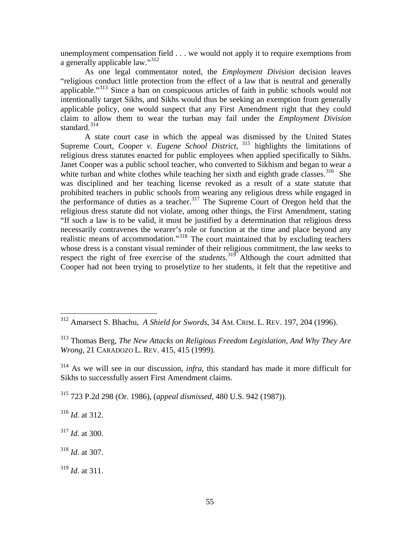unemployment compensation field . . . we would not apply it to require exemptions from a generally applicable law."[312](#page-56-0)

 As one legal commentator noted, the *Employment Division* decision leaves "religious conduct little protection from the effect of a law that is neutral and generally applicable."<sup>[313](#page-56-1)</sup> Since a ban on conspicuous articles of faith in public schools would not intentionally target Sikhs, and Sikhs would thus be seeking an exemption from generally applicable policy, one would suspect that any First Amendment right that they could claim to allow them to wear the turban may fail under the *Employment Division* standard.<sup>[314](#page-56-2)</sup>

 A state court case in which the appeal was dismissed by the United States Supreme Court, *Cooper v. Eugene School District*, <sup>315</sup> highlights the limitations of [religious dress statutes enacted for public employees when applied specifically to Sikhs.](#page-56-3)  [Janet Cooper was a public school teacher, who converted to Sikhism and began to wear a](#page-56-3)  [white turban and white clothes while teaching her sixth and eighth grade classes.](#page-56-3)<sup>316</sup> She was disciplined and her teaching license revoked as a result of a state statute that [prohibited teachers in public schools from wearing any religious dress while engaged in](#page-56-4)  [the performance of duties as a teacher.](#page-56-4)<sup>317</sup> The Supreme Court of Oregon held that the [religious dress statute did not violate, among other things, the First Amendment, stating](#page-56-5)  ["If such a law is to be valid, it must be justified by a determination that religious dress](#page-56-5)  [necessarily contravenes the wearer's role or function at the time and place beyond any](#page-56-5)  [realistic means of accommodation."](#page-56-5)318 [The court maintained that by excluding teachers](#page-56-6)  [whose dress is a constant visual reminder of their religious commitment, the law seeks to](#page-56-6)  [respect the right of free exercise of the](#page-56-6) *students*. 319 [Although the court admitted that](#page-56-7)  [Cooper had not been trying to proselytize to her students, it felt that the repetitive and](#page-56-7) 

<span id="page-56-3"></span>315 723 P.2d 298 (Or. 1986), (*appeal dismissed,* 480 U.S. 942 (1987)).

<span id="page-56-4"></span><sup>316</sup> *Id*. at 312.

 $\overline{a}$ 

<span id="page-56-5"></span><sup>317</sup> *Id*. at 300.

<span id="page-56-6"></span><sup>318</sup> *Id*. at 307.

<span id="page-56-7"></span><sup>319</sup> *Id*. at 311.

<span id="page-56-0"></span><sup>312</sup> Amarsect S. Bhachu, *A Shield for Swords*, 34 AM. CRIM. L. REV. 197, 204 (1996).

<span id="page-56-1"></span><sup>313</sup> Thomas Berg, *The New Attacks on Religious Freedom Legislation, And Why They Are Wrong*, 21 CARADOZO L. REV. 415, 415 (1999).

<span id="page-56-2"></span><sup>314</sup> As we will see in our discussion, *infra*, this standard has made it more difficult for Sikhs to successfully assert First Amendment claims.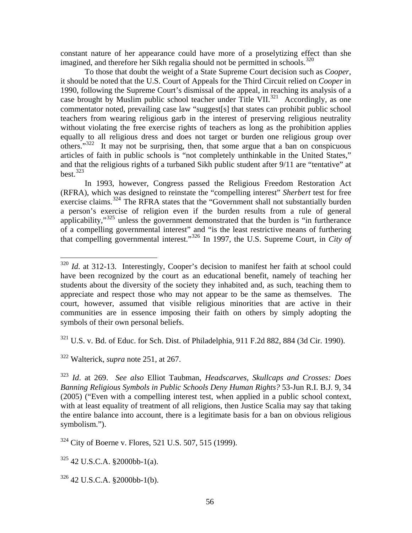[constant nature of her appearance could have more of a proselytizing effect than she](#page-56-7)  [imagined, and therefore her Sikh regalia should not be permitted in schools.](#page-56-7)<sup>320</sup>

 To those that doubt the weight of a State Supreme Court decision such as *Cooper*, it should be noted that the U.S. Court of Appeals for the Third Circuit relied on *Cooper* in 1990, following the Supreme Court's dismissal of the appeal, in reaching its analysis of a case brought by Muslim public school teacher under Title VII.<sup>[321](#page-57-1)</sup> Accordingly, as one commentator noted, prevailing case law "suggest[s] that states can prohibit public school teachers from wearing religious garb in the interest of preserving religious neutrality without violating the free exercise rights of teachers as long as the prohibition applies equally to all religious dress and does not target or burden one religious group over others."[322](#page-57-2) It may not be surprising, then, that some argue that a ban on conspicuous articles of faith in public schools is "not completely unthinkable in the United States," and that the religious rights of a turbaned Sikh public student after 9/11 are "tentative" at  $best.<sup>323</sup>$  $best.<sup>323</sup>$  $best.<sup>323</sup>$ 

 In 1993, however, Congress passed the Religious Freedom Restoration Act (RFRA), which was designed to reinstate the "compelling interest" *Sherbert* test for free exercise claims.<sup>[324](#page-57-4)</sup> The RFRA states that the "Government shall not substantially burden a person's exercise of religion even if the burden results from a rule of general applicability," $325$  unless the government demonstrated that the burden is "in furtherance" of a compelling governmental interest" and "is the least restrictive means of furthering that compelling governmental interest."[326](#page-57-6) In 1997, the U.S. Supreme Court, in *City of* 

<span id="page-57-1"></span> $321$  U.S. v. Bd. of Educ. for Sch. Dist. of Philadelphia, 911 F.2d 882, 884 (3d Cir. 1990).

<span id="page-57-2"></span>322 Walterick, *supra* note 251, at 267.

 $\overline{a}$ 

<span id="page-57-3"></span><sup>323</sup> *Id*. at 269. *See also* Elliot Taubman, *Headscarves, Skullcaps and Crosses: Does Banning Religious Symbols in Public Schools Deny Human Rights?* 53-Jun R.I. B.J. 9, 34 (2005) ("Even with a compelling interest test, when applied in a public school context, with at least equality of treatment of all religions, then Justice Scalia may say that taking the entire balance into account, there is a legitimate basis for a ban on obvious religious symbolism.").

<span id="page-57-4"></span>324 City of Boerne v. Flores, 521 U.S. 507, 515 (1999).

<span id="page-57-5"></span> $325$  42 U.S.C.A. §2000bb-1(a).

<span id="page-57-6"></span> $326$  42 U.S.C.A. §2000bb-1(b).

<span id="page-57-0"></span><sup>&</sup>lt;sup>320</sup> *Id.* at 312-13. Interestingly, Cooper's decision to manifest her faith at school could have been recognized by the court as an educational benefit, namely of teaching her students about the diversity of the society they inhabited and, as such, teaching them to appreciate and respect those who may not appear to be the same as themselves. The court, however, assumed that visible religious minorities that are active in their communities are in essence imposing their faith on others by simply adopting the symbols of their own personal beliefs.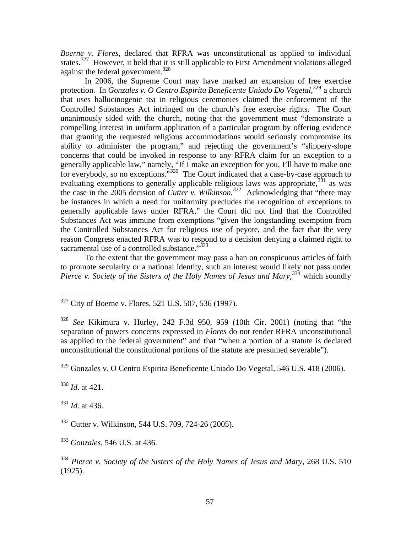*Boerne v. Flores*, declared that RFRA was unconstitutional as applied to individual states.<sup>[327](#page-58-0)</sup> However, it held that it is still applicable to First Amendment violations alleged against the federal government.<sup>[328](#page-58-1)</sup>

 In 2006, the Supreme Court may have marked an expansion of free exercise protection. In *Gonzales v. O Centro Espirita Beneficente Uniado Do Vegetal,*[329](#page-58-2) a church that uses hallucinogenic tea in religious ceremonies claimed the enforcement of the Controlled Substances Act infringed on the church's free exercise rights. The Court unanimously sided with the church, noting that the government must "demonstrate a compelling interest in uniform application of a particular program by offering evidence that granting the requested religious accommodations would seriously compromise its ability to administer the program," and rejecting the government's "slippery-slope concerns that could be invoked in response to any RFRA claim for an exception to a generally applicable law," namely, "If I make an exception for you, I'll have to make one for everybody, so no exceptions."<sup>[330](#page-58-3)</sup> The Court indicated that a case-by-case approach to evaluating exemptions to generally applicable religious laws was appropriate,<sup>[331](#page-58-4)</sup> as was the case in the 2005 decision of *Cutter v. Wilkinson*.<sup>[332](#page-58-5)</sup> Acknowledging that "there may" be instances in which a need for uniformity precludes the recognition of exceptions to generally applicable laws under RFRA," the Court did not find that the Controlled Substances Act was immune from exemptions "given the longstanding exemption from the Controlled Substances Act for religious use of peyote, and the fact that the very reason Congress enacted RFRA was to respond to a decision denying a claimed right to sacramental use of a controlled substance."<sup>[333](#page-58-6)</sup>

 To the extent that the government may pass a ban on conspicuous articles of faith to promote secularity or a national identity, such an interest would likely not pass under *Pierce v. Society of the Sisters of the Holy Names of Jesus and Mary*,<sup>[334](#page-58-7)</sup> which soundly

<span id="page-58-2"></span>329 Gonzales v. O Centro Espirita Beneficente Uniado Do Vegetal, 546 U.S. 418 (2006).

<span id="page-58-3"></span><sup>330</sup> *Id*. at 421.

1

<span id="page-58-4"></span><sup>331</sup> *Id*. at 436.

<span id="page-58-6"></span><sup>333</sup> *Gonzales*, 546 U.S. at 436.

<span id="page-58-7"></span><sup>334</sup> *Pierce v. Society of the Sisters of the Holy Names of Jesus and Mary*, 268 U.S. 510 (1925).

<span id="page-58-0"></span> $327$  City of Boerne v. Flores, 521 U.S. 507, 536 (1997).

<span id="page-58-1"></span><sup>328</sup> *See* Kikimura v. Hurley, 242 F.3d 950, 959 (10th Cir. 2001) (noting that "the separation of powers concerns expressed in *Flores* do not render RFRA unconstitutional as applied to the federal government" and that "when a portion of a statute is declared unconstitutional the constitutional portions of the statute are presumed severable").

<span id="page-58-5"></span><sup>332</sup> Cutter v. Wilkinson, 544 U.S. 709, 724-26 (2005).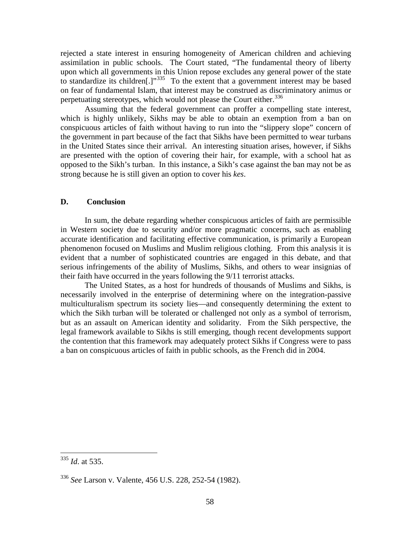rejected a state interest in ensuring homogeneity of American children and achieving assimilation in public schools. The Court stated, "The fundamental theory of liberty upon which all governments in this Union repose excludes any general power of the state to standardize its children<sup>[1]"[335](#page-59-0)</sup> To the extent that a government interest may be based on fear of fundamental Islam, that interest may be construed as discriminatory animus or perpetuating stereotypes, which would not please the Court either.<sup>[336](#page-59-1)</sup>

 Assuming that the federal government can proffer a compelling state interest, which is highly unlikely, Sikhs may be able to obtain an exemption from a ban on conspicuous articles of faith without having to run into the "slippery slope" concern of the government in part because of the fact that Sikhs have been permitted to wear turbans in the United States since their arrival. An interesting situation arises, however, if Sikhs are presented with the option of covering their hair, for example, with a school hat as opposed to the Sikh's turban. In this instance, a Sikh's case against the ban may not be as strong because he is still given an option to cover his *kes*.

#### **D. Conclusion**

 In sum, the debate regarding whether conspicuous articles of faith are permissible in Western society due to security and/or more pragmatic concerns, such as enabling accurate identification and facilitating effective communication, is primarily a European phenomenon focused on Muslims and Muslim religious clothing. From this analysis it is evident that a number of sophisticated countries are engaged in this debate, and that serious infringements of the ability of Muslims, Sikhs, and others to wear insignias of their faith have occurred in the years following the 9/11 terrorist attacks.

The United States, as a host for hundreds of thousands of Muslims and Sikhs, is necessarily involved in the enterprise of determining where on the integration-passive multiculturalism spectrum its society lies—and consequently determining the extent to which the Sikh turban will be tolerated or challenged not only as a symbol of terrorism, but as an assault on American identity and solidarity. From the Sikh perspective, the legal framework available to Sikhs is still emerging, though recent developments support the contention that this framework may adequately protect Sikhs if Congress were to pass a ban on conspicuous articles of faith in public schools, as the French did in 2004.

 $\overline{a}$ 

<span id="page-59-0"></span><sup>335</sup> *Id*. at 535.

<span id="page-59-1"></span><sup>336</sup> *See* Larson v. Valente, 456 U.S. 228, 252-54 (1982).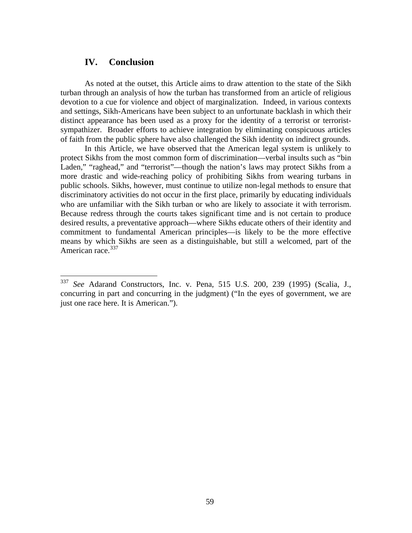#### **IV. Conclusion**

 $\overline{a}$ 

 As noted at the outset, this Article aims to draw attention to the state of the Sikh turban through an analysis of how the turban has transformed from an article of religious devotion to a cue for violence and object of marginalization. Indeed, in various contexts and settings, Sikh-Americans have been subject to an unfortunate backlash in which their distinct appearance has been used as a proxy for the identity of a terrorist or terroristsympathizer. Broader efforts to achieve integration by eliminating conspicuous articles of faith from the public sphere have also challenged the Sikh identity on indirect grounds.

 In this Article, we have observed that the American legal system is unlikely to protect Sikhs from the most common form of discrimination—verbal insults such as "bin Laden," "raghead," and "terrorist"—though the nation's laws may protect Sikhs from a more drastic and wide-reaching policy of prohibiting Sikhs from wearing turbans in public schools. Sikhs, however, must continue to utilize non-legal methods to ensure that discriminatory activities do not occur in the first place, primarily by educating individuals who are unfamiliar with the Sikh turban or who are likely to associate it with terrorism. Because redress through the courts takes significant time and is not certain to produce desired results, a preventative approach—where Sikhs educate others of their identity and commitment to fundamental American principles—is likely to be the more effective means by which Sikhs are seen as a distinguishable, but still a welcomed, part of the American race.<sup>[337](#page-60-0)</sup>

<span id="page-60-0"></span><sup>337</sup> *See* Adarand Constructors, Inc. v. Pena, 515 U.S. 200, 239 (1995) (Scalia, J., concurring in part and concurring in the judgment) ("In the eyes of government, we are just one race here. It is American.").